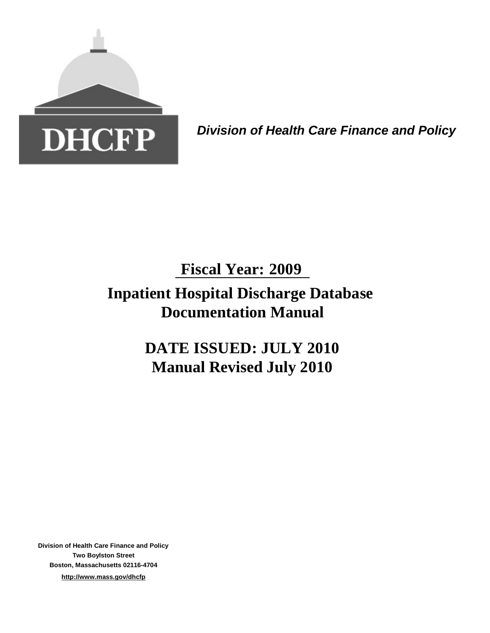

*Division of Health Care Finance and Policy*

# **Inpatient Hospital Discharge Database Documentation Manual Fiscal Year: 2009**

**DATE ISSUED: JULY 2010 Manual Revised July 2010**

**Division of Health Care Finance and Policy Two Boylston Street Boston, Massachusetts 02116-4704 http://www.mass.gov/dhcfp**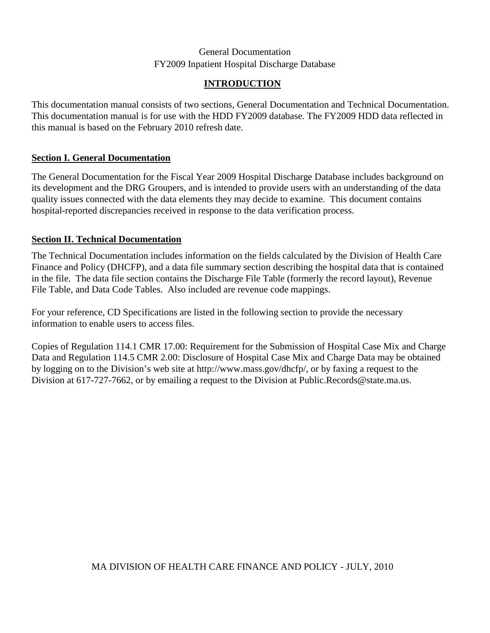### **INTRODUCTION**

This documentation manual consists of two sections, General Documentation and Technical Documentation. This documentation manual is for use with the HDD FY2009 database. The FY2009 HDD data reflected in this manual is based on the February 2010 refresh date.

### **Section I. General Documentation**

The General Documentation for the Fiscal Year 2009 Hospital Discharge Database includes background on its development and the DRG Groupers, and is intended to provide users with an understanding of the data quality issues connected with the data elements they may decide to examine. This document contains hospital-reported discrepancies received in response to the data verification process.

# **Section II. Technical Documentation**

The Technical Documentation includes information on the fields calculated by the Division of Health Care Finance and Policy (DHCFP), and a data file summary section describing the hospital data that is contained in the file. The data file section contains the Discharge File Table (formerly the record layout), Revenue File Table, and Data Code Tables. Also included are revenue code mappings.

For your reference, CD Specifications are listed in the following section to provide the necessary information to enable users to access files.

Copies of Regulation 114.1 CMR 17.00: Requirement for the Submission of Hospital Case Mix and Charge Data and Regulation 114.5 CMR 2.00: Disclosure of Hospital Case Mix and Charge Data may be obtained by logging on to the Division's web site at http://www.mass.gov/dhcfp/, or by faxing a request to the Division at 617-727-7662, or by emailing a request to the Division at Public.Records@state.ma.us.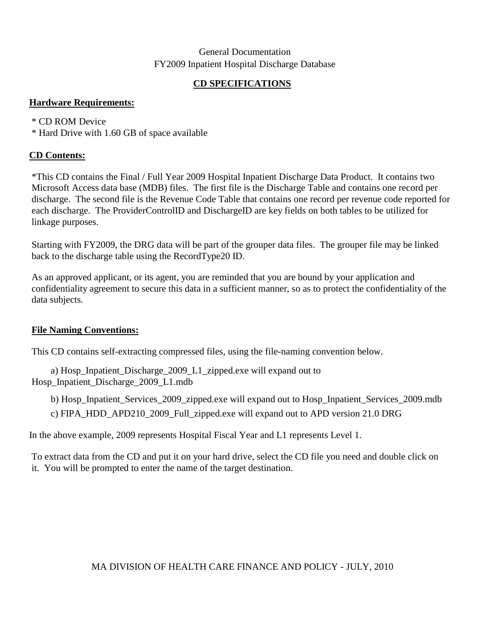# **CD SPECIFICATIONS**

### **Hardware Requirements:**

### \* CD ROM Device

\* Hard Drive with 1.60 GB of space available

### **CD Contents:**

\*This CD contains the Final / Full Year 2009 Hospital Inpatient Discharge Data Product. It contains two Microsoft Access data base (MDB) files. The first file is the Discharge Table and contains one record per discharge. The second file is the Revenue Code Table that contains one record per revenue code reported for each discharge. The ProviderControlID and DischargeID are key fields on both tables to be utilized for linkage purposes.

Starting with FY2009, the DRG data will be part of the grouper data files. The grouper file may be linked back to the discharge table using the RecordType20 ID.

As an approved applicant, or its agent, you are reminded that you are bound by your application and confidentiality agreement to secure this data in a sufficient manner, so as to protect the confidentiality of the data subjects.

### **File Naming Conventions:**

This CD contains self-extracting compressed files, using the file-naming convention below.

a) Hosp\_Inpatient\_Discharge\_2009\_L1\_zipped.exe will expand out to Hosp\_Inpatient\_Discharge\_2009\_L1.mdb

b) Hosp\_Inpatient\_Services\_2009\_zipped.exe will expand out to Hosp\_Inpatient\_Services\_2009.mdb

c) FIPA\_HDD\_APD210\_2009\_Full\_zipped.exe will expand out to APD version 21.0 DRG

In the above example, 2009 represents Hospital Fiscal Year and L1 represents Level 1.

To extract data from the CD and put it on your hard drive, select the CD file you need and double click on it. You will be prompted to enter the name of the target destination.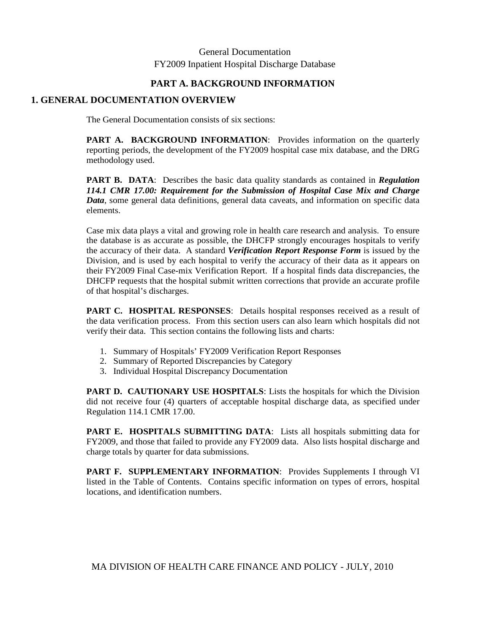### **PART A. BACKGROUND INFORMATION**

### **1. GENERAL DOCUMENTATION OVERVIEW**

The General Documentation consists of six sections:

**PART A. BACKGROUND INFORMATION:** Provides information on the quarterly reporting periods, the development of the FY2009 hospital case mix database, and the DRG methodology used.

**PART B. DATA**: Describes the basic data quality standards as contained in *Regulation 114.1 CMR 17.00: Requirement for the Submission of Hospital Case Mix and Charge Data*, some general data definitions, general data caveats, and information on specific data elements.

Case mix data plays a vital and growing role in health care research and analysis. To ensure the database is as accurate as possible, the DHCFP strongly encourages hospitals to verify the accuracy of their data. A standard *Verification Report Response Form* is issued by the Division, and is used by each hospital to verify the accuracy of their data as it appears on their FY2009 Final Case-mix Verification Report. If a hospital finds data discrepancies, the DHCFP requests that the hospital submit written corrections that provide an accurate profile of that hospital's discharges.

**PART C. HOSPITAL RESPONSES:** Details hospital responses received as a result of the data verification process. From this section users can also learn which hospitals did not verify their data. This section contains the following lists and charts:

- 1. Summary of Hospitals' FY2009 Verification Report Responses
- 2. Summary of Reported Discrepancies by Category
- 3. Individual Hospital Discrepancy Documentation

PART D. CAUTIONARY USE HOSPITALS: Lists the hospitals for which the Division did not receive four (4) quarters of acceptable hospital discharge data, as specified under Regulation 114.1 CMR 17.00.

**PART E. HOSPITALS SUBMITTING DATA:** Lists all hospitals submitting data for FY2009, and those that failed to provide any FY2009 data. Also lists hospital discharge and charge totals by quarter for data submissions.

**PART F. SUPPLEMENTARY INFORMATION**: Provides Supplements I through VI listed in the Table of Contents. Contains specific information on types of errors, hospital locations, and identification numbers.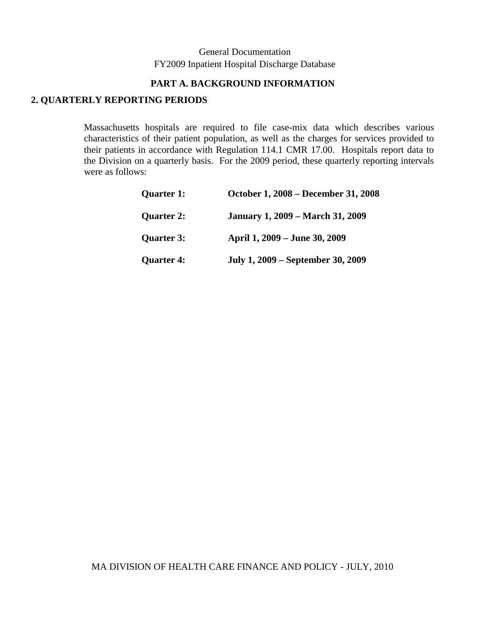### **PART A. BACKGROUND INFORMATION**

### **2. QUARTERLY REPORTING PERIODS**

Massachusetts hospitals are required to file case-mix data which describes various characteristics of their patient population, as well as the charges for services provided to their patients in accordance with Regulation 114.1 CMR 17.00. Hospitals report data to the Division on a quarterly basis. For the 2009 period, these quarterly reporting intervals were as follows:

| <b>Quarter 1:</b> | October 1, 2008 – December 31, 2008     |
|-------------------|-----------------------------------------|
| <b>Quarter 2:</b> | <b>January 1, 2009 – March 31, 2009</b> |
| <b>Quarter 3:</b> | April 1, 2009 – June 30, 2009           |
| <b>Quarter 4:</b> | July 1, 2009 – September 30, 2009       |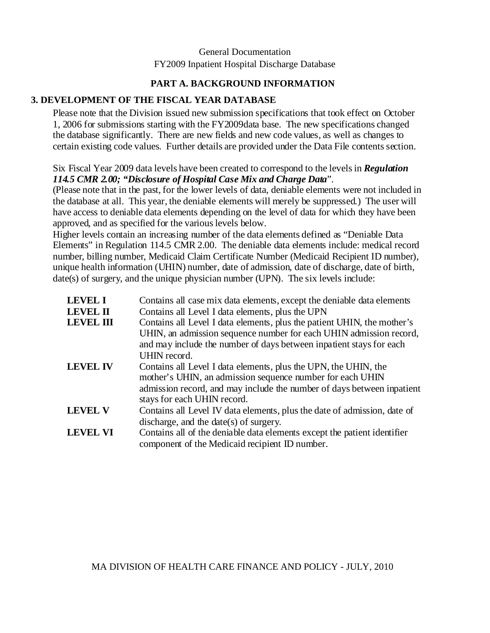# **PART A. BACKGROUND INFORMATION**

### **3. DEVELOPMENT OF THE FISCAL YEAR DATABASE**

Please note that the Division issued new submission specifications that took effect on October 1, 2006 for submissions starting with the FY2009data base. The new specifications changed the database significantly. There are new fields and new code values, as well as changes to certain existing code values. Further details are provided under the Data File contents section.

### Six Fiscal Year 2009 data levels have been created to correspond to the levels in *Regulation 114.5 CMR 2.00; "Disclosure of Hospital Case Mix and Charge Data*".

(Please note that in the past, for the lower levels of data, deniable elements were not included in the database at all. This year, the deniable elements will merely be suppressed.) The user will have access to deniable data elements depending on the level of data for which they have been approved, and as specified for the various levels below.

Higher levels contain an increasing number of the data elements defined as "Deniable Data Elements" in Regulation 114.5 CMR 2.00. The deniable data elements include: medical record number, billing number, Medicaid Claim Certificate Number (Medicaid Recipient ID number), unique health information (UHIN) number, date of admission, date of discharge, date of birth, date(s) of surgery, and the unique physician number (UPN). The six levels include:

| <b>LEVEL I</b>   | Contains all case mix data elements, except the deniable data elements                                                                                                                                                                |
|------------------|---------------------------------------------------------------------------------------------------------------------------------------------------------------------------------------------------------------------------------------|
| <b>LEVEL II</b>  | Contains all Level I data elements, plus the UPN                                                                                                                                                                                      |
| <b>LEVEL III</b> | Contains all Level I data elements, plus the patient UHIN, the mother's                                                                                                                                                               |
|                  | UHIN, an admission sequence number for each UHIN admission record,<br>and may include the number of days between inpatient stays for each<br>UHIN record.                                                                             |
| <b>LEVEL IV</b>  | Contains all Level I data elements, plus the UPN, the UHIN, the<br>mother's UHIN, an admission sequence number for each UHIN<br>admission record, and may include the number of days between inpatient<br>stays for each UHIN record. |
| <b>LEVEL V</b>   | Contains all Level IV data elements, plus the date of admission, date of<br>discharge, and the date(s) of surgery.                                                                                                                    |
| <b>LEVEL VI</b>  | Contains all of the deniable data elements except the patient identifier<br>component of the Medicaid recipient ID number.                                                                                                            |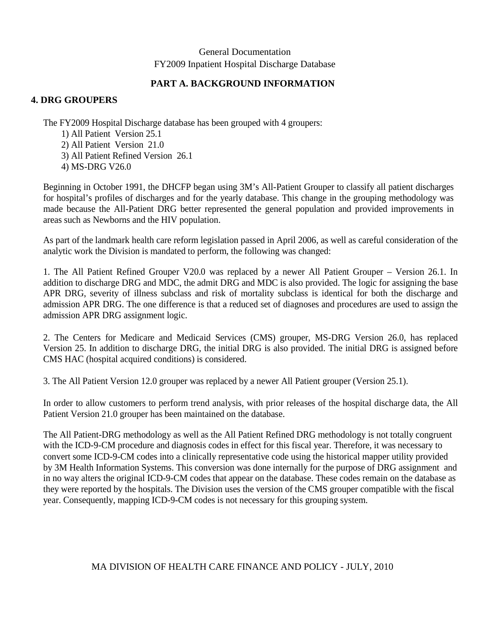### **PART A. BACKGROUND INFORMATION**

### **4. DRG GROUPERS**

The FY2009 Hospital Discharge database has been grouped with 4 groupers:

- 1) All Patient Version 25.1
- 2) All Patient Version 21.0
- 3) All Patient Refined Version 26.1
- 4) MS-DRG V26.0

Beginning in October 1991, the DHCFP began using 3M's All-Patient Grouper to classify all patient discharges for hospital's profiles of discharges and for the yearly database. This change in the grouping methodology was made because the All-Patient DRG better represented the general population and provided improvements in areas such as Newborns and the HIV population.

As part of the landmark health care reform legislation passed in April 2006, as well as careful consideration of the analytic work the Division is mandated to perform, the following was changed:

1. The All Patient Refined Grouper V20.0 was replaced by a newer All Patient Grouper – Version 26.1. In addition to discharge DRG and MDC, the admit DRG and MDC is also provided. The logic for assigning the base APR DRG, severity of illness subclass and risk of mortality subclass is identical for both the discharge and admission APR DRG. The one difference is that a reduced set of diagnoses and procedures are used to assign the admission APR DRG assignment logic.

2. The Centers for Medicare and Medicaid Services (CMS) grouper, MS-DRG Version 26.0, has replaced Version 25. In addition to discharge DRG, the initial DRG is also provided. The initial DRG is assigned before CMS HAC (hospital acquired conditions) is considered.

3. The All Patient Version 12.0 grouper was replaced by a newer All Patient grouper (Version 25.1).

In order to allow customers to perform trend analysis, with prior releases of the hospital discharge data, the All Patient Version 21.0 grouper has been maintained on the database.

The All Patient-DRG methodology as well as the All Patient Refined DRG methodology is not totally congruent with the ICD-9-CM procedure and diagnosis codes in effect for this fiscal year. Therefore, it was necessary to convert some ICD-9-CM codes into a clinically representative code using the historical mapper utility provided by 3M Health Information Systems. This conversion was done internally for the purpose of DRG assignment and in no way alters the original ICD-9-CM codes that appear on the database. These codes remain on the database as they were reported by the hospitals. The Division uses the version of the CMS grouper compatible with the fiscal year. Consequently, mapping ICD-9-CM codes is not necessary for this grouping system.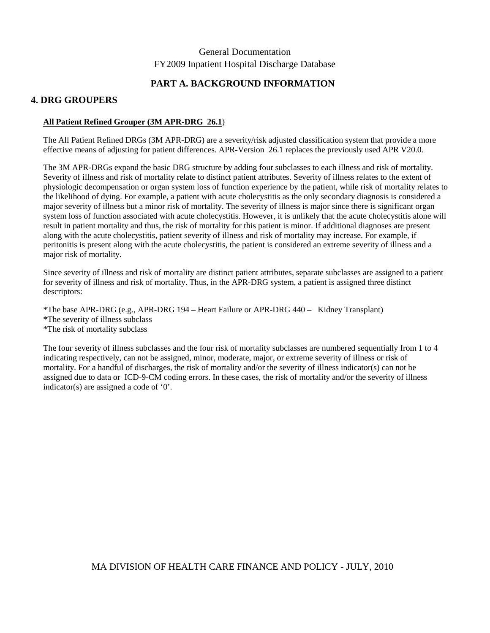### **PART A. BACKGROUND INFORMATION**

### **4. DRG GROUPERS**

### **All Patient Refined Grouper (3M APR-DRG 26.1**)

The All Patient Refined DRGs (3M APR-DRG) are a severity/risk adjusted classification system that provide a more effective means of adjusting for patient differences. APR-Version 26.1 replaces the previously used APR V20.0.

The 3M APR-DRGs expand the basic DRG structure by adding four subclasses to each illness and risk of mortality. Severity of illness and risk of mortality relate to distinct patient attributes. Severity of illness relates to the extent of physiologic decompensation or organ system loss of function experience by the patient, while risk of mortality relates to the likelihood of dying. For example, a patient with acute cholecystitis as the only secondary diagnosis is considered a major severity of illness but a minor risk of mortality. The severity of illness is major since there is significant organ system loss of function associated with acute cholecystitis. However, it is unlikely that the acute cholecystitis alone will result in patient mortality and thus, the risk of mortality for this patient is minor. If additional diagnoses are present along with the acute cholecystitis, patient severity of illness and risk of mortality may increase. For example, if peritonitis is present along with the acute cholecystitis, the patient is considered an extreme severity of illness and a major risk of mortality.

Since severity of illness and risk of mortality are distinct patient attributes, separate subclasses are assigned to a patient for severity of illness and risk of mortality. Thus, in the APR-DRG system, a patient is assigned three distinct descriptors:

\*The base APR-DRG (e.g., APR-DRG 194 – Heart Failure or APR-DRG 440 – Kidney Transplant) \*The severity of illness subclass \*The risk of mortality subclass

The four severity of illness subclasses and the four risk of mortality subclasses are numbered sequentially from 1 to 4 indicating respectively, can not be assigned, minor, moderate, major, or extreme severity of illness or risk of mortality. For a handful of discharges, the risk of mortality and/or the severity of illness indicator(s) can not be assigned due to data or ICD-9-CM coding errors. In these cases, the risk of mortality and/or the severity of illness indicator(s) are assigned a code of '0'.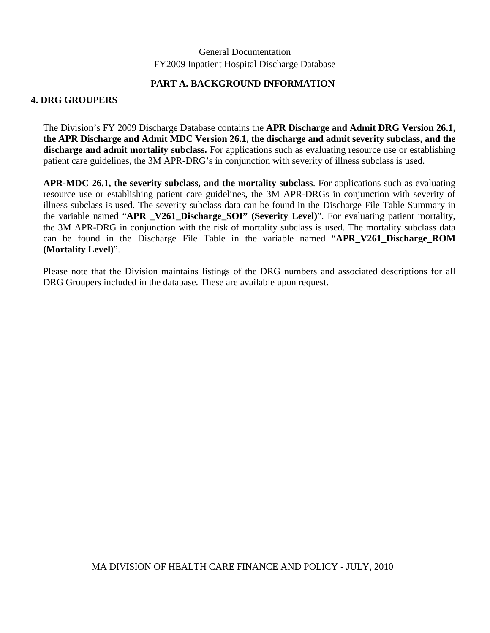### **PART A. BACKGROUND INFORMATION**

### **4. DRG GROUPERS**

The Division's FY 2009 Discharge Database contains the **APR Discharge and Admit DRG Version 26.1, the APR Discharge and Admit MDC Version 26.1, the discharge and admit severity subclass, and the discharge and admit mortality subclass.** For applications such as evaluating resource use or establishing patient care guidelines, the 3M APR-DRG's in conjunction with severity of illness subclass is used.

**APR-MDC 26.1, the severity subclass, and the mortality subclass**. For applications such as evaluating resource use or establishing patient care guidelines, the 3M APR-DRGs in conjunction with severity of illness subclass is used. The severity subclass data can be found in the Discharge File Table Summary in the variable named "**APR V261 Discharge SOI" (Severity Level)**". For evaluating patient mortality, the 3M APR-DRG in conjunction with the risk of mortality subclass is used. The mortality subclass data can be found in the Discharge File Table in the variable named "**APR\_V261\_Discharge\_ROM (Mortality Level)**".

Please note that the Division maintains listings of the DRG numbers and associated descriptions for all DRG Groupers included in the database. These are available upon request.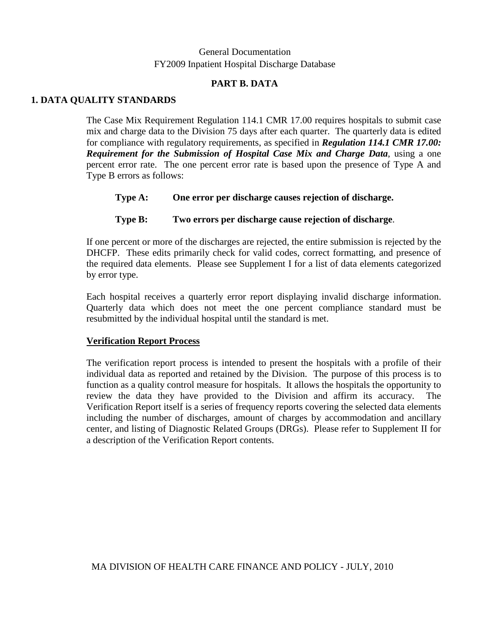### **PART B. DATA**

### **1. DATA QUALITY STANDARDS**

The Case Mix Requirement Regulation 114.1 CMR 17.00 requires hospitals to submit case mix and charge data to the Division 75 days after each quarter. The quarterly data is edited for compliance with regulatory requirements, as specified in *Regulation 114.1 CMR 17.00: Requirement for the Submission of Hospital Case Mix and Charge Data*, using a one percent error rate. The one percent error rate is based upon the presence of Type A and Type B errors as follows:

**Type A: One error per discharge causes rejection of discharge.** 

### **Type B: Two errors per discharge cause rejection of discharge**.

If one percent or more of the discharges are rejected, the entire submission is rejected by the DHCFP. These edits primarily check for valid codes, correct formatting, and presence of the required data elements. Please see Supplement I for a list of data elements categorized by error type.

Each hospital receives a quarterly error report displaying invalid discharge information. Quarterly data which does not meet the one percent compliance standard must be resubmitted by the individual hospital until the standard is met.

### **Verification Report Process**

The verification report process is intended to present the hospitals with a profile of their individual data as reported and retained by the Division. The purpose of this process is to function as a quality control measure for hospitals. It allows the hospitals the opportunity to review the data they have provided to the Division and affirm its accuracy. The Verification Report itself is a series of frequency reports covering the selected data elements including the number of discharges, amount of charges by accommodation and ancillary center, and listing of Diagnostic Related Groups (DRGs). Please refer to Supplement II for a description of the Verification Report contents.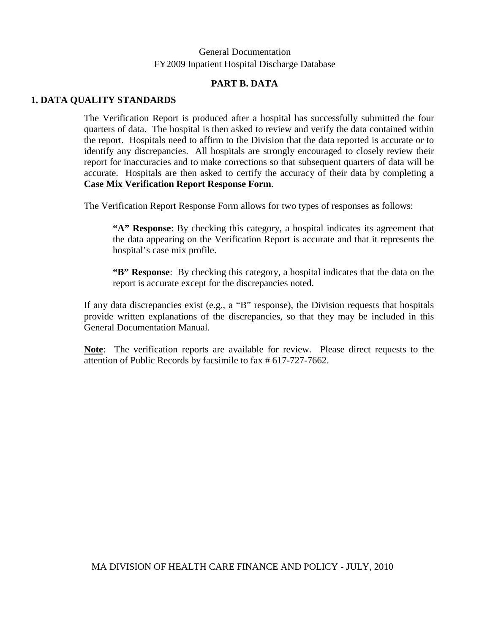### **PART B. DATA**

### **1. DATA QUALITY STANDARDS**

The Verification Report is produced after a hospital has successfully submitted the four quarters of data. The hospital is then asked to review and verify the data contained within the report. Hospitals need to affirm to the Division that the data reported is accurate or to identify any discrepancies. All hospitals are strongly encouraged to closely review their report for inaccuracies and to make corrections so that subsequent quarters of data will be accurate. Hospitals are then asked to certify the accuracy of their data by completing a **Case Mix Verification Report Response Form**.

The Verification Report Response Form allows for two types of responses as follows:

**"A" Response**: By checking this category, a hospital indicates its agreement that the data appearing on the Verification Report is accurate and that it represents the hospital's case mix profile.

**"B" Response**: By checking this category, a hospital indicates that the data on the report is accurate except for the discrepancies noted.

If any data discrepancies exist (e.g., a "B" response), the Division requests that hospitals provide written explanations of the discrepancies, so that they may be included in this General Documentation Manual.

**Note**: The verification reports are available for review. Please direct requests to the attention of Public Records by facsimile to fax # 617-727-7662.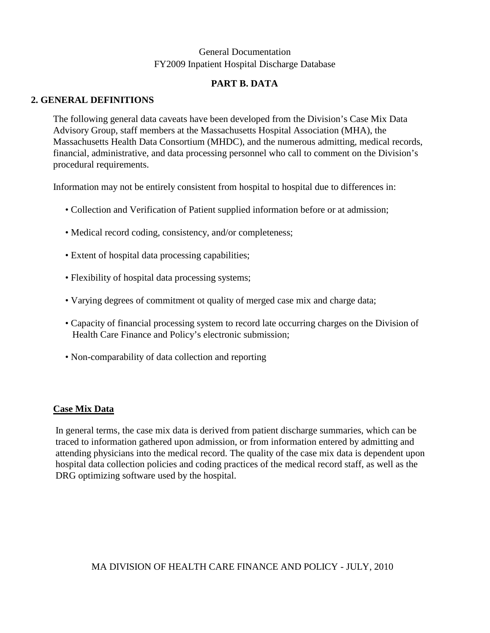# **PART B. DATA**

### **2. GENERAL DEFINITIONS**

The following general data caveats have been developed from the Division's Case Mix Data Advisory Group, staff members at the Massachusetts Hospital Association (MHA), the Massachusetts Health Data Consortium (MHDC), and the numerous admitting, medical records, financial, administrative, and data processing personnel who call to comment on the Division's procedural requirements.

Information may not be entirely consistent from hospital to hospital due to differences in:

- Collection and Verification of Patient supplied information before or at admission;
- Medical record coding, consistency, and/or completeness;
- Extent of hospital data processing capabilities;
- Flexibility of hospital data processing systems;
- Varying degrees of commitment ot quality of merged case mix and charge data;
- Capacity of financial processing system to record late occurring charges on the Division of Health Care Finance and Policy's electronic submission;
- Non-comparability of data collection and reporting

### **Case Mix Data**

In general terms, the case mix data is derived from patient discharge summaries, which can be traced to information gathered upon admission, or from information entered by admitting and attending physicians into the medical record. The quality of the case mix data is dependent upon hospital data collection policies and coding practices of the medical record staff, as well as the DRG optimizing software used by the hospital.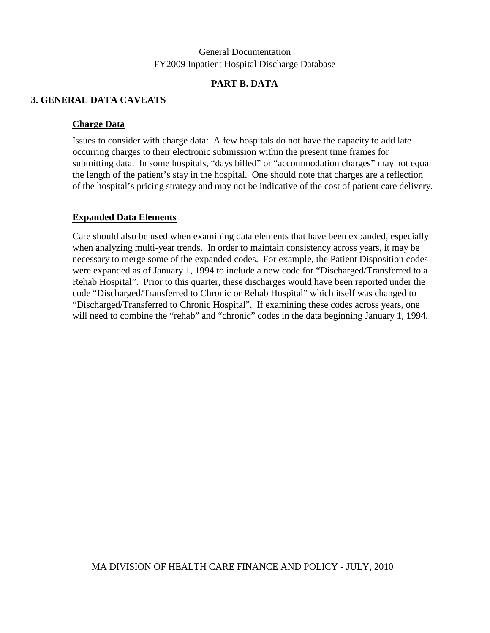### **PART B. DATA**

### **3. GENERAL DATA CAVEATS**

### **Charge Data**

Issues to consider with charge data: A few hospitals do not have the capacity to add late occurring charges to their electronic submission within the present time frames for submitting data. In some hospitals, "days billed" or "accommodation charges" may not equal the length of the patient's stay in the hospital. One should note that charges are a reflection of the hospital's pricing strategy and may not be indicative of the cost of patient care delivery.

### **Expanded Data Elements**

Care should also be used when examining data elements that have been expanded, especially when analyzing multi-year trends. In order to maintain consistency across years, it may be necessary to merge some of the expanded codes. For example, the Patient Disposition codes were expanded as of January 1, 1994 to include a new code for "Discharged/Transferred to a Rehab Hospital". Prior to this quarter, these discharges would have been reported under the code "Discharged/Transferred to Chronic or Rehab Hospital" which itself was changed to "Discharged/Transferred to Chronic Hospital". If examining these codes across years, one will need to combine the "rehab" and "chronic" codes in the data beginning January 1, 1994.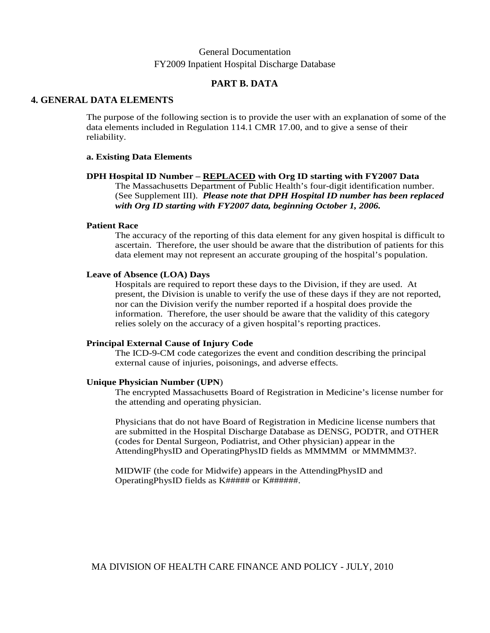### **PART B. DATA**

### **4. GENERAL DATA ELEMENTS**

The purpose of the following section is to provide the user with an explanation of some of the data elements included in Regulation 114.1 CMR 17.00, and to give a sense of their reliability.

### **a. Existing Data Elements**

### **DPH Hospital ID Number – REPLACED with Org ID starting with FY2007 Data**

The Massachusetts Department of Public Health's four-digit identification number. (See Supplement III). *Please note that DPH Hospital ID number has been replaced with Org ID starting with FY2007 data, beginning October 1, 2006.* 

### **Patient Race**

The accuracy of the reporting of this data element for any given hospital is difficult to ascertain. Therefore, the user should be aware that the distribution of patients for this data element may not represent an accurate grouping of the hospital's population.

### **Leave of Absence (LOA) Days**

Hospitals are required to report these days to the Division, if they are used. At present, the Division is unable to verify the use of these days if they are not reported, nor can the Division verify the number reported if a hospital does provide the information. Therefore, the user should be aware that the validity of this category relies solely on the accuracy of a given hospital's reporting practices.

### **Principal External Cause of Injury Code**

The ICD-9-CM code categorizes the event and condition describing the principal external cause of injuries, poisonings, and adverse effects.

### **Unique Physician Number (UPN**)

The encrypted Massachusetts Board of Registration in Medicine's license number for the attending and operating physician.

Physicians that do not have Board of Registration in Medicine license numbers that are submitted in the Hospital Discharge Database as DENSG, PODTR, and OTHER (codes for Dental Surgeon, Podiatrist, and Other physician) appear in the AttendingPhysID and OperatingPhysID fields as MMMMM or MMMMM3?.

MIDWIF (the code for Midwife) appears in the AttendingPhysID and OperatingPhysID fields as K##### or K######.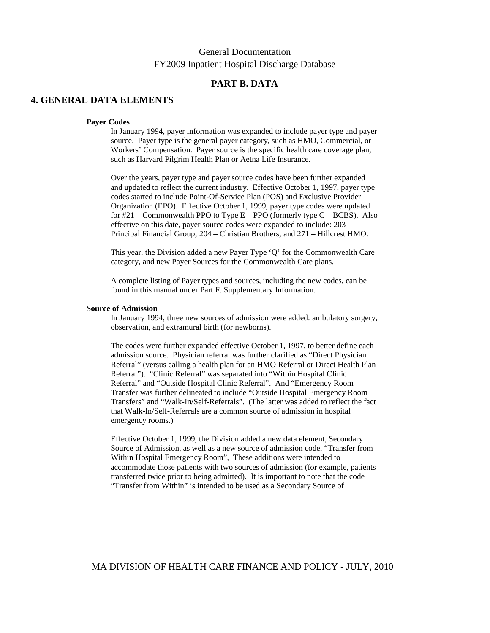### **PART B. DATA**

### **4. GENERAL DATA ELEMENTS**

#### **Payer Codes**

In January 1994, payer information was expanded to include payer type and payer source. Payer type is the general payer category, such as HMO, Commercial, or Workers' Compensation. Payer source is the specific health care coverage plan, such as Harvard Pilgrim Health Plan or Aetna Life Insurance.

Over the years, payer type and payer source codes have been further expanded and updated to reflect the current industry. Effective October 1, 1997, payer type codes started to include Point-Of-Service Plan (POS) and Exclusive Provider Organization (EPO). Effective October 1, 1999, payer type codes were updated for  $\#21$  – Commonwealth PPO to Type E – PPO (formerly type C – BCBS). Also effective on this date, payer source codes were expanded to include: 203 – Principal Financial Group; 204 – Christian Brothers; and 271 – Hillcrest HMO.

This year, the Division added a new Payer Type 'Q' for the Commonwealth Care category, and new Payer Sources for the Commonwealth Care plans.

A complete listing of Payer types and sources, including the new codes, can be found in this manual under Part F. Supplementary Information.

#### **Source of Admission**

In January 1994, three new sources of admission were added: ambulatory surgery, observation, and extramural birth (for newborns).

The codes were further expanded effective October 1, 1997, to better define each admission source. Physician referral was further clarified as "Direct Physician Referral" (versus calling a health plan for an HMO Referral or Direct Health Plan Referral"). "Clinic Referral" was separated into "Within Hospital Clinic Referral" and "Outside Hospital Clinic Referral". And "Emergency Room Transfer was further delineated to include "Outside Hospital Emergency Room Transfers" and "Walk-In/Self-Referrals". (The latter was added to reflect the fact that Walk-In/Self-Referrals are a common source of admission in hospital emergency rooms.)

Effective October 1, 1999, the Division added a new data element, Secondary Source of Admission, as well as a new source of admission code, "Transfer from Within Hospital Emergency Room", These additions were intended to accommodate those patients with two sources of admission (for example, patients transferred twice prior to being admitted). It is important to note that the code "Transfer from Within" is intended to be used as a Secondary Source of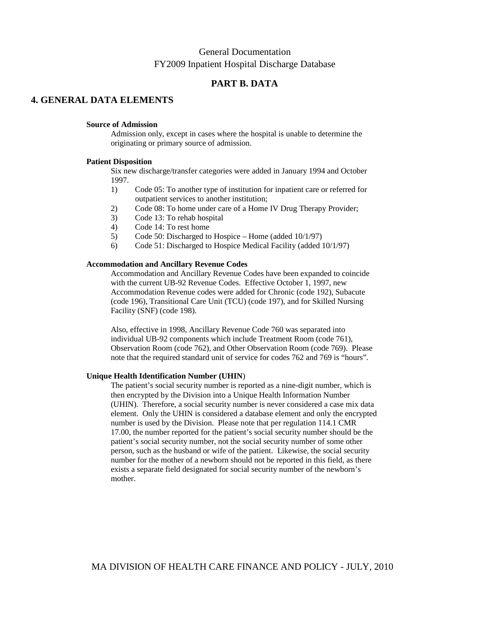### **PART B. DATA**

### **4. GENERAL DATA ELEMENTS**

#### **Source of Admission**

Admission only, except in cases where the hospital is unable to determine the originating or primary source of admission.

#### **Patient Disposition**

Six new discharge/transfer categories were added in January 1994 and October 1997.

- 1) Code 05: To another type of institution for inpatient care or referred for outpatient services to another institution;
- 2) Code 08: To home under care of a Home IV Drug Therapy Provider;
- 3) Code 13: To rehab hospital
- 4) Code 14: To rest home
- 5) Code 50: Discharged to Hospice Home (added 10/1/97)
- 6) Code 51: Discharged to Hospice Medical Facility (added 10/1/97)

#### **Accommodation and Ancillary Revenue Codes**

Accommodation and Ancillary Revenue Codes have been expanded to coincide with the current UB-92 Revenue Codes. Effective October 1, 1997, new Accommodation Revenue codes were added for Chronic (code 192), Subacute (code 196), Transitional Care Unit (TCU) (code 197), and for Skilled Nursing Facility (SNF) (code 198).

Also, effective in 1998, Ancillary Revenue Code 760 was separated into individual UB-92 components which include Treatment Room (code 761), Observation Room (code 762), and Other Observation Room (code 769). Please note that the required standard unit of service for codes 762 and 769 is "hours".

#### **Unique Health Identification Number (UHIN**)

The patient's social security number is reported as a nine-digit number, which is then encrypted by the Division into a Unique Health Information Number (UHIN). Therefore, a social security number is never considered a case mix data element. Only the UHIN is considered a database element and only the encrypted number is used by the Division. Please note that per regulation 114.1 CMR 17.00, the number reported for the patient's social security number should be the patient's social security number, not the social security number of some other person, such as the husband or wife of the patient. Likewise, the social security number for the mother of a newborn should not be reported in this field, as there exists a separate field designated for social security number of the newborn's mother.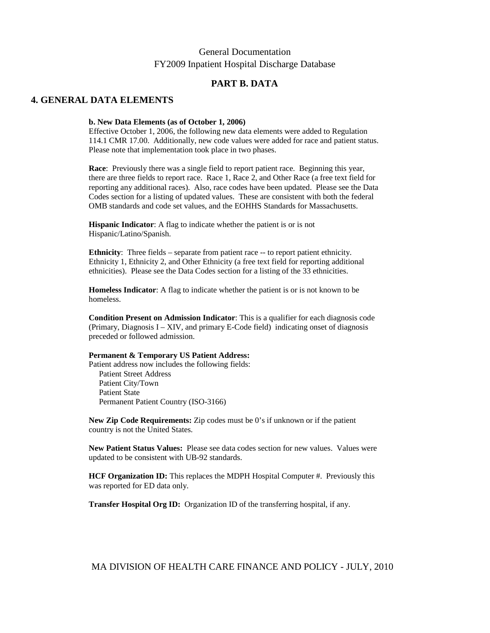### **PART B. DATA**

### **4. GENERAL DATA ELEMENTS**

#### **b. New Data Elements (as of October 1, 2006)**

Effective October 1, 2006, the following new data elements were added to Regulation 114.1 CMR 17.00. Additionally, new code values were added for race and patient status. Please note that implementation took place in two phases.

**Race**: Previously there was a single field to report patient race. Beginning this year, there are three fields to report race. Race 1, Race 2, and Other Race (a free text field for reporting any additional races). Also, race codes have been updated. Please see the Data Codes section for a listing of updated values. These are consistent with both the federal OMB standards and code set values, and the EOHHS Standards for Massachusetts.

**Hispanic Indicator**: A flag to indicate whether the patient is or is not Hispanic/Latino/Spanish.

**Ethnicity**: Three fields – separate from patient race -- to report patient ethnicity. Ethnicity 1, Ethnicity 2, and Other Ethnicity (a free text field for reporting additional ethnicities). Please see the Data Codes section for a listing of the 33 ethnicities.

**Homeless Indicator**: A flag to indicate whether the patient is or is not known to be homeless.

**Condition Present on Admission Indicator**: This is a qualifier for each diagnosis code (Primary, Diagnosis  $I - XIV$ , and primary E-Code field) indicating onset of diagnosis preceded or followed admission.

#### **Permanent & Temporary US Patient Address:**

Patient address now includes the following fields: Patient Street Address Patient City/Town Patient State Permanent Patient Country (ISO-3166)

**New Zip Code Requirements:** Zip codes must be 0's if unknown or if the patient country is not the United States.

**New Patient Status Values:** Please see data codes section for new values. Values were updated to be consistent with UB-92 standards.

**HCF Organization ID:** This replaces the MDPH Hospital Computer #. Previously this was reported for ED data only.

**Transfer Hospital Org ID:** Organization ID of the transferring hospital, if any.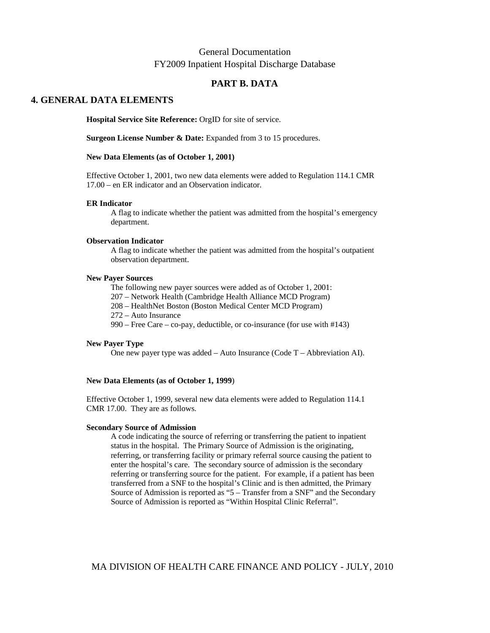### **PART B. DATA**

### **4. GENERAL DATA ELEMENTS**

**Hospital Service Site Reference:** OrgID for site of service.

**Surgeon License Number & Date:** Expanded from 3 to 15 procedures.

#### **New Data Elements (as of October 1, 2001)**

Effective October 1, 2001, two new data elements were added to Regulation 114.1 CMR 17.00 – en ER indicator and an Observation indicator.

#### **ER Indicator**

A flag to indicate whether the patient was admitted from the hospital's emergency department.

#### **Observation Indicator**

A flag to indicate whether the patient was admitted from the hospital's outpatient observation department.

#### **New Payer Sources**

 The following new payer sources were added as of October 1, 2001: 207 – Network Health (Cambridge Health Alliance MCD Program) 208 – HealthNet Boston (Boston Medical Center MCD Program) 272 – Auto Insurance 990 – Free Care – co-pay, deductible, or co-insurance (for use with #143)

#### **New Payer Type**

One new payer type was added – Auto Insurance (Code T – Abbreviation AI).

#### **New Data Elements (as of October 1, 1999**)

Effective October 1, 1999, several new data elements were added to Regulation 114.1 CMR 17.00. They are as follows.

### **Secondary Source of Admission**

A code indicating the source of referring or transferring the patient to inpatient status in the hospital. The Primary Source of Admission is the originating, referring, or transferring facility or primary referral source causing the patient to enter the hospital's care. The secondary source of admission is the secondary referring or transferring source for the patient. For example, if a patient has been transferred from a SNF to the hospital's Clinic and is then admitted, the Primary Source of Admission is reported as "5 – Transfer from a SNF" and the Secondary Source of Admission is reported as "Within Hospital Clinic Referral".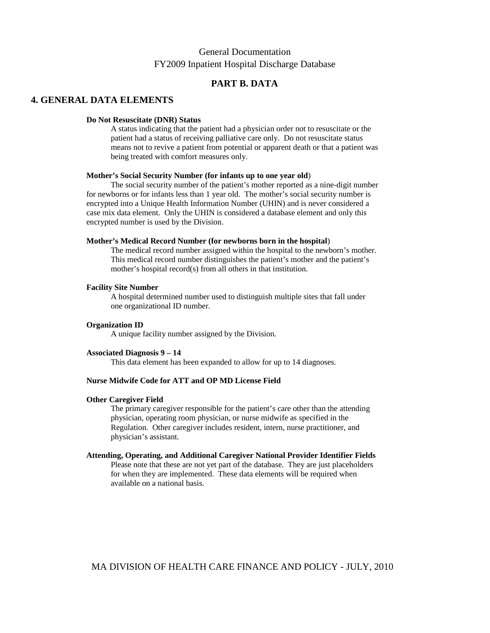### **PART B. DATA**

### **4. GENERAL DATA ELEMENTS**

#### **Do Not Resuscitate (DNR) Status**

A status indicating that the patient had a physician order not to resuscitate or the patient had a status of receiving palliative care only. Do not resuscitate status means not to revive a patient from potential or apparent death or that a patient was being treated with comfort measures only.

### **Mother's Social Security Number (for infants up to one year old**)

 The social security number of the patient's mother reported as a nine-digit number for newborns or for infants less than 1 year old. The mother's social security number is encrypted into a Unique Health Information Number (UHIN) and is never considered a case mix data element. Only the UHIN is considered a database element and only this encrypted number is used by the Division.

#### **Mother's Medical Record Number (for newborns born in the hospital**)

The medical record number assigned within the hospital to the newborn's mother. This medical record number distinguishes the patient's mother and the patient's mother's hospital record(s) from all others in that institution.

#### **Facility Site Number**

A hospital determined number used to distinguish multiple sites that fall under one organizational ID number.

### **Organization ID**

A unique facility number assigned by the Division.

#### **Associated Diagnosis 9 – 14**

This data element has been expanded to allow for up to 14 diagnoses.

### **Nurse Midwife Code for ATT and OP MD License Field**

#### **Other Caregiver Field**

The primary caregiver responsible for the patient's care other than the attending physician, operating room physician, or nurse midwife as specified in the Regulation. Other caregiver includes resident, intern, nurse practitioner, and physician's assistant.

#### **Attending, Operating, and Additional Caregiver National Provider Identifier Fields**

Please note that these are not yet part of the database. They are just placeholders for when they are implemented. These data elements will be required when available on a national basis.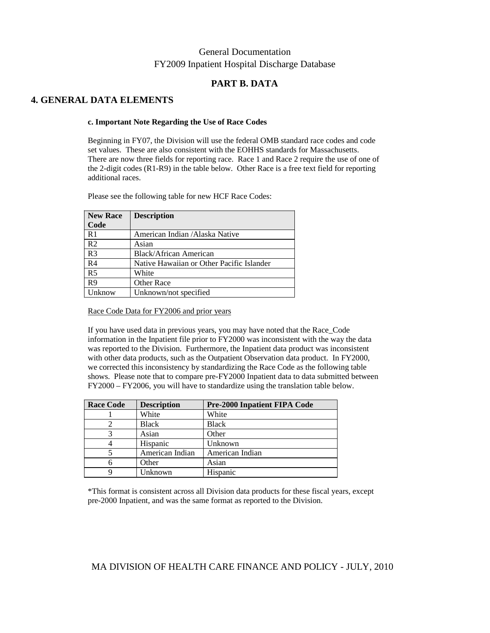### **PART B. DATA**

### **4. GENERAL DATA ELEMENTS**

#### **c. Important Note Regarding the Use of Race Codes**

Beginning in FY07, the Division will use the federal OMB standard race codes and code set values. These are also consistent with the EOHHS standards for Massachusetts. There are now three fields for reporting race. Race 1 and Race 2 require the use of one of the 2-digit codes (R1-R9) in the table below. Other Race is a free text field for reporting additional races.

Please see the following table for new HCF Race Codes:

| <b>New Race</b> | <b>Description</b>                        |
|-----------------|-------------------------------------------|
| Code            |                                           |
| R <sub>1</sub>  | American Indian / Alaska Native           |
| R <sub>2</sub>  | Asian                                     |
| R <sub>3</sub>  | Black/African American                    |
| R <sub>4</sub>  | Native Hawaiian or Other Pacific Islander |
| R <sub>5</sub>  | White                                     |
| R <sub>9</sub>  | <b>Other Race</b>                         |
| Unknow          | Unknown/not specified                     |

Race Code Data for FY2006 and prior years

If you have used data in previous years, you may have noted that the Race\_Code information in the Inpatient file prior to FY2000 was inconsistent with the way the data was reported to the Division. Furthermore, the Inpatient data product was inconsistent with other data products, such as the Outpatient Observation data product. In FY2000, we corrected this inconsistency by standardizing the Race Code as the following table shows. Please note that to compare pre-FY2000 Inpatient data to data submitted between FY2000 – FY2006, you will have to standardize using the translation table below.

| <b>Race Code</b> | <b>Description</b> | <b>Pre-2000 Inpatient FIPA Code</b> |
|------------------|--------------------|-------------------------------------|
|                  | White              | White                               |
|                  | <b>Black</b>       | <b>Black</b>                        |
|                  | Asian              | Other                               |
|                  | Hispanic           | Unknown                             |
|                  | American Indian    | American Indian                     |
|                  | Other              | Asian                               |
|                  | Unknown            | Hispanic                            |

\*This format is consistent across all Division data products for these fiscal years, except pre-2000 Inpatient, and was the same format as reported to the Division.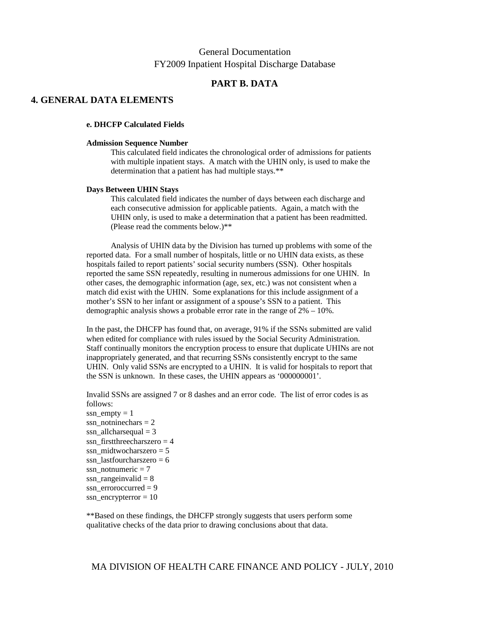### **PART B. DATA**

### **4. GENERAL DATA ELEMENTS**

#### **e. DHCFP Calculated Fields**

#### **Admission Sequence Number**

This calculated field indicates the chronological order of admissions for patients with multiple inpatient stays. A match with the UHIN only, is used to make the determination that a patient has had multiple stays.\*\*

#### **Days Between UHIN Stays**

This calculated field indicates the number of days between each discharge and each consecutive admission for applicable patients. Again, a match with the UHIN only, is used to make a determination that a patient has been readmitted. (Please read the comments below.)\*\*

Analysis of UHIN data by the Division has turned up problems with some of the reported data. For a small number of hospitals, little or no UHIN data exists, as these hospitals failed to report patients' social security numbers (SSN). Other hospitals reported the same SSN repeatedly, resulting in numerous admissions for one UHIN. In other cases, the demographic information (age, sex, etc.) was not consistent when a match did exist with the UHIN. Some explanations for this include assignment of a mother's SSN to her infant or assignment of a spouse's SSN to a patient. This demographic analysis shows a probable error rate in the range of 2% – 10%.

In the past, the DHCFP has found that, on average, 91% if the SSNs submitted are valid when edited for compliance with rules issued by the Social Security Administration. Staff continually monitors the encryption process to ensure that duplicate UHINs are not inappropriately generated, and that recurring SSNs consistently encrypt to the same UHIN. Only valid SSNs are encrypted to a UHIN. It is valid for hospitals to report that the SSN is unknown. In these cases, the UHIN appears as '000000001'.

Invalid SSNs are assigned 7 or 8 dashes and an error code. The list of error codes is as follows:

ssn  $empty = 1$ ssn\_notninechars =  $2$ ssn allcharsequal  $= 3$ ssn firstthreecharszero  $= 4$ ssn\_midtwocharszero =  $5$ ssn\_lastfourcharszero =  $6$ ssn\_notnumeric  $= 7$ ssn\_rangeinvalid  $= 8$ ssn\_erroroccurred =  $9$ ssn\_encrypterror = 10

\*\*Based on these findings, the DHCFP strongly suggests that users perform some qualitative checks of the data prior to drawing conclusions about that data.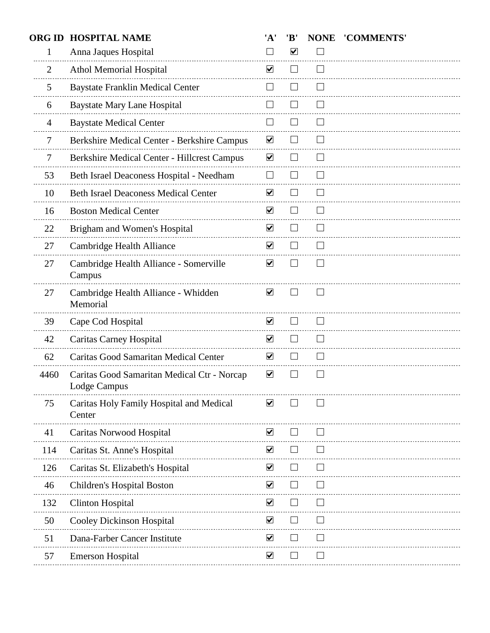| <b>ORG ID</b>  | <b>HOSPITAL NAME</b>                                        | 'A'                         | 'B'                      | <b>NONE</b>    | 'COMMENTS' |
|----------------|-------------------------------------------------------------|-----------------------------|--------------------------|----------------|------------|
| 1              | Anna Jaques Hospital                                        | $\sim$                      | $\blacktriangledown$     |                |            |
| $\overline{2}$ | <b>Athol Memorial Hospital</b>                              | $\blacktriangledown$        |                          |                |            |
| 5              | <b>Baystate Franklin Medical Center</b>                     | $\sim$                      |                          |                |            |
| 6              | <b>Baystate Mary Lane Hospital</b>                          |                             |                          |                |            |
| $\overline{4}$ | <b>Baystate Medical Center</b>                              | $\mathcal{L}_{\mathcal{A}}$ |                          |                |            |
| 7              | Berkshire Medical Center - Berkshire Campus                 | $\blacktriangledown$        |                          |                |            |
| 7              | <b>Berkshire Medical Center - Hillcrest Campus</b>          | $\blacktriangledown$        | $\overline{\phantom{a}}$ |                |            |
| 53             | Beth Israel Deaconess Hospital - Needham                    | $\Box$                      | $\overline{\phantom{0}}$ | $\sim$         |            |
| 10             | <b>Beth Israel Deaconess Medical Center</b>                 | $\blacktriangledown$        |                          |                |            |
| 16             | <b>Boston Medical Center</b>                                | $\blacktriangledown$        |                          |                |            |
| 22             | Brigham and Women's Hospital                                | $\blacktriangledown$        |                          |                |            |
| 27             | Cambridge Health Alliance                                   | $\blacktriangledown$        |                          |                |            |
| 27             | Cambridge Health Alliance - Somerville<br>Campus            | $\blacktriangledown$        |                          |                |            |
| 27             | Cambridge Health Alliance - Whidden<br>Memorial             | $\blacktriangledown$        |                          |                |            |
| 39             | Cape Cod Hospital                                           | $\blacktriangledown$        |                          |                |            |
| 42             | Caritas Carney Hospital                                     | $\overline{\mathbf{v}}$     |                          |                |            |
| 62             | Caritas Good Samaritan Medical Center                       | $\blacktriangledown$        | $\vert \ \ \vert$        |                |            |
| 4460           | Caritas Good Samaritan Medical Ctr - Norcap<br>Lodge Campus | $\blacktriangledown$        |                          |                |            |
| 75             | Caritas Holy Family Hospital and Medical<br>Center          | $\blacktriangledown$        |                          |                |            |
| 41             | Caritas Norwood Hospital                                    | $\checkmark$                |                          |                |            |
| 114            | Caritas St. Anne's Hospital                                 | $\blacktriangledown$        |                          |                |            |
| 126            | Caritas St. Elizabeth's Hospital                            | $\blacktriangledown$        | $\Box$                   |                |            |
| 46             | <b>Children's Hospital Boston</b>                           | $\blacktriangledown$        |                          |                |            |
| 132            | <b>Clinton Hospital</b>                                     | $\blacktriangledown$        |                          |                |            |
| 50             | Cooley Dickinson Hospital<br>____________________           | $\blacktriangledown$        |                          |                |            |
| 51             | Dana-Farber Cancer Institute                                | $\blacktriangledown$        |                          |                |            |
| 57             | <b>Emerson Hospital</b>                                     | $\blacktriangledown$        | $\overline{\phantom{0}}$ | $\blacksquare$ |            |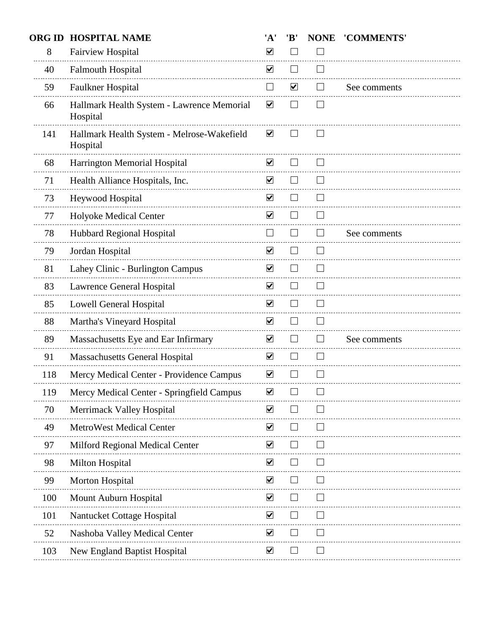| <b>ORG ID</b> | <b>HOSPITAL NAME</b>                                   | 'A'                  | 'B'                      | <b>NONE</b>    | 'COMMENTS'   |
|---------------|--------------------------------------------------------|----------------------|--------------------------|----------------|--------------|
| 8             | Fairview Hospital                                      | $\blacktriangledown$ |                          |                |              |
| 40            | <b>Falmouth Hospital</b>                               | $\blacktriangledown$ |                          |                |              |
| 59            | Faulkner Hospital                                      | $\mathcal{L}$        | $\blacktriangledown$     |                | See comments |
| 66            | Hallmark Health System - Lawrence Memorial<br>Hospital | $\blacktriangledown$ |                          |                |              |
| 141           | Hallmark Health System - Melrose-Wakefield<br>Hospital | $\blacktriangledown$ |                          |                |              |
| 68            | Harrington Memorial Hospital                           | $\blacktriangledown$ |                          |                |              |
| 71            | Health Alliance Hospitals, Inc.                        | $\blacktriangledown$ |                          |                |              |
| 73            | Heywood Hospital                                       | $\blacktriangledown$ |                          |                |              |
| 77            | Holyoke Medical Center                                 | $\blacktriangledown$ |                          |                |              |
| 78            | Hubbard Regional Hospital                              | $\Box$               | $\blacksquare$           | $\blacksquare$ | See comments |
| 79            | Jordan Hospital                                        | $\blacktriangledown$ |                          |                |              |
| 81            | Lahey Clinic - Burlington Campus                       | $\blacktriangledown$ |                          |                |              |
| 83            | Lawrence General Hospital                              | $\blacktriangledown$ | $\overline{\phantom{a}}$ |                |              |
| 85            | <b>Lowell General Hospital</b>                         | $\blacktriangledown$ |                          |                |              |
| 88            | Martha's Vineyard Hospital                             | $\blacktriangledown$ |                          |                |              |
| 89            | Massachusetts Eye and Ear Infirmary                    | $\blacktriangledown$ | $\blacksquare$           | $\blacksquare$ | See comments |
| 91            | <b>Massachusetts General Hospital</b>                  | $\blacktriangledown$ |                          | $\sim$         |              |
| 118           | Mercy Medical Center - Providence Campus               | $\blacktriangledown$ |                          |                |              |
| 119           | Mercy Medical Center - Springfield Campus              | ⊻                    |                          |                |              |
| 70            | <b>Merrimack Valley Hospital</b>                       | $\blacktriangledown$ |                          |                |              |
| 49            | <b>MetroWest Medical Center</b>                        | $\blacktriangledown$ |                          |                |              |
| 97            | Milford Regional Medical Center                        | $\blacktriangledown$ |                          |                |              |
| 98            | Milton Hospital                                        | $\blacktriangledown$ |                          |                |              |
| 99            | Morton Hospital                                        | $\blacktriangledown$ |                          |                |              |
| 100           | Mount Auburn Hospital                                  | $\blacktriangledown$ |                          |                |              |
| 101           | Nantucket Cottage Hospital                             | $\blacktriangledown$ |                          |                |              |
| 52            | Nashoba Valley Medical Center                          | $\blacktriangledown$ |                          |                |              |
| 103           | New England Baptist Hospital                           | $\blacktriangledown$ |                          |                |              |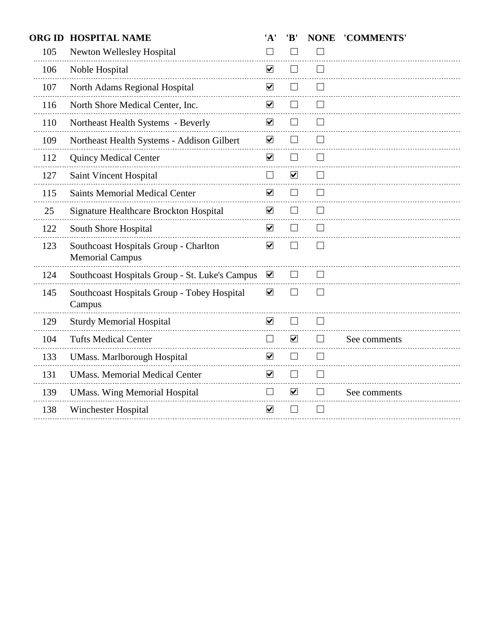| <b>ORG ID</b> | <b>HOSPITAL NAME</b>                                            | 'A'                      | 'B'                         | <b>NONE</b>    | 'COMMENTS'   |
|---------------|-----------------------------------------------------------------|--------------------------|-----------------------------|----------------|--------------|
| 105           | Newton Wellesley Hospital                                       | $\Box$                   |                             |                |              |
| 106           | Noble Hospital                                                  | $\blacktriangledown$     |                             |                |              |
| 107           | North Adams Regional Hospital                                   | $\blacktriangledown$     |                             |                |              |
| 116           | North Shore Medical Center, Inc.                                | $\blacktriangledown$     |                             |                |              |
| 110           | Northeast Health Systems - Beverly                              | $\blacktriangledown$     |                             |                |              |
| 109           | Northeast Health Systems - Addison Gilbert                      | $\overline{\mathbf{v}}$  |                             |                |              |
| 112           | <b>Quincy Medical Center</b>                                    | $\blacktriangledown$     | $\blacksquare$              |                |              |
| 127           | Saint Vincent Hospital                                          | $\Box$                   | $\blacktriangledown$        |                |              |
| 115           | <b>Saints Memorial Medical Center</b>                           | $\blacktriangledown$     |                             |                |              |
| 25            | Signature Healthcare Brockton Hospital                          | $\blacktriangledown$     |                             |                |              |
| 122           | South Shore Hospital                                            | $\blacktriangledown$     | $\blacksquare$              |                |              |
| 123           | Southcoast Hospitals Group - Charlton<br><b>Memorial Campus</b> | $\blacktriangledown$     |                             |                |              |
| 124           | Southcoast Hospitals Group - St. Luke's Campus                  | $\blacktriangledown$     |                             |                |              |
| 145           | Southcoast Hospitals Group - Tobey Hospital<br>Campus           | $\overline{\mathbf{v}}$  |                             | $\blacksquare$ |              |
| 129           | <b>Sturdy Memorial Hospital</b>                                 | $\blacktriangledown$     | $\mathcal{L}_{\mathcal{A}}$ |                |              |
| 104           | <b>Tufts Medical Center</b>                                     | $\mathbb{R}^n$           | $\blacktriangledown$        |                | See comments |
| 133           | <b>UMass. Marlborough Hospital</b>                              | $\overline{\mathbf{v}}$  |                             |                |              |
| 131           | <b>UMass. Memorial Medical Center</b>                           | $\blacktriangledown$     | $\blacksquare$              |                |              |
| 139           | <b>UMass. Wing Memorial Hospital</b>                            | $\overline{\phantom{a}}$ | $\blacktriangledown$        |                | See comments |
| 138           | Winchester Hospital                                             | $\blacktriangledown$     |                             |                |              |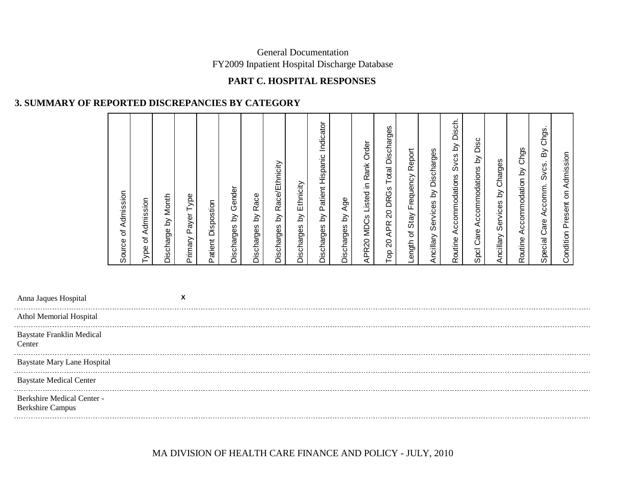# **PART C. HOSPITAL RESPONSES**

### **3. SUMMARY OF REPORTED DISCREPANCIES BY CATEGORY**

|                                            | Admission<br>৳<br>Source | Admission<br>৳<br>Type | Month<br>Discharge by | Payer Type<br>Primary | Patient Dispostion | Gender<br>$\gtrsim$<br>Discharges | Race<br><u>ই</u><br>Discharges | Race/Ethnicity<br>వ<br>Discharges | Ethnicity<br><u>১</u><br>Discharges | ndicator<br>Hispanic<br>Patient<br><u>ই</u><br>Discharges | Age<br><u>ই</u><br>Discharges | Order<br>Rank<br>≘.<br>Listed<br>APR20 MDCs | Discharges<br>Total<br><b>DRGs</b><br>$\Omega$<br><b>APR</b><br>$\mathsf{S}^0$<br>၉ | Report<br>Frequency<br>Stay<br>৳<br>Length | Discharges<br>$\gtrsim$<br>Services<br>Ancillary | Disch.<br>Svcs by<br>ccommodations<br>⋖<br>Routine | ěid<br>Accommodations by<br>Spcl Care | Charges<br><u>হ</u><br>Services<br>Ancillary | Chgs<br>Accommodation by<br>Routine | Chgs.<br>Σò<br>Svcs.<br>Accomm<br>Care<br>Special | Admission<br>န<br>resent<br>Condition |  |
|--------------------------------------------|--------------------------|------------------------|-----------------------|-----------------------|--------------------|-----------------------------------|--------------------------------|-----------------------------------|-------------------------------------|-----------------------------------------------------------|-------------------------------|---------------------------------------------|-------------------------------------------------------------------------------------|--------------------------------------------|--------------------------------------------------|----------------------------------------------------|---------------------------------------|----------------------------------------------|-------------------------------------|---------------------------------------------------|---------------------------------------|--|
| Anna Jaques Hospital                       |                          |                        |                       | X                     |                    |                                   |                                |                                   |                                     |                                                           |                               |                                             |                                                                                     |                                            |                                                  |                                                    |                                       |                                              |                                     |                                                   |                                       |  |
| Athol Memorial Hospital                    |                          |                        |                       |                       |                    |                                   |                                |                                   |                                     |                                                           |                               |                                             |                                                                                     |                                            |                                                  |                                                    |                                       |                                              |                                     |                                                   |                                       |  |
| <b>Baystate Franklin Medical</b><br>Center |                          |                        |                       |                       |                    |                                   |                                |                                   |                                     |                                                           |                               |                                             |                                                                                     |                                            |                                                  |                                                    |                                       |                                              |                                     |                                                   |                                       |  |

Baystate Mary Lane Hospital

Baystate Medical Center

Berkshire Medical Center -

Berkshire Campus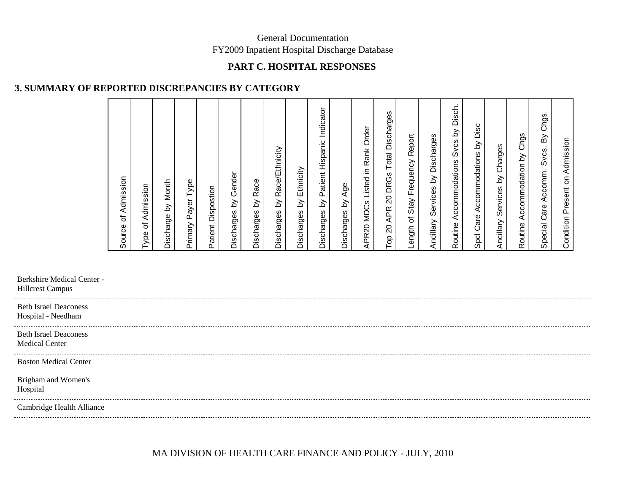### **PART C. HOSPITAL RESPONSES**

### **3. SUMMARY OF REPORTED DISCREPANCIES BY CATEGORY**

| of Admission<br>Source                                                                |
|---------------------------------------------------------------------------------------|
| Admission<br>Type of                                                                  |
| Month<br>$\gtrsim$<br>Discharge                                                       |
| Type<br>Payer<br>Primary                                                              |
| Dispostion<br>Patient                                                                 |
| Discharges by Gender                                                                  |
| Race<br>$\gtrsim$<br>Discharges                                                       |
| Race/Ethnicity<br>$\gtrsim$<br>Discharges                                             |
| Ethnicity<br>$\gtrsim$<br>Discharges                                                  |
| Indicator<br>Patient Hispanic<br>$\gtrsim$<br>Discharges                              |
| Age<br>$\gtrsim$<br>Discharges                                                        |
| Order<br>Rank<br>으.<br>Listed<br><b>MDCs</b><br>APR20                                 |
| Discharges<br>Total<br><b>DRGs</b><br>$\overline{c}$<br><b>APR</b><br>$\Omega$<br>ao. |
| Report<br>Frequency<br>Stay<br>৳<br>ength<br>$\overline{\phantom{0}}$                 |
| Ancillary Services by Discharges                                                      |
| Disch.<br>$\gtrsim$<br><b>Svcs</b><br>Accommodations<br>Routine                       |
| Disc<br>$\gtrsim$<br>Accommodations<br>Spcl Care                                      |
| Charges<br>$\delta$<br>Services<br>Ancillary                                          |
| Accommodation by Chgs<br>Routine                                                      |
| Chgs.<br>$\mathsf{B}\mathsf{Y}$<br>Svcs.<br>Accomm.<br>Care<br>Special                |
| Admission<br>Present on<br>Condition                                                  |

Berkshire Medical Center -

Hillcrest Campus

Beth Israel Deaconess Hospital - Needham

Beth Israel Deaconess

Medical Center

------------------------

Boston Medical Center

Brigham and Women's

Hospital . . . . . . . . . . .

Cambridge Health Alliance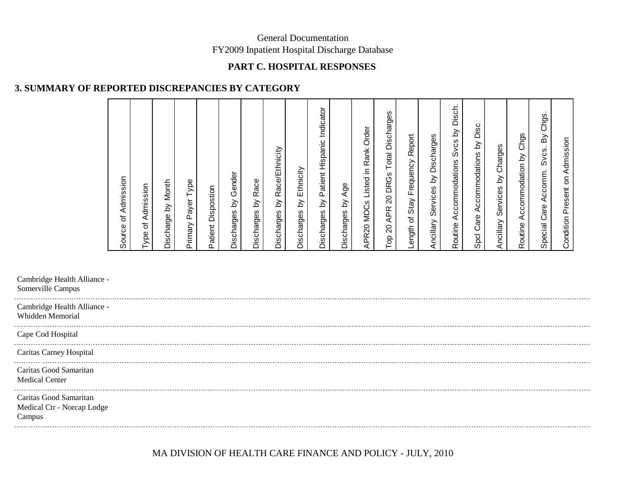### **PART C. HOSPITAL RESPONSES**

# **3. SUMMARY OF REPORTED DISCREPANCIES BY CATEGORY**

| Source of Admission                                                             |
|---------------------------------------------------------------------------------|
| Admission<br>Type of                                                            |
| Month<br>Discharge by                                                           |
| Type<br>Payer<br>Primary                                                        |
| Dispostion<br>Patient                                                           |
| by Gender<br>Discharges                                                         |
| Race<br>$\gtrsim$<br>Discharges                                                 |
| Race/Ethnicity<br>$\gtrsim$<br>Discharges                                       |
| Ethnicity<br>$\gtrapprox$<br>Discharges                                         |
| by Patient Hispanic Indicator<br>Discharges                                     |
| Age<br>$\gtrsim$<br>Discharges                                                  |
| Order<br>Listed in Rank<br><b>MDCs</b><br>APR20                                 |
| Discharges<br>Total<br><b>DRGs</b><br>$\rm 20$<br><b>APR</b><br>$\rm 20$<br>Top |
| ength of Stay Frequency Report                                                  |
| Ancillary Services by Discharges                                                |
| Disch.<br>$\gtrsim$<br><b>Sycs</b><br>Accommodations<br>Routine                 |
| Disc<br>$\gtrsim$<br>Accommodations<br>Care.<br>Spcl                            |
| Charges<br>$\gtrsim$<br>Services<br>Ancillary                                   |
| Accommodation by Chgs<br>Routine                                                |
| Chgs.<br>δ<br>Svcs.<br>Accomm.<br>Care<br>Special                               |
| Condition Present on Admission                                                  |

Cambridge Health Alliance - Somerville Campus . . . . . . . Cambridge Health Alliance - Whidden MemorialCape Cod Hospital Caritas Carney Hospital Caritas Good Samaritan Medical CenterCaritas Good Samaritan Medical Ctr - Norcap Lodge

Campus

-------------------------------------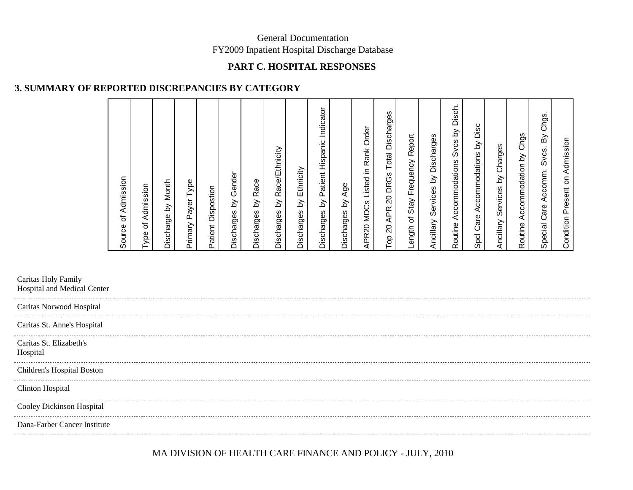### **PART C. HOSPITAL RESPONSES**

### **3. SUMMARY OF REPORTED DISCREPANCIES BY CATEGORY**

\_\_\_\_\_\_\_\_\_\_\_\_\_\_\_\_\_\_\_\_\_\_\_\_\_\_\_

| Source of Admission                                                              |
|----------------------------------------------------------------------------------|
| Admission<br>Type of                                                             |
| Month<br>$\delta$<br>Discharge                                                   |
| Type<br>Payer<br>Primary                                                         |
| Dispostion<br>Patient                                                            |
| Discharges by Gender                                                             |
| Race<br>$\gtrsim$<br>Discharges                                                  |
| Race/Ethnicity<br>$\gtrsim$<br>Discharges                                        |
| Ethnicity<br>$\gtrsim$<br>Discharges                                             |
| by Patient Hispanic Indicator<br>Discharges                                      |
| Age<br>Discharges by                                                             |
| MDCs Listed in Rank Order<br>APR20                                               |
| Discharges<br>Total<br><b>DRGs</b><br>$\Omega$<br><b>APR</b><br>$\gtrsim$<br>Tор |
| Report<br>Stay Frequency<br>Length of                                            |
| Ancillary Services by Discharges                                                 |
| Disch.<br>Δ<br>Svcs<br>Accommodations<br>Routine                                 |
| Disc<br>$\gtrsim$<br>Accommodations<br>Care.<br>Spcl                             |
| Charges<br>$\gtrsim$<br>Services<br>Ancillary                                    |
| Accommodation by Chgs<br>Routine                                                 |
| Chgs.<br>δŚ<br>Svcs.<br>Accomm.<br>Care<br>Special                               |
| Condition Present on Admission                                                   |

Caritas Holy Family

Hospital and Medical Center 

Caritas Norwood Hospital

Caritas St. Anne's Hospital

Caritas St. Elizabeth's

Hospital

. . . . . .

Children's Hospital Boston

Clinton Hospital

Cooley Dickinson Hospital

--------------------------Dana-Farber Cancer Institute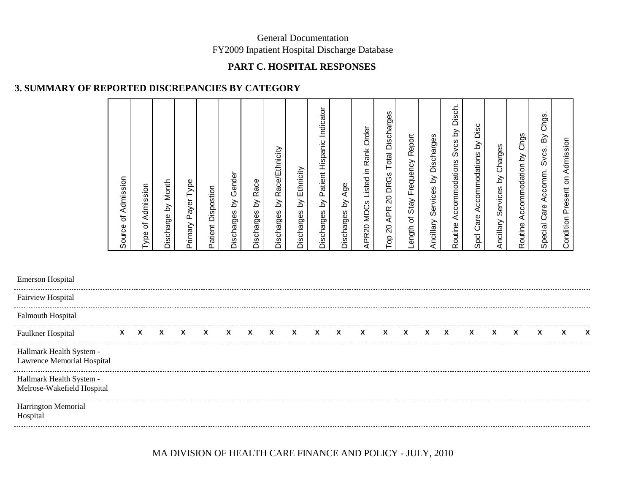### **PART C. HOSPITAL RESPONSES**

# **3. SUMMARY OF REPORTED DISCREPANCIES BY CATEGORY**

| Admission<br>Source of                                                          |  |
|---------------------------------------------------------------------------------|--|
| Type of Admission                                                               |  |
| by Month<br>Discharge                                                           |  |
| Type<br>Payer <sup>-</sup><br>Primary                                           |  |
| Dispostion<br>Patient                                                           |  |
| Discharges by Gender                                                            |  |
| Race<br>$\gtrsim$<br>Discharges                                                 |  |
| Race/Ethnicity<br>$\gtrsim$<br>Discharges                                       |  |
| Ethnicity<br>$\gtrsim$<br>Discharges                                            |  |
| Patient Hispanic Indicator<br>$\gtrsim$<br>Discharges                           |  |
| Age<br>$\gtrsim$<br>Discharges                                                  |  |
| Order<br>Rank<br>Listed in<br>APR20 MDCs                                        |  |
| Discharges<br>Total<br>20 DRGs<br><b>APR</b><br>$\overline{\mathcal{S}}$<br>Top |  |
| Length of Stay Frequency Report                                                 |  |
| Discharges<br>$\gtrsim$<br>Services<br>Ancillary                                |  |
| Disch.<br>$\gtrsim$<br>Svcs<br>Accommodations<br>Routine                        |  |
| Disc<br>$\gtrsim$<br>Accommodations<br>Care<br>Spcl                             |  |
| Ancillary Services by Charges                                                   |  |
| Routine Accommodation by Chgs                                                   |  |
| By Chgs<br>Svcs.<br>Accomm.<br>Special Care                                     |  |
| Admission<br>$\mathsf{S}% _{T}$<br>Present<br>Condition                         |  |
|                                                                                 |  |

| <b>Emerson Hospital</b>                                |    |   |   |   |   |              |   |              |   |  |  |  |   |   |  |   |   |
|--------------------------------------------------------|----|---|---|---|---|--------------|---|--------------|---|--|--|--|---|---|--|---|---|
| <b>Fairview Hospital</b>                               |    |   |   |   |   |              |   |              |   |  |  |  |   |   |  |   |   |
| <b>Falmouth Hospital</b>                               |    |   |   |   |   |              |   |              |   |  |  |  |   |   |  |   |   |
| <b>Faulkner Hospital</b>                               | X. | X | X | X | X | $\mathbf{x}$ | X | $\mathbf{x}$ | X |  |  |  | x | x |  | x | X |
| Hallmark Health System -<br>Lawrence Memorial Hospital |    |   |   |   |   |              |   |              |   |  |  |  |   |   |  |   |   |
| Hallmark Health System -<br>Melrose-Wakefield Hospital |    |   |   |   |   |              |   |              |   |  |  |  |   |   |  |   |   |
| Harrington Memorial<br>Hospital                        |    |   |   |   |   |              |   |              |   |  |  |  |   |   |  |   |   |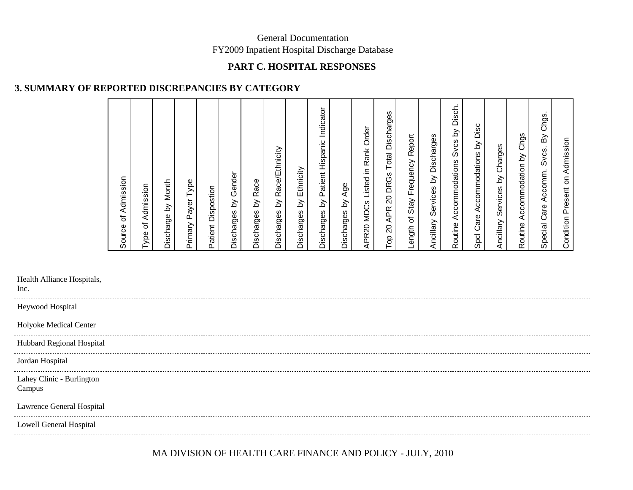### **PART C. HOSPITAL RESPONSES**

### **3. SUMMARY OF REPORTED DISCREPANCIES BY CATEGORY**

| Admission<br>$\overline{\mathbf{o}}$<br>Source                                         |
|----------------------------------------------------------------------------------------|
| Type of Admission                                                                      |
| Month<br>Discharge by                                                                  |
| Type<br>Payer <sup>-</sup><br>Primary                                                  |
| Dispostion<br>Patient                                                                  |
| Discharges by Gender                                                                   |
| Race<br>$\gtrsim$<br>Discharges                                                        |
| Race/Ethnicity<br>$\gtrsim$<br>Discharges                                              |
| Ethnicity<br>$\gtrsim$<br>Discharges                                                   |
| by Patient Hispanic Indicator<br>Discharges                                            |
| by Age<br>Discharges                                                                   |
| Order<br>Rank<br>Listed in<br><b>MDCs</b><br>APR20                                     |
| Discharges<br>Total<br><b>DRGs</b><br>$\overline{20}$<br><b>APR</b><br>$\Omega$<br>Top |
| Report<br>Length of Stay Frequency                                                     |
| Ancillary Services by Discharges                                                       |
| Disch.<br>$\overline{\mathsf{d}}$<br>Svcs<br>Accommodations<br>Routine                 |
| Disc<br>$\gtrsim$<br>Spcl Care Accommodations                                          |
| Charges<br>$\delta$<br>Services<br>Ancillary                                           |
| Accommodation by Chgs<br>Routine                                                       |
| Chgs.<br>$\mathbb S$<br>Svcs.<br>Accomm.<br>Care<br>Special                            |
| Condition Present on Admission                                                         |

Health Alliance Hospitals,

Inc.

| Heywood Hospital                    |  |
|-------------------------------------|--|
| Holyoke Medical Center              |  |
| Hubbard Regional Hospital           |  |
| Jordan Hospital                     |  |
| Lahey Clinic - Burlington<br>Campus |  |
| Lawrence General Hospital           |  |
| Lowell General Hospital             |  |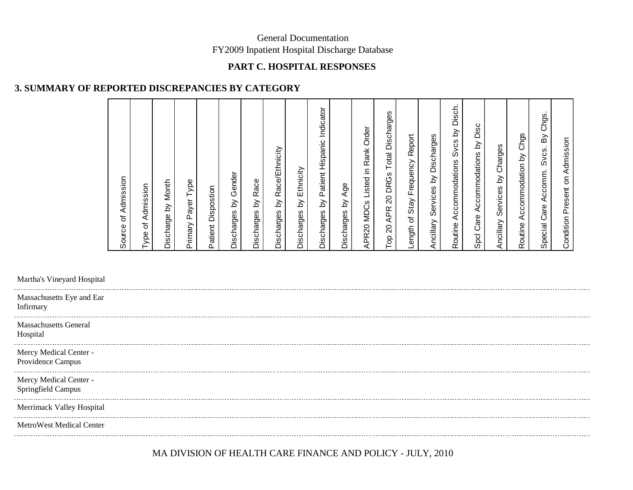### **PART C. HOSPITAL RESPONSES**

### **3. SUMMARY OF REPORTED DISCREPANCIES BY CATEGORY**

| Source of Admission                                                             |
|---------------------------------------------------------------------------------|
| Admission<br>Type of                                                            |
| Month<br>Discharge by                                                           |
| Type<br>Payer<br>Primary                                                        |
| Patient Dispostion                                                              |
| Gender<br>Discharges by                                                         |
| Race<br>$\gtrsim$<br>Discharges                                                 |
| Race/Ethnicity<br>$\gtrsim$<br>Discharges                                       |
| Ethnicity<br>$\gtrsim$<br>Discharges                                            |
| by Patient Hispanic Indicator<br>Discharges                                     |
| Age<br>$\gtrsim$<br>Discharges                                                  |
| Order<br>Rank<br>Listed in<br>APR20 MDCs                                        |
| Discharges<br>Total<br><b>DRGs</b><br>$\Omega$<br><b>APR</b><br>$\rm 20$<br>Top |
| Length of Stay Frequency Report                                                 |
| Ancillary Services by Discharges                                                |
| Disch.<br>Δ<br>Svcs<br>Accommodations<br>Routine                                |
| Disc<br>$\gtrsim$<br>Accommodations<br>Care<br>Spcl                             |
| Charges<br>Services by<br>Ancillary                                             |
| Accommodation by Chgs<br>Routine                                                |
| Chgs.<br>$\mathsf{B}\mathsf{y}$<br>Svcs.<br>Accomm.<br>Care<br>Special          |
| Admission<br>$\overline{5}$<br>Present<br>Condition                             |

Martha's Vineyard Hospital

| Massachusetts Eye and Ear<br>Infirmary       |
|----------------------------------------------|
| <b>Massachusetts General</b><br>Hospital     |
| Mercy Medical Center -<br>Providence Campus  |
| Mercy Medical Center -<br>Springfield Campus |
| Merrimack Valley Hospital                    |
| <b>MetroWest Medical Center</b>              |
|                                              |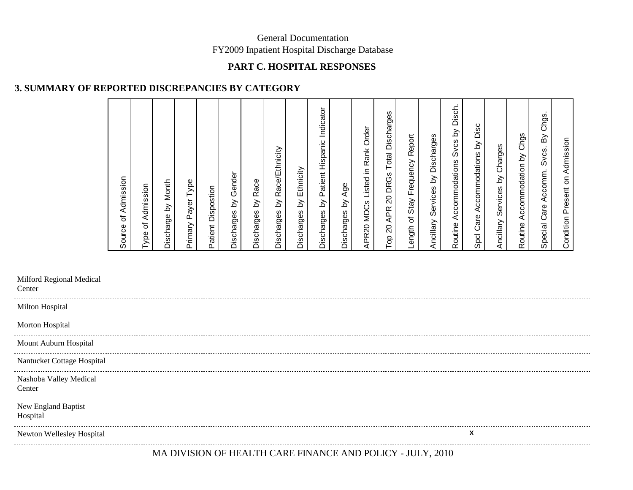### **PART C. HOSPITAL RESPONSES**

### **3. SUMMARY OF REPORTED DISCREPANCIES BY CATEGORY**

| Admission<br>Source of                                                          |
|---------------------------------------------------------------------------------|
| Admission<br>Type of                                                            |
| Month<br>$\gtrsim$<br>Discharge                                                 |
| Type<br>Primary Payer                                                           |
| Dispostion<br>Patient                                                           |
| by Gender<br>Discharges                                                         |
| Race<br>$\gtrsim$<br>Discharges                                                 |
| Race/Ethnicity<br>$\gtrapprox$<br>Discharges                                    |
| Ethnicity<br>$\gtrsim$<br>Discharges                                            |
| by Patient Hispanic Indicator<br>Discharges                                     |
| Age<br>$\gtrsim$<br>Discharges                                                  |
| Rank Order<br>Listed in<br><b>MDCs</b><br>APR20                                 |
| Discharges<br>Total<br><b>DRGs</b><br>$\Omega$<br><b>APR</b><br>$\Omega$<br>Top |
| Report<br>ength of Stay Frequency                                               |
| Ancillary Services by Discharges                                                |
| Disch.<br>$\gtrsim$<br>Svcs<br>Accommodations<br>Routine                        |
| Disc<br>$\gtrsim$<br>Accommodations<br>Care.<br>Spcl                            |
| Charges<br>Services by<br>Ancillary                                             |
| Chgs<br>Accommodation by<br>Routine                                             |
| Chgs.<br>$\mathsf{B}\mathsf{y}$<br>Svcs.<br>Accomm.<br>Care<br>Special          |
| Admission<br>$\mathsf{S}% _{T}$<br><b>Condition Present</b>                     |

| Milford Regional Medical<br>Center |                                                          |
|------------------------------------|----------------------------------------------------------|
| Milton Hospital                    |                                                          |
| Morton Hospital                    |                                                          |
| Mount Auburn Hospital              |                                                          |
| Nantucket Cottage Hospital         |                                                          |
| Nashoba Valley Medical<br>Center   |                                                          |
| New England Baptist<br>Hospital    |                                                          |
| Newton Wellesley Hospital          | х                                                        |
|                                    | MA DIVIGION OF HEALTH CADE FINANCE AND DOLICY. HH V 2010 |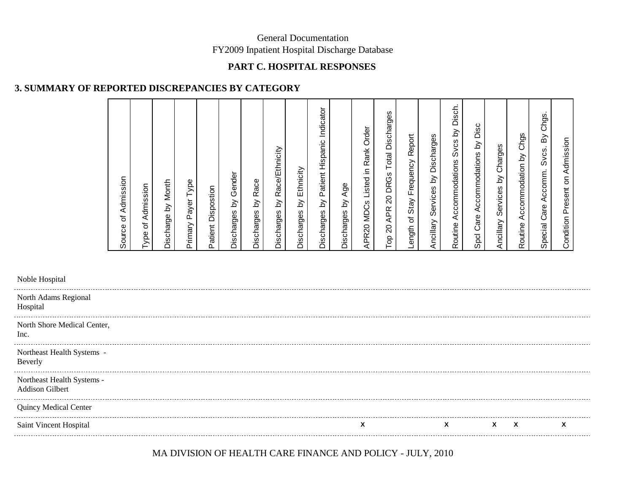### **PART C. HOSPITAL RESPONSES**

### **3. SUMMARY OF REPORTED DISCREPANCIES BY CATEGORY**

| Admission<br>$\overline{\sigma}$<br>Source                                |
|---------------------------------------------------------------------------|
| Type of Admission                                                         |
| Month<br>Discharge by                                                     |
| Type<br>Payer <sup>-</sup><br>Primary                                     |
| Dispostion<br>Patient                                                     |
| by Gender<br>Discharges                                                   |
| Race<br>$\gtrsim$<br>Discharges                                           |
| Race/Ethnicity<br>$\gtrsim$<br>Discharges                                 |
| Ethnicity<br>$\gtrsim$<br>Discharges                                      |
| Discharges by Patient Hispanic Indicator                                  |
| Age<br>$\gtrsim$<br>Discharges                                            |
| Order<br>Rank<br>Listed in<br>APR20 MDCs                                  |
| Discharges<br>Total<br><b>DRGs</b><br>$\Omega$<br><b>APR</b><br>20<br>Top |
| Report<br>Length of Stay Frequency                                        |
| Ancillary Services by Discharges                                          |
| Disch.<br>Δ<br><b>S</b> vcs<br>Accommodations<br>Routine                  |
| Disc<br>$\gtrsim$<br>Accommodations<br>Care<br>Spcl                       |
| Charges<br>$\delta$<br>Services<br>Ancillary                              |
| Chgs<br>Accommodation by<br>Routine                                       |
| Chgs.<br>$\mathsf{B}\mathsf{y}$<br>Svcs.<br>Accomm.<br>Care<br>Special    |
| Admission<br>$\mathsf{S}% _{T}$<br>Present<br>Condition                   |

| Noble Hospital                                |  |   |   |          |   |   |
|-----------------------------------------------|--|---|---|----------|---|---|
| North Adams Regional<br>Hospital              |  |   |   |          |   |   |
| North Shore Medical Center,<br>Inc.           |  |   |   |          |   |   |
| Northeast Health Systems -<br>Beverly         |  |   |   |          |   |   |
| Northeast Health Systems -<br>Addison Gilbert |  |   |   |          |   |   |
| <b>Quincy Medical Center</b>                  |  |   |   |          |   |   |
| Saint Vincent Hospital                        |  | X | X | <b>X</b> | X | x |
|                                               |  |   |   |          |   |   |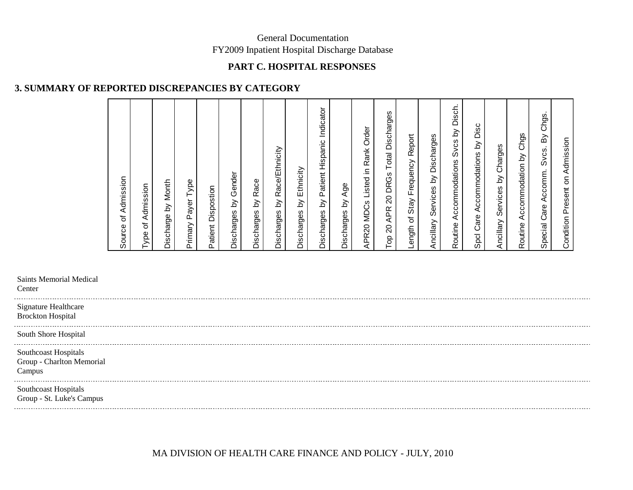### **PART C. HOSPITAL RESPONSES**

### **3. SUMMARY OF REPORTED DISCREPANCIES BY CATEGORY**

| Admission<br>Source of                                                               |
|--------------------------------------------------------------------------------------|
| Admission<br>Type of                                                                 |
| Month<br>$\gtrsim$<br>Discharge                                                      |
| Payer Type<br>Primary                                                                |
| Patient Dispostion                                                                   |
| Gender<br>Discharges by                                                              |
| Race<br>$\gtrsim$<br>Discharges                                                      |
| Race/Ethnicity<br>$\gtrsim$<br>Discharges                                            |
| Ethnicity<br>$\gtrsim$<br>Discharges                                                 |
| Indicator<br>Patient Hispanic<br>Δ<br>Discharges                                     |
| Age<br>$\gtrsim$<br>Discharges                                                       |
| Order<br>Rank<br>으.<br>Listed<br><b>MDCs</b><br>APR20                                |
| Discharges<br>Total<br><b>DRGs</b><br>$\Omega$<br><b>APR</b><br>$\Omega$<br>ao.<br>⊢ |
| Report<br>Frequency<br>Stay<br>$\mathcal{P}$<br>ength                                |
| Services by Discharges<br>Ancillary                                                  |
| Disch.<br>$\delta$<br><b>Svcs</b><br>Accommodations<br>Routine                       |
| Disc<br>$\gtrsim$<br>Accommodations<br>Care<br>Spcl                                  |
| Charges<br>$\delta$<br>Services<br>Ancillary                                         |
| Accommodation by Chgs<br>Routine                                                     |
| Chgs.<br>δ<br>Svcs.<br>Accomm.<br>Care<br>Special                                    |
| Admission<br>Condition Present on                                                    |

Saints Memorial Medical

**Center** 

. . . . . . . . . . .

Signature Healthcare Brockton Hospital

South Shore Hospital

------------------------

Southcoast Hospitals Group - Charlton Memorial Campus

Southcoast Hospitals Group - St. Luke's Campus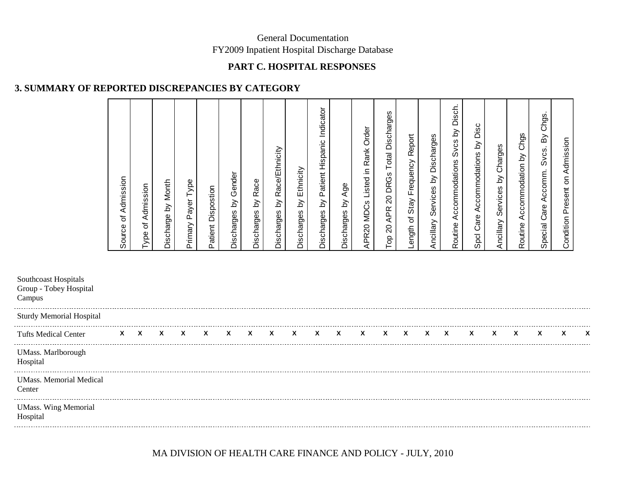### **PART C. HOSPITAL RESPONSES**

### **3. SUMMARY OF REPORTED DISCREPANCIES BY CATEGORY**

| <b>Tufts Medical Center</b>                              | X                            | X                                | X                              | X                            | X                         | X                                | X                       | X                                            | X                            | X                                                    | X                             | X                                                     | X                                                                                           | X                                         | X                                        | X                                                                     | X                                                          | X                                                    | X                                              | X                                                              | χ                                          | X |
|----------------------------------------------------------|------------------------------|----------------------------------|--------------------------------|------------------------------|---------------------------|----------------------------------|-------------------------|----------------------------------------------|------------------------------|------------------------------------------------------|-------------------------------|-------------------------------------------------------|---------------------------------------------------------------------------------------------|-------------------------------------------|------------------------------------------|-----------------------------------------------------------------------|------------------------------------------------------------|------------------------------------------------------|------------------------------------------------|----------------------------------------------------------------|--------------------------------------------|---|
| <b>Sturdy Memorial Hospital</b>                          |                              |                                  |                                |                              |                           |                                  |                         |                                              |                              |                                                      |                               |                                                       |                                                                                             |                                           |                                          |                                                                       |                                                            |                                                      |                                                |                                                                |                                            |   |
| Southcoast Hospitals<br>Group - Tobey Hospital<br>Campus |                              |                                  |                                |                              |                           |                                  |                         |                                              |                              |                                                      |                               |                                                       |                                                                                             |                                           |                                          |                                                                       |                                                            |                                                      |                                                |                                                                |                                            |   |
|                                                          | Admission<br>৳<br>ource<br>ഗ | ion<br>dmis<br>৳<br><b>I</b> ype | Month<br><u>ই</u><br>Discharge | Type<br>ayer<br>൨<br>Primary | Dispostion<br>atient<br>௳ | Gender<br><u>ই</u><br>Discharges | Race<br>৯<br>Discharges | Race/Ethnicity<br>$\gtrapprox$<br>Discharges | Ethnicity<br>হ<br>Discharges | Indicator<br>Hispanic<br>Patient<br>Σ,<br>Discharges | Age<br><u>ই</u><br>Discharges | Order<br>Rank<br>⊇.<br>Listed<br><b>MDCs</b><br>APR20 | ഗ<br>Discharge<br>Total<br>ဖ<br>DRG<br>$\overline{c}$<br><b>APR</b><br>$\overline{c}$<br>Ρg | Report<br>Frequency<br>Stay<br>৳<br>ength | Discharges<br>వ<br>Services<br>Ancillary | 둥<br>ěã<br><u>े</u><br>ပ္ပိ<br>ഗ<br>commodations<br>Ō<br>⋖<br>Routine | ပ<br>Dis<br>$\gtrapprox$<br>Accommodations<br>Care<br>Spcl | Charges<br><u>১</u><br>89<br>ervic<br>ഗ<br>Ancillary | ဖာ<br>Čhğ<br>వ<br>ccommodation<br>⋖<br>Routine | ဖ<br>Chg<br>ଇଁ<br><b>Svcs</b><br>ccomm<br>⋖<br>Care<br>Special | Admission<br>g<br>resent<br>൨<br>Condition |   |

UMass. Marlborough

Hospital

UMass. Memorial Medical

Center

UMass. Wing Memorial

Hospital

MA DIVISION OF HEALTH CARE FINANCE AND POLICY - JULY, 2010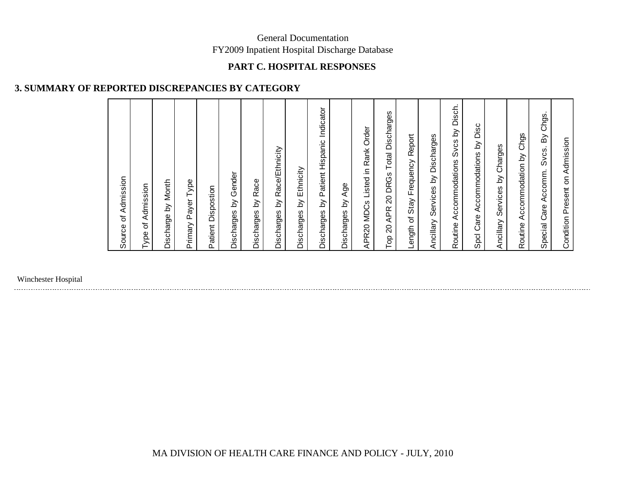### **PART C. HOSPITAL RESPONSES**

# **3. SUMMARY OF REPORTED DISCREPANCIES BY CATEGORY**

| Admission<br>Source of                                                                 |
|----------------------------------------------------------------------------------------|
| Admission<br>$\overline{\mathbf{o}}$<br>Type                                           |
| Month<br>$\delta$<br>Discharge                                                         |
| Payer Type<br>Primary                                                                  |
| Dispostion<br>Patient                                                                  |
| Gender<br>$\gtrsim$<br>Discharges                                                      |
| Race<br>$\gtrsim$<br>Discharges                                                        |
| Race/Ethnicity<br>$\gtrsim$<br>Discharges                                              |
| Ethnicity<br>$\gtrsim$<br>Discharges                                                   |
| Indicator<br>Patient Hispanic<br>$\gtrsim$<br>Discharges                               |
| Age<br>$\delta$<br>Discharges                                                          |
| Order<br>Rank<br>Listed in<br>APR20 MDCs                                               |
| Discharges<br>Total<br><b>DRGs</b><br>$\overline{20}$<br><b>APR</b><br>$\Omega$<br>Top |
| Report<br>Frequency<br>Stay<br>$\rm 5$<br>ength<br>ᆜ                                   |
| by Discharges<br>Services<br>Ancillary                                                 |
| Disch.<br>$\delta$<br>Svcs<br>Accommodations<br>Routine                                |
| Disc<br>$\gtrsim$<br>Accommodations<br>Care<br>Spcl                                    |
| Charges<br>$\delta$<br>Services<br>Ancillary                                           |
| Accommodation by Chgs<br>Routine                                                       |
| Chgs.<br>$\mathsf{B}\mathsf{y}$<br>Svcs.<br>Accomm.<br>Care<br>Special                 |
| Admission<br>Condition Present on                                                      |

Winchester Hospital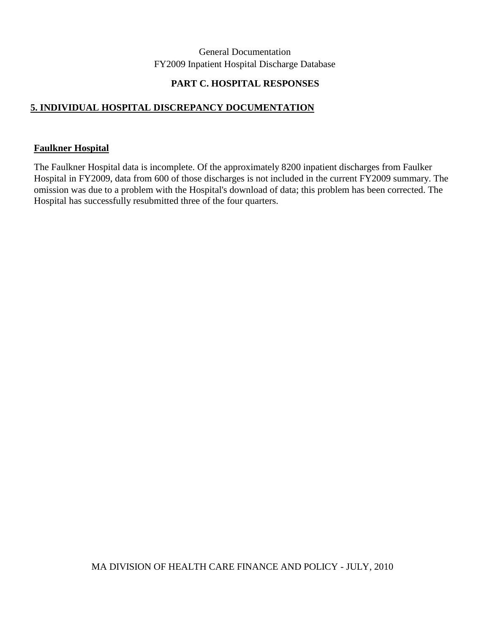#### **PART C. HOSPITAL RESPONSES**

## **5. INDIVIDUAL HOSPITAL DISCREPANCY DOCUMENTATION**

#### **Faulkner Hospital**

The Faulkner Hospital data is incomplete. Of the approximately 8200 inpatient discharges from Faulker Hospital in FY2009, data from 600 of those discharges is not included in the current FY2009 summary. The omission was due to a problem with the Hospital's download of data; this problem has been corrected. The Hospital has successfully resubmitted three of the four quarters.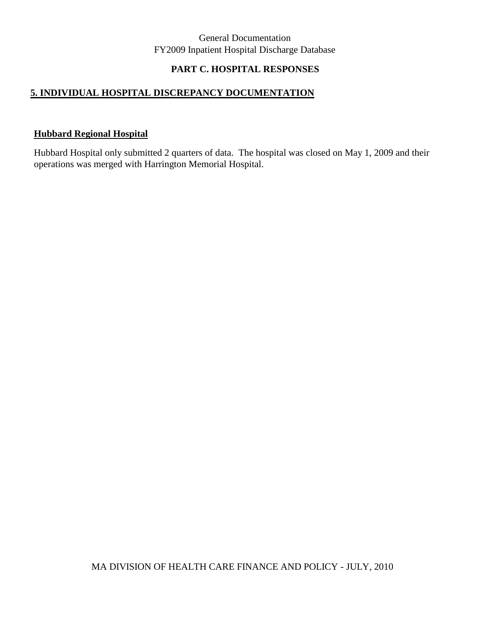## **PART C. HOSPITAL RESPONSES**

### **5. INDIVIDUAL HOSPITAL DISCREPANCY DOCUMENTATION**

#### **Hubbard Regional Hospital**

Hubbard Hospital only submitted 2 quarters of data. The hospital was closed on May 1, 2009 and their operations was merged with Harrington Memorial Hospital.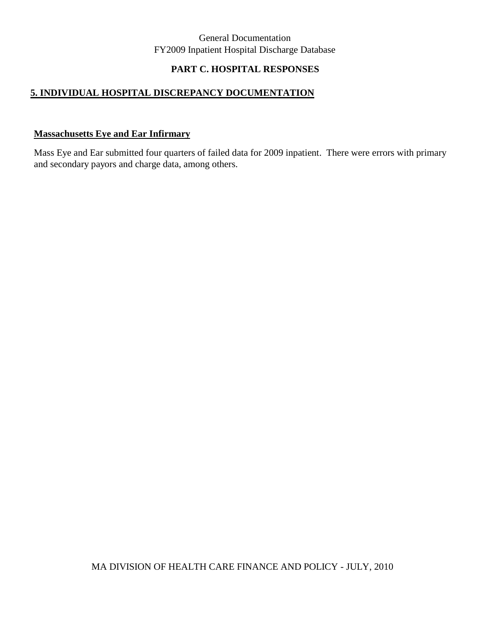## **PART C. HOSPITAL RESPONSES**

## **5. INDIVIDUAL HOSPITAL DISCREPANCY DOCUMENTATION**

#### **Massachusetts Eye and Ear Infirmary**

Mass Eye and Ear submitted four quarters of failed data for 2009 inpatient. There were errors with primary and secondary payors and charge data, among others.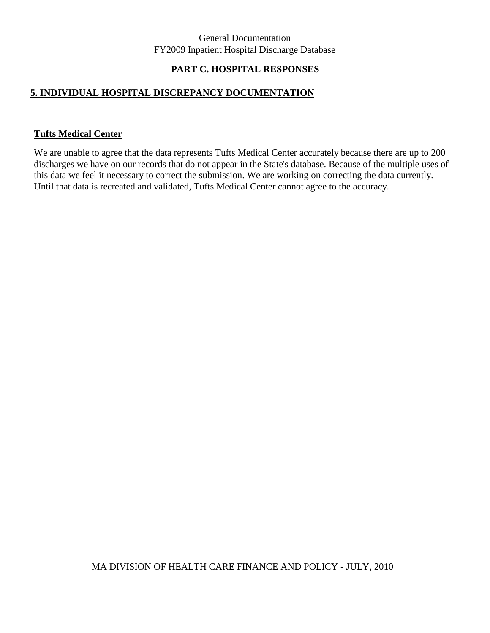### **PART C. HOSPITAL RESPONSES**

#### **5. INDIVIDUAL HOSPITAL DISCREPANCY DOCUMENTATION**

#### **Tufts Medical Center**

We are unable to agree that the data represents Tufts Medical Center accurately because there are up to 200 discharges we have on our records that do not appear in the State's database. Because of the multiple uses of this data we feel it necessary to correct the submission. We are working on correcting the data currently. Until that data is recreated and validated, Tufts Medical Center cannot agree to the accuracy.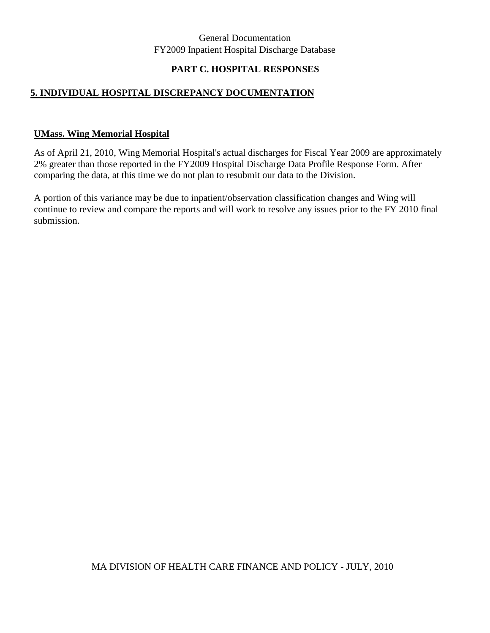## **PART C. HOSPITAL RESPONSES**

#### **5. INDIVIDUAL HOSPITAL DISCREPANCY DOCUMENTATION**

#### **UMass. Wing Memorial Hospital**

As of April 21, 2010, Wing Memorial Hospital's actual discharges for Fiscal Year 2009 are approximately 2% greater than those reported in the FY2009 Hospital Discharge Data Profile Response Form. After comparing the data, at this time we do not plan to resubmit our data to the Division.

A portion of this variance may be due to inpatient/observation classification changes and Wing will continue to review and compare the reports and will work to resolve any issues prior to the FY 2010 final submission.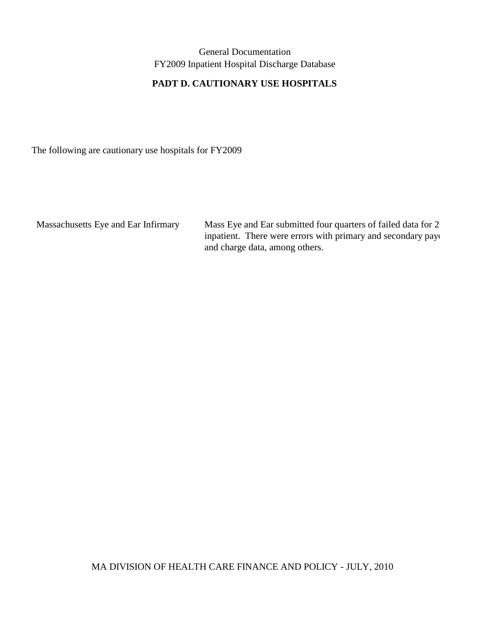# **PADT D. CAUTIONARY USE HOSPITALS**

The following are cautionary use hospitals for FY2009

Massachusetts Eye and Ear Infirmary Mass Eye and Ear submitted four quarters of failed data for 2<sup>0</sup> inpatient. There were errors with primary and secondary payo and charge data, among others.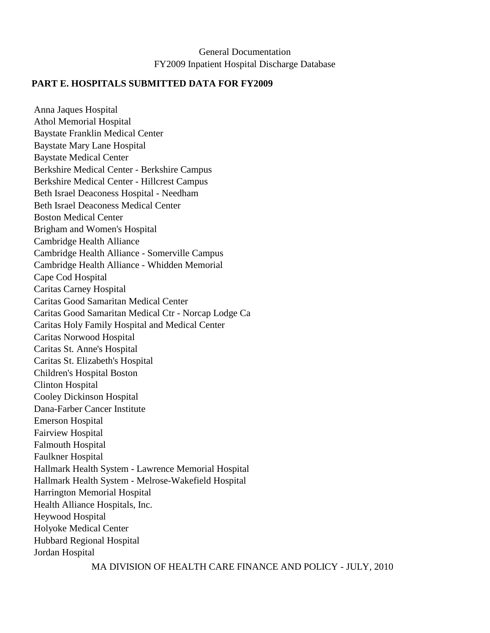#### **PART E. HOSPITALS SUBMITTED DATA FOR FY2009**

Anna Jaques Hospital Athol Memorial Hospital Baystate Franklin Medical Center Baystate Mary Lane Hospital Baystate Medical Center Berkshire Medical Center - Berkshire Campus Berkshire Medical Center - Hillcrest Campus Beth Israel Deaconess Hospital - Needham Beth Israel Deaconess Medical Center Boston Medical Center Brigham and Women's Hospital Cambridge Health Alliance Cambridge Health Alliance - Somerville Campus Cambridge Health Alliance - Whidden Memorial Cape Cod Hospital Caritas Carney Hospital Caritas Good Samaritan Medical Center Caritas Good Samaritan Medical Ctr - Norcap Lodge Ca Caritas Holy Family Hospital and Medical Center Caritas Norwood Hospital Caritas St. Anne's Hospital Caritas St. Elizabeth's Hospital Children's Hospital Boston Clinton Hospital Cooley Dickinson Hospital Dana-Farber Cancer Institute Emerson Hospital Fairview Hospital Falmouth Hospital Faulkner Hospital Hallmark Health System - Lawrence Memorial Hospital Hallmark Health System - Melrose-Wakefield Hospital Harrington Memorial Hospital Health Alliance Hospitals, Inc. Heywood Hospital Holyoke Medical Center Hubbard Regional Hospital Jordan Hospital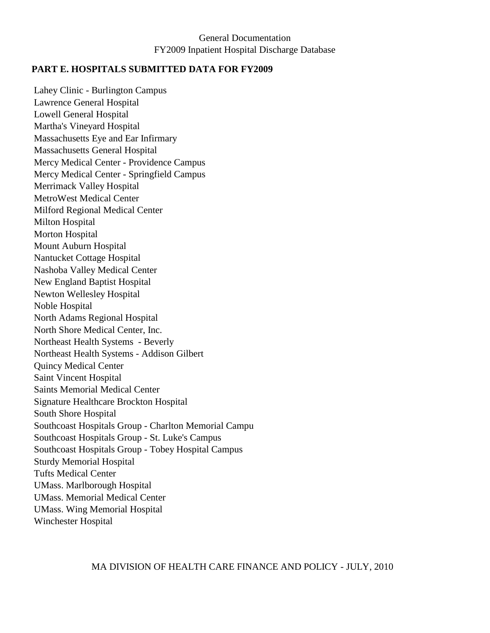#### **PART E. HOSPITALS SUBMITTED DATA FOR FY2009**

Lahey Clinic - Burlington Campus Lawrence General Hospital Lowell General Hospital Martha's Vineyard Hospital Massachusetts Eye and Ear Infirmary Massachusetts General Hospital Mercy Medical Center - Providence Campus Mercy Medical Center - Springfield Campus Merrimack Valley Hospital MetroWest Medical Center Milford Regional Medical Center Milton Hospital Morton Hospital Mount Auburn Hospital Nantucket Cottage Hospital Nashoba Valley Medical Center New England Baptist Hospital Newton Wellesley Hospital Noble Hospital North Adams Regional Hospital North Shore Medical Center, Inc. Northeast Health Systems - Beverly Northeast Health Systems - Addison Gilbert Quincy Medical Center Saint Vincent Hospital Saints Memorial Medical Center Signature Healthcare Brockton Hospital South Shore Hospital Southcoast Hospitals Group - Charlton Memorial Campu Southcoast Hospitals Group - St. Luke's Campus Southcoast Hospitals Group - Tobey Hospital Campus Sturdy Memorial Hospital Tufts Medical Center UMass. Marlborough Hospital UMass. Memorial Medical Center UMass. Wing Memorial Hospital Winchester Hospital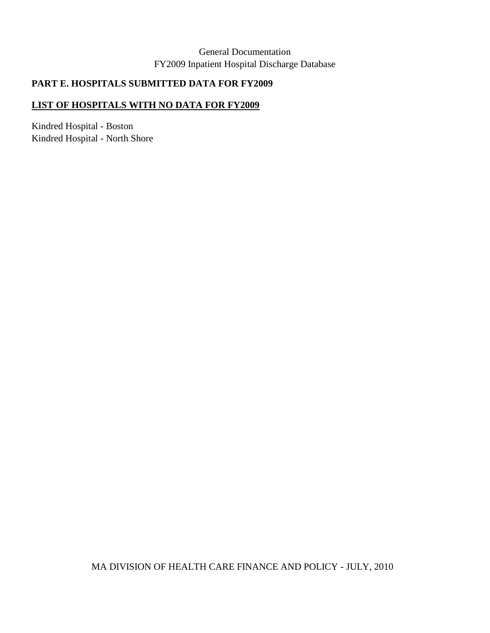# **PART E. HOSPITALS SUBMITTED DATA FOR FY2009**

#### **LIST OF HOSPITALS WITH NO DATA FOR FY2009**

Kindred Hospital - Boston Kindred Hospital - North Shore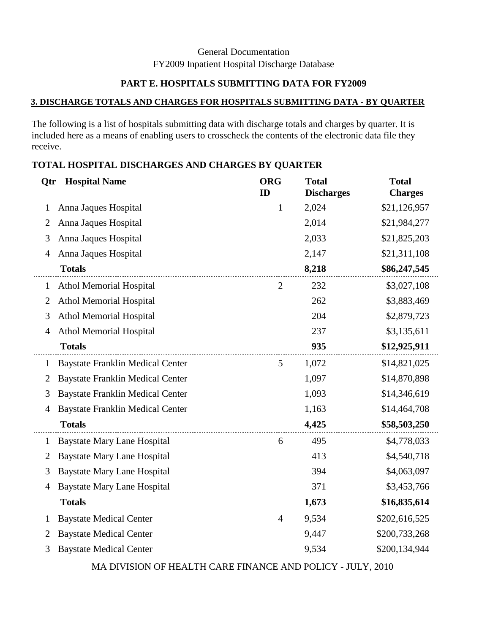# **PART E. HOSPITALS SUBMITTING DATA FOR FY2009**

#### **3. DISCHARGE TOTALS AND CHARGES FOR HOSPITALS SUBMITTING DATA - BY QUARTER**

The following is a list of hospitals submitting data with discharge totals and charges by quarter. It is included here as a means of enabling users to crosscheck the contents of the electronic data file they receive.

| TOTAL HOSPITAL DISCHARGES AND CHARGES BY QUARTER |
|--------------------------------------------------|
|--------------------------------------------------|

| Qtr            | <b>Hospital Name</b>                    | <b>ORG</b><br>ID | <b>Total</b><br><b>Discharges</b> | <b>Total</b><br><b>Charges</b> |
|----------------|-----------------------------------------|------------------|-----------------------------------|--------------------------------|
| 1              | Anna Jaques Hospital                    | $\mathbf{1}$     | 2,024                             | \$21,126,957                   |
| $\overline{2}$ | Anna Jaques Hospital                    |                  | 2,014                             | \$21,984,277                   |
| 3              | Anna Jaques Hospital                    |                  | 2,033                             | \$21,825,203                   |
| $\overline{4}$ | Anna Jaques Hospital                    |                  | 2,147                             | \$21,311,108                   |
|                | <b>Totals</b>                           |                  | 8,218                             | \$86,247,545                   |
| $\mathbf{1}$   | <b>Athol Memorial Hospital</b>          | $\overline{2}$   | 232                               | \$3,027,108                    |
| $\overline{2}$ | <b>Athol Memorial Hospital</b>          |                  | 262                               | \$3,883,469                    |
| 3              | <b>Athol Memorial Hospital</b>          |                  | 204                               | \$2,879,723                    |
| 4              | <b>Athol Memorial Hospital</b>          |                  | 237                               | \$3,135,611                    |
|                | <b>Totals</b>                           |                  | 935                               | \$12,925,911                   |
| $\mathbf{1}$   | <b>Baystate Franklin Medical Center</b> | 5                | 1,072                             | \$14,821,025                   |
| 2              | <b>Baystate Franklin Medical Center</b> |                  | 1,097                             | \$14,870,898                   |
| 3              | <b>Baystate Franklin Medical Center</b> |                  | 1,093                             | \$14,346,619                   |
| 4              | <b>Baystate Franklin Medical Center</b> |                  | 1,163                             | \$14,464,708                   |
|                | <b>Totals</b>                           |                  | 4,425                             | \$58,503,250                   |
| $\mathbf{1}$   | <b>Baystate Mary Lane Hospital</b>      | 6                | 495                               | \$4,778,033                    |
| $\overline{2}$ | <b>Baystate Mary Lane Hospital</b>      |                  | 413                               | \$4,540,718                    |
| 3              | <b>Baystate Mary Lane Hospital</b>      |                  | 394                               | \$4,063,097                    |
| 4              | <b>Baystate Mary Lane Hospital</b>      |                  | 371                               | \$3,453,766                    |
|                | <b>Totals</b>                           |                  | 1,673                             | \$16,835,614                   |
| $\mathbf{1}$   | <b>Baystate Medical Center</b>          | $\overline{4}$   | 9,534                             | \$202,616,525                  |
| $\overline{2}$ | <b>Baystate Medical Center</b>          |                  | 9,447                             | \$200,733,268                  |
| 3              | <b>Baystate Medical Center</b>          |                  | 9,534                             | \$200,134,944                  |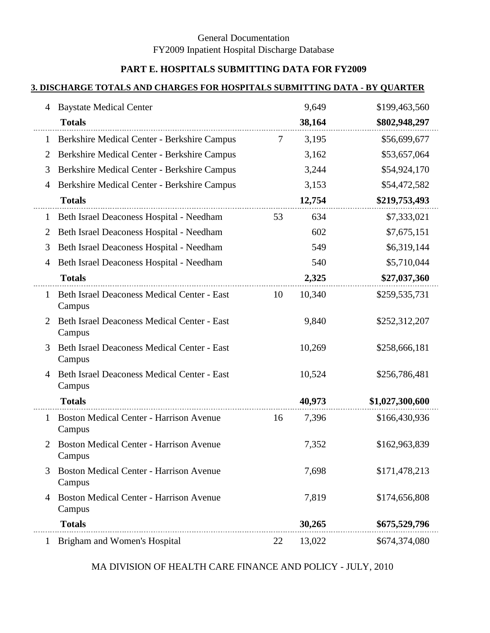# **PART E. HOSPITALS SUBMITTING DATA FOR FY2009**

#### **3. DISCHARGE TOTALS AND CHARGES FOR HOSPITALS SUBMITTING DATA - BY QUARTER**

| 4              | <b>Baystate Medical Center</b>                           |    | 9,649  | \$199,463,560   |
|----------------|----------------------------------------------------------|----|--------|-----------------|
|                | <b>Totals</b>                                            |    | 38,164 | \$802,948,297   |
| 1              | Berkshire Medical Center - Berkshire Campus              | 7  | 3,195  | \$56,699,677    |
| $\overline{2}$ | Berkshire Medical Center - Berkshire Campus              |    | 3,162  | \$53,657,064    |
| 3              | Berkshire Medical Center - Berkshire Campus              |    | 3,244  | \$54,924,170    |
| 4              | Berkshire Medical Center - Berkshire Campus              |    | 3,153  | \$54,472,582    |
|                | <b>Totals</b>                                            |    | 12,754 | \$219,753,493   |
| $\mathbf{1}$   | Beth Israel Deaconess Hospital - Needham                 | 53 | 634    | \$7,333,021     |
| $\overline{2}$ | Beth Israel Deaconess Hospital - Needham                 |    | 602    | \$7,675,151     |
| 3              | Beth Israel Deaconess Hospital - Needham                 |    | 549    | \$6,319,144     |
| 4              | Beth Israel Deaconess Hospital - Needham                 |    | 540    | \$5,710,044     |
|                | <b>Totals</b>                                            |    | 2,325  | \$27,037,360    |
| 1              | Beth Israel Deaconess Medical Center - East<br>Campus    | 10 | 10,340 | \$259,535,731   |
| 2              | Beth Israel Deaconess Medical Center - East<br>Campus    |    | 9,840  | \$252,312,207   |
| 3              | Beth Israel Deaconess Medical Center - East<br>Campus    |    | 10,269 | \$258,666,181   |
| 4              | Beth Israel Deaconess Medical Center - East<br>Campus    |    | 10,524 | \$256,786,481   |
|                | <b>Totals</b>                                            |    | 40,973 | \$1,027,300,600 |
| $\mathbf{1}$   | <b>Boston Medical Center - Harrison Avenue</b><br>Campus | 16 | 7,396  | \$166,430,936   |
| 2              | <b>Boston Medical Center - Harrison Avenue</b><br>Campus |    | 7,352  | \$162,963,839   |
| 3              | <b>Boston Medical Center - Harrison Avenue</b><br>Campus |    | 7,698  | \$171,478,213   |
| 4              | <b>Boston Medical Center - Harrison Avenue</b><br>Campus |    | 7,819  | \$174,656,808   |
|                | <b>Totals</b>                                            |    | 30,265 | \$675,529,796   |
| $\mathbf{1}$   | Brigham and Women's Hospital                             | 22 | 13,022 | \$674,374,080   |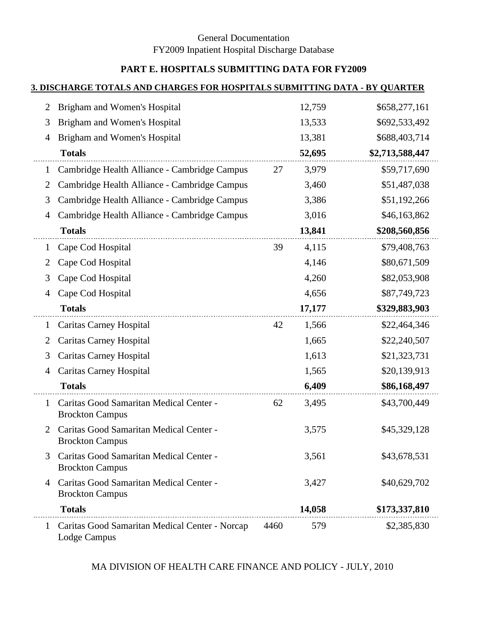# **PART E. HOSPITALS SUBMITTING DATA FOR FY2009**

#### **3. DISCHARGE TOTALS AND CHARGES FOR HOSPITALS SUBMITTING DATA - BY QUARTER**

| 2       | Brigham and Women's Hospital                                      |      | 12,759 | \$658,277,161   |
|---------|-------------------------------------------------------------------|------|--------|-----------------|
| 3       | Brigham and Women's Hospital                                      |      | 13,533 | \$692,533,492   |
| 4       | Brigham and Women's Hospital                                      |      | 13,381 | \$688,403,714   |
|         | <b>Totals</b>                                                     |      | 52,695 | \$2,713,588,447 |
| 1       | Cambridge Health Alliance - Cambridge Campus                      | 27   | 3,979  | \$59,717,690    |
| 2       | Cambridge Health Alliance - Cambridge Campus                      |      | 3,460  | \$51,487,038    |
| 3       | Cambridge Health Alliance - Cambridge Campus                      |      | 3,386  | \$51,192,266    |
| 4       | Cambridge Health Alliance - Cambridge Campus                      |      | 3,016  | \$46,163,862    |
|         | <b>Totals</b>                                                     |      | 13,841 | \$208,560,856   |
| $\perp$ | Cape Cod Hospital                                                 | 39   | 4,115  | \$79,408,763    |
| 2       | Cape Cod Hospital                                                 |      | 4,146  | \$80,671,509    |
| 3       | Cape Cod Hospital                                                 |      | 4,260  | \$82,053,908    |
| 4       | Cape Cod Hospital                                                 |      | 4,656  | \$87,749,723    |
|         | <b>Totals</b>                                                     |      | 17,177 | \$329,883,903   |
| $\perp$ | <b>Caritas Carney Hospital</b>                                    | 42   | 1,566  | \$22,464,346    |
| 2       | <b>Caritas Carney Hospital</b>                                    |      | 1,665  | \$22,240,507    |
| 3       | <b>Caritas Carney Hospital</b>                                    |      | 1,613  | \$21,323,731    |
| 4       | <b>Caritas Carney Hospital</b>                                    |      | 1,565  | \$20,139,913    |
|         | <b>Totals</b>                                                     |      | 6,409  | \$86,168,497    |
| 1       | Caritas Good Samaritan Medical Center -<br><b>Brockton Campus</b> | 62   | 3,495  | \$43,700,449    |
| 2       | Caritas Good Samaritan Medical Center -<br><b>Brockton Campus</b> |      | 3,575  | \$45,329,128    |
|         | Caritas Good Samaritan Medical Center -<br><b>Brockton Campus</b> |      | 3,561  | \$43,678,531    |
| 4       | Caritas Good Samaritan Medical Center -<br><b>Brockton Campus</b> |      | 3,427  | \$40,629,702    |
|         | <b>Totals</b>                                                     |      | 14,058 | \$173,337,810   |
| 1       | Caritas Good Samaritan Medical Center - Norcap<br>Lodge Campus    | 4460 | 579    | \$2,385,830     |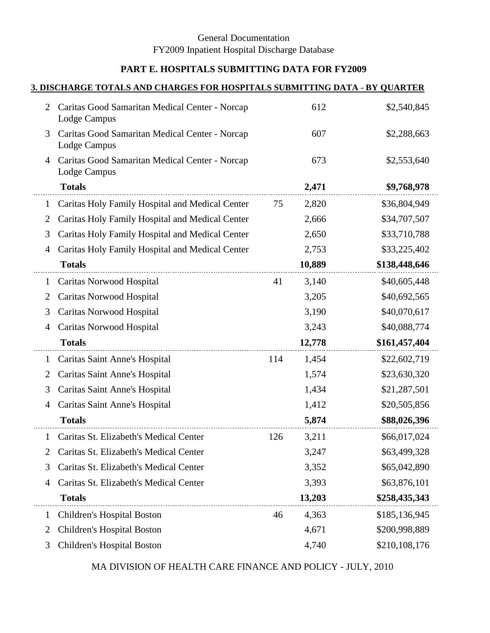# **PART E. HOSPITALS SUBMITTING DATA FOR FY2009**

#### **3. DISCHARGE TOTALS AND CHARGES FOR HOSPITALS SUBMITTING DATA - BY QUARTER**

| 2            | Caritas Good Samaritan Medical Center - Norcap<br>Lodge Campus |     | 612    | \$2,540,845   |
|--------------|----------------------------------------------------------------|-----|--------|---------------|
| 3            | Caritas Good Samaritan Medical Center - Norcap<br>Lodge Campus |     | 607    | \$2,288,663   |
| 4            | Caritas Good Samaritan Medical Center - Norcap<br>Lodge Campus |     | 673    | \$2,553,640   |
|              | <b>Totals</b>                                                  |     | 2,471  | \$9,768,978   |
| 1            | Caritas Holy Family Hospital and Medical Center                | 75  | 2,820  | \$36,804,949  |
| 2            | Caritas Holy Family Hospital and Medical Center                |     | 2,666  | \$34,707,507  |
| 3            | Caritas Holy Family Hospital and Medical Center                |     | 2,650  | \$33,710,788  |
| 4            | Caritas Holy Family Hospital and Medical Center                |     | 2,753  | \$33,225,402  |
|              | <b>Totals</b>                                                  |     | 10,889 | \$138,448,646 |
| $\mathbf{1}$ | Caritas Norwood Hospital                                       | 41  | 3,140  | \$40,605,448  |
| 2            | Caritas Norwood Hospital                                       |     | 3,205  | \$40,692,565  |
| 3            | Caritas Norwood Hospital                                       |     | 3,190  | \$40,070,617  |
| 4            | Caritas Norwood Hospital                                       |     | 3,243  | \$40,088,774  |
|              | <b>Totals</b>                                                  |     | 12,778 | \$161,457,404 |
| 1            | Caritas Saint Anne's Hospital                                  | 114 | 1,454  | \$22,602,719  |
| 2            | Caritas Saint Anne's Hospital                                  |     | 1,574  | \$23,630,320  |
| 3            | Caritas Saint Anne's Hospital                                  |     | 1,434  | \$21,287,501  |
| 4            | Caritas Saint Anne's Hospital                                  |     | 1,412  | \$20,505,856  |
|              | <b>Totals</b>                                                  |     | 5,874  | \$88,026,396  |
| 1            | Caritas St. Elizabeth's Medical Center                         | 126 | 3,211  | \$66,017,024  |
| 2            | Caritas St. Elizabeth's Medical Center                         |     | 3,247  | \$63,499,328  |
| 3            | Caritas St. Elizabeth's Medical Center                         |     | 3,352  | \$65,042,890  |
| 4            | Caritas St. Elizabeth's Medical Center                         |     | 3,393  | \$63,876,101  |
|              | <b>Totals</b>                                                  |     | 13,203 | \$258,435,343 |
| 1            | Children's Hospital Boston                                     | 46  | 4,363  | \$185,136,945 |
| 2            | <b>Children's Hospital Boston</b>                              |     | 4,671  | \$200,998,889 |
| 3            | Children's Hospital Boston                                     |     | 4,740  | \$210,108,176 |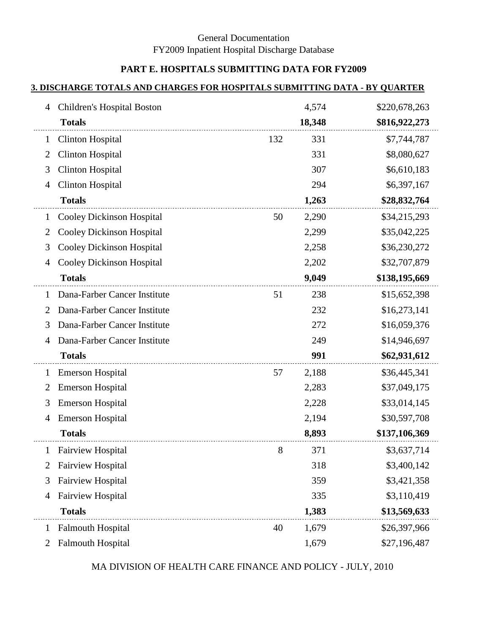## **PART E. HOSPITALS SUBMITTING DATA FOR FY2009**

#### **3. DISCHARGE TOTALS AND CHARGES FOR HOSPITALS SUBMITTING DATA - BY QUARTER**

| Children's Hospital Boston<br>4                  |     | 4,574  | \$220,678,263 |
|--------------------------------------------------|-----|--------|---------------|
| <b>Totals</b>                                    |     | 18,348 | \$816,922,273 |
| <b>Clinton Hospital</b><br>1                     | 132 | 331    | \$7,744,787   |
| <b>Clinton Hospital</b><br>$\overline{2}$        |     | 331    | \$8,080,627   |
| <b>Clinton Hospital</b><br>3                     |     | 307    | \$6,610,183   |
| <b>Clinton Hospital</b><br>4                     |     | 294    | \$6,397,167   |
| <b>Totals</b>                                    |     | 1,263  | \$28,832,764  |
| <b>Cooley Dickinson Hospital</b><br>$\mathbf{1}$ | 50  | 2,290  | \$34,215,293  |
| <b>Cooley Dickinson Hospital</b><br>2            |     | 2,299  | \$35,042,225  |
| <b>Cooley Dickinson Hospital</b><br>3            |     | 2,258  | \$36,230,272  |
| <b>Cooley Dickinson Hospital</b><br>4            |     | 2,202  | \$32,707,879  |
| <b>Totals</b>                                    |     | 9,049  | \$138,195,669 |
| Dana-Farber Cancer Institute<br>1                | 51  | 238    | \$15,652,398  |
| Dana-Farber Cancer Institute<br>2                |     | 232    | \$16,273,141  |
| Dana-Farber Cancer Institute<br>3                |     | 272    | \$16,059,376  |
| Dana-Farber Cancer Institute<br>4                |     | 249    | \$14,946,697  |
| <b>Totals</b>                                    |     | 991    | \$62,931,612  |
| <b>Emerson Hospital</b><br>1                     | 57  | 2,188  | \$36,445,341  |
| <b>Emerson Hospital</b><br>2                     |     | 2,283  | \$37,049,175  |
| <b>Emerson Hospital</b><br>3                     |     | 2,228  | \$33,014,145  |
| <b>Emerson Hospital</b><br>4                     |     | 2,194  | \$30,597,708  |
| <b>Totals</b>                                    |     | 8,893  | \$137,106,369 |
| <b>Fairview Hospital</b><br>$\mathbf{1}$         | 8   | 371    | \$3,637,714   |
| <b>Fairview Hospital</b><br>2                    |     | 318    | \$3,400,142   |
| <b>Fairview Hospital</b><br>3                    |     | 359    | \$3,421,358   |
| <b>Fairview Hospital</b><br>4                    |     | 335    | \$3,110,419   |
| <b>Totals</b>                                    |     | 1,383  | \$13,569,633  |
| <b>Falmouth Hospital</b><br>1                    | 40  | 1,679  | \$26,397,966  |
| <b>Falmouth Hospital</b><br>2                    |     | 1,679  | \$27,196,487  |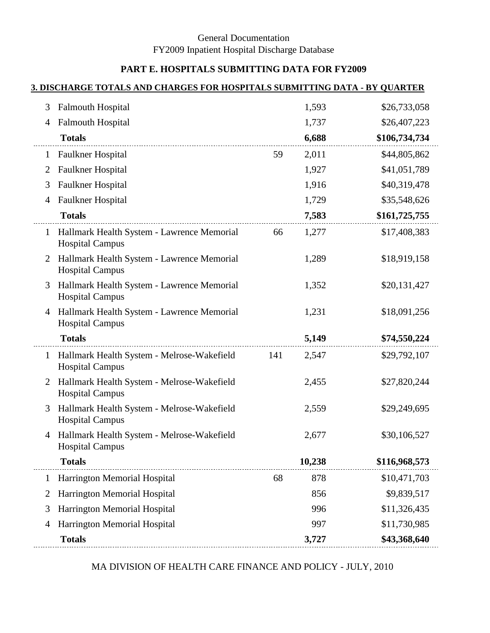# **PART E. HOSPITALS SUBMITTING DATA FOR FY2009**

#### **3. DISCHARGE TOTALS AND CHARGES FOR HOSPITALS SUBMITTING DATA - BY QUARTER**

| 3            | <b>Falmouth Hospital</b>                                             |     | 1,593  | \$26,733,058  |
|--------------|----------------------------------------------------------------------|-----|--------|---------------|
| 4            | <b>Falmouth Hospital</b>                                             |     | 1,737  | \$26,407,223  |
|              | <b>Totals</b>                                                        |     | 6,688  | \$106,734,734 |
| 1            | Faulkner Hospital                                                    | 59  | 2,011  | \$44,805,862  |
| 2            | Faulkner Hospital                                                    |     | 1,927  | \$41,051,789  |
| 3            | Faulkner Hospital                                                    |     | 1,916  | \$40,319,478  |
| 4            | Faulkner Hospital                                                    |     | 1,729  | \$35,548,626  |
|              | <b>Totals</b>                                                        |     | 7,583  | \$161,725,755 |
| $\mathbf{1}$ | Hallmark Health System - Lawrence Memorial<br><b>Hospital Campus</b> | 66  | 1,277  | \$17,408,383  |
| 2            | Hallmark Health System - Lawrence Memorial<br><b>Hospital Campus</b> |     | 1,289  | \$18,919,158  |
| 3            | Hallmark Health System - Lawrence Memorial<br><b>Hospital Campus</b> |     | 1,352  | \$20,131,427  |
| 4            | Hallmark Health System - Lawrence Memorial<br><b>Hospital Campus</b> |     | 1,231  | \$18,091,256  |
|              | <b>Totals</b>                                                        |     | 5,149  | \$74,550,224  |
| $\mathbf{1}$ | Hallmark Health System - Melrose-Wakefield<br><b>Hospital Campus</b> | 141 | 2,547  | \$29,792,107  |
| 2            | Hallmark Health System - Melrose-Wakefield<br><b>Hospital Campus</b> |     | 2,455  | \$27,820,244  |
| 3            | Hallmark Health System - Melrose-Wakefield<br><b>Hospital Campus</b> |     | 2,559  | \$29,249,695  |
| 4            | Hallmark Health System - Melrose-Wakefield<br><b>Hospital Campus</b> |     | 2,677  | \$30,106,527  |
|              | <b>Totals</b>                                                        |     | 10,238 | \$116,968,573 |
| 1            | Harrington Memorial Hospital                                         | 68  | 878    | \$10,471,703  |
| 2            | Harrington Memorial Hospital                                         |     | 856    | \$9,839,517   |
| 3            | Harrington Memorial Hospital                                         |     | 996    | \$11,326,435  |
| 4            | Harrington Memorial Hospital                                         |     | 997    | \$11,730,985  |
|              | <b>Totals</b>                                                        |     | 3,727  | \$43,368,640  |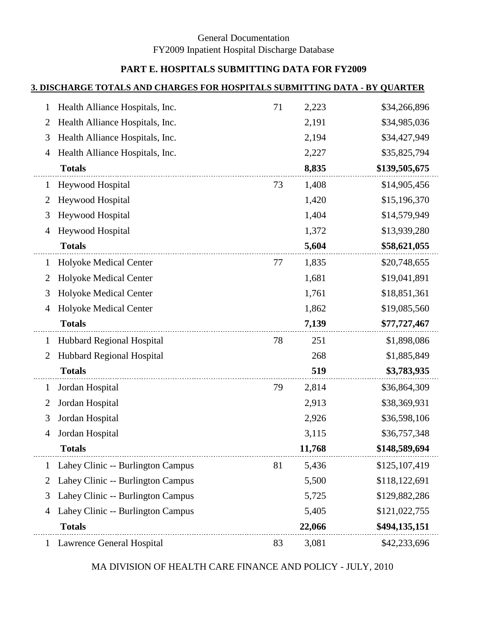# **PART E. HOSPITALS SUBMITTING DATA FOR FY2009**

#### **3. DISCHARGE TOTALS AND CHARGES FOR HOSPITALS SUBMITTING DATA - BY QUARTER**

| 1            | Health Alliance Hospitals, Inc.   | 71 | 2,223  | \$34,266,896  |
|--------------|-----------------------------------|----|--------|---------------|
| 2            | Health Alliance Hospitals, Inc.   |    | 2,191  | \$34,985,036  |
| 3            | Health Alliance Hospitals, Inc.   |    | 2,194  | \$34,427,949  |
| 4            | Health Alliance Hospitals, Inc.   |    | 2,227  | \$35,825,794  |
|              | <b>Totals</b>                     |    | 8,835  | \$139,505,675 |
| 1            | <b>Heywood Hospital</b>           | 73 | 1,408  | \$14,905,456  |
| 2            | Heywood Hospital                  |    | 1,420  | \$15,196,370  |
| 3            | <b>Heywood Hospital</b>           |    | 1,404  | \$14,579,949  |
| 4            | Heywood Hospital                  |    | 1,372  | \$13,939,280  |
|              | <b>Totals</b>                     |    | 5,604  | \$58,621,055  |
| $\mathbf{1}$ | Holyoke Medical Center            | 77 | 1,835  | \$20,748,655  |
| 2            | Holyoke Medical Center            |    | 1,681  | \$19,041,891  |
| 3            | Holyoke Medical Center            |    | 1,761  | \$18,851,361  |
| 4            | Holyoke Medical Center            |    | 1,862  | \$19,085,560  |
|              | <b>Totals</b>                     |    | 7,139  | \$77,727,467  |
| $\mathbf{1}$ | Hubbard Regional Hospital         | 78 | 251    | \$1,898,086   |
| 2            | Hubbard Regional Hospital         |    | 268    | \$1,885,849   |
|              | <b>Totals</b>                     |    | 519    | \$3,783,935   |
| $\mathbf{1}$ | Jordan Hospital                   | 79 | 2,814  | \$36,864,309  |
| 2            | Jordan Hospital                   |    | 2,913  | \$38,369,931  |
| 3            | Jordan Hospital                   |    | 2,926  | \$36,598,106  |
| 4            | Jordan Hospital                   |    | 3,115  | \$36,757,348  |
|              | <b>Totals</b>                     |    | 11,768 | \$148,589,694 |
| $\mathbf 1$  | Lahey Clinic -- Burlington Campus | 81 | 5,436  | \$125,107,419 |
| 2            | Lahey Clinic -- Burlington Campus |    | 5,500  | \$118,122,691 |
| 3            | Lahey Clinic -- Burlington Campus |    | 5,725  | \$129,882,286 |
| 4            | Lahey Clinic -- Burlington Campus |    | 5,405  | \$121,022,755 |
|              | <b>Totals</b>                     |    | 22,066 | \$494,135,151 |
| $\mathbf{1}$ | Lawrence General Hospital         | 83 | 3,081  | \$42,233,696  |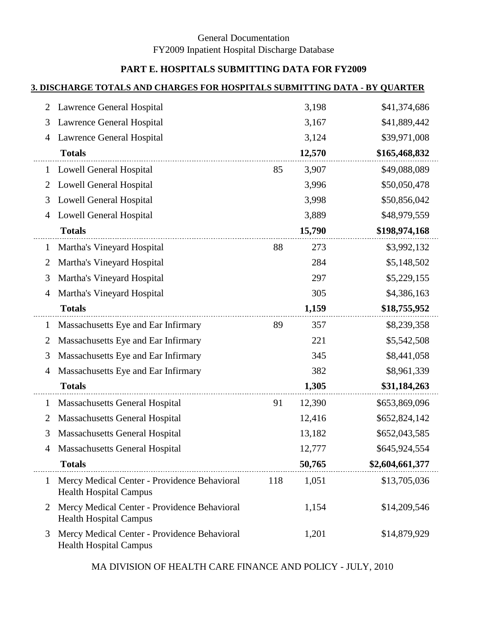# **PART E. HOSPITALS SUBMITTING DATA FOR FY2009**

#### **3. DISCHARGE TOTALS AND CHARGES FOR HOSPITALS SUBMITTING DATA - BY QUARTER**

| 2              | Lawrence General Hospital                                                     |     | 3,198  | \$41,374,686    |
|----------------|-------------------------------------------------------------------------------|-----|--------|-----------------|
| 3              | Lawrence General Hospital                                                     |     | 3,167  | \$41,889,442    |
| 4              | Lawrence General Hospital                                                     |     | 3,124  | \$39,971,008    |
|                | <b>Totals</b>                                                                 |     | 12,570 | \$165,468,832   |
| 1              | <b>Lowell General Hospital</b>                                                | 85  | 3,907  | \$49,088,089    |
| 2              | <b>Lowell General Hospital</b>                                                |     | 3,996  | \$50,050,478    |
| 3              | <b>Lowell General Hospital</b>                                                |     | 3,998  | \$50,856,042    |
| 4              | <b>Lowell General Hospital</b>                                                |     | 3,889  | \$48,979,559    |
|                | <b>Totals</b>                                                                 |     | 15,790 | \$198,974,168   |
| 1              | Martha's Vineyard Hospital                                                    | 88  | 273    | \$3,992,132     |
| $\overline{2}$ | Martha's Vineyard Hospital                                                    |     | 284    | \$5,148,502     |
| 3              | Martha's Vineyard Hospital                                                    |     | 297    | \$5,229,155     |
| 4              | Martha's Vineyard Hospital                                                    |     | 305    | \$4,386,163     |
|                | <b>Totals</b>                                                                 |     | 1,159  | \$18,755,952    |
| $\perp$        | Massachusetts Eye and Ear Infirmary                                           | 89  | 357    | \$8,239,358     |
| 2              | Massachusetts Eye and Ear Infirmary                                           |     | 221    | \$5,542,508     |
| 3              | Massachusetts Eye and Ear Infirmary                                           |     | 345    | \$8,441,058     |
| 4              | Massachusetts Eye and Ear Infirmary                                           |     | 382    | \$8,961,339     |
|                | <b>Totals</b>                                                                 |     | 1,305  | \$31,184,263    |
| 1              | <b>Massachusetts General Hospital</b>                                         | 91  | 12,390 | \$653,869,096   |
| 2              | <b>Massachusetts General Hospital</b>                                         |     | 12,416 | \$652,824,142   |
| 3              | <b>Massachusetts General Hospital</b>                                         |     | 13,182 | \$652,043,585   |
| 4              | <b>Massachusetts General Hospital</b>                                         |     | 12,777 | \$645,924,554   |
|                | <b>Totals</b>                                                                 |     | 50,765 | \$2,604,661,377 |
| 1              | Mercy Medical Center - Providence Behavioral<br><b>Health Hospital Campus</b> | 118 | 1,051  | \$13,705,036    |
| 2              | Mercy Medical Center - Providence Behavioral<br><b>Health Hospital Campus</b> |     | 1,154  | \$14,209,546    |
| 3              | Mercy Medical Center - Providence Behavioral<br><b>Health Hospital Campus</b> |     | 1,201  | \$14,879,929    |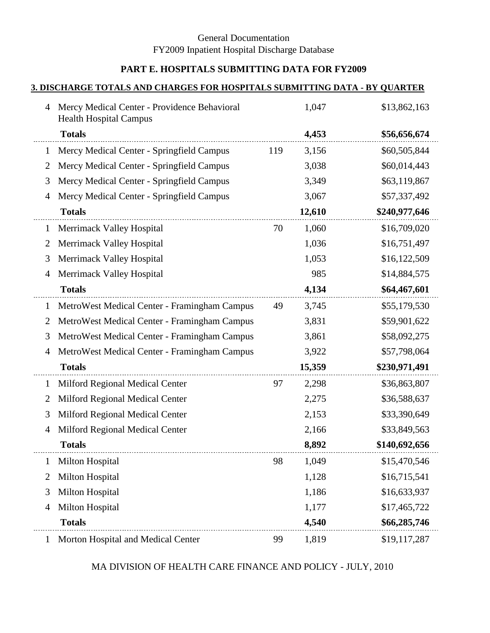# **PART E. HOSPITALS SUBMITTING DATA FOR FY2009**

#### **3. DISCHARGE TOTALS AND CHARGES FOR HOSPITALS SUBMITTING DATA - BY QUARTER**

| $\overline{4}$ | Mercy Medical Center - Providence Behavioral<br><b>Health Hospital Campus</b> |     | 1,047  | \$13,862,163  |
|----------------|-------------------------------------------------------------------------------|-----|--------|---------------|
|                | <b>Totals</b>                                                                 |     | 4,453  | \$56,656,674  |
| 1              | Mercy Medical Center - Springfield Campus                                     | 119 | 3,156  | \$60,505,844  |
| 2              | Mercy Medical Center - Springfield Campus                                     |     | 3,038  | \$60,014,443  |
| 3              | Mercy Medical Center - Springfield Campus                                     |     | 3,349  | \$63,119,867  |
| 4              | Mercy Medical Center - Springfield Campus                                     |     | 3,067  | \$57,337,492  |
|                | <b>Totals</b>                                                                 |     | 12,610 | \$240,977,646 |
| $\mathbf{1}$   | Merrimack Valley Hospital                                                     | 70  | 1,060  | \$16,709,020  |
| 2              | Merrimack Valley Hospital                                                     |     | 1,036  | \$16,751,497  |
| 3              | Merrimack Valley Hospital                                                     |     | 1,053  | \$16,122,509  |
| 4              | Merrimack Valley Hospital                                                     |     | 985    | \$14,884,575  |
|                | <b>Totals</b>                                                                 |     | 4,134  | \$64,467,601  |
| $\mathbf{1}$   | MetroWest Medical Center - Framingham Campus                                  | 49  | 3,745  | \$55,179,530  |
| 2              | MetroWest Medical Center - Framingham Campus                                  |     | 3,831  | \$59,901,622  |
| 3              | MetroWest Medical Center - Framingham Campus                                  |     | 3,861  | \$58,092,275  |
| 4              | MetroWest Medical Center - Framingham Campus                                  |     | 3,922  | \$57,798,064  |
|                | <b>Totals</b>                                                                 |     | 15,359 | \$230,971,491 |
| 1              | Milford Regional Medical Center                                               | 97  | 2,298  | \$36,863,807  |
| 2              | Milford Regional Medical Center                                               |     | 2,275  | \$36,588,637  |
| 3              | Milford Regional Medical Center                                               |     | 2,153  | \$33,390,649  |
| 4              | Milford Regional Medical Center                                               |     | 2,166  | \$33,849,563  |
|                | <b>Totals</b>                                                                 |     | 8,892  | \$140,692,656 |
| 1              | Milton Hospital                                                               | 98  | 1,049  | \$15,470,546  |
| 2              | <b>Milton Hospital</b>                                                        |     | 1,128  | \$16,715,541  |
| 3              | <b>Milton Hospital</b>                                                        |     | 1,186  | \$16,633,937  |
| 4              | <b>Milton Hospital</b>                                                        |     | 1,177  | \$17,465,722  |
|                | <b>Totals</b>                                                                 |     | 4,540  | \$66,285,746  |
| 1              | Morton Hospital and Medical Center                                            | 99  | 1,819  | \$19,117,287  |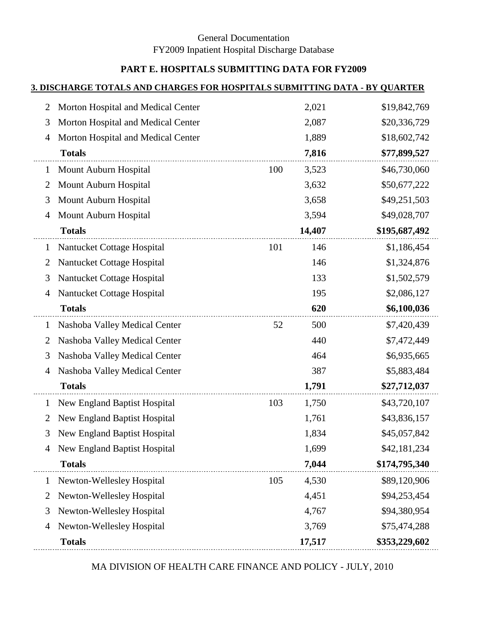# **PART E. HOSPITALS SUBMITTING DATA FOR FY2009**

#### **3. DISCHARGE TOTALS AND CHARGES FOR HOSPITALS SUBMITTING DATA - BY QUARTER**

| 2              | Morton Hospital and Medical Center  |     | 2,021  | \$19,842,769  |
|----------------|-------------------------------------|-----|--------|---------------|
| 3              | Morton Hospital and Medical Center  |     | 2,087  | \$20,336,729  |
| 4              | Morton Hospital and Medical Center  |     | 1,889  | \$18,602,742  |
|                | <b>Totals</b>                       |     | 7,816  | \$77,899,527  |
| $\mathbf{1}$   | Mount Auburn Hospital               | 100 | 3,523  | \$46,730,060  |
| 2              | Mount Auburn Hospital               |     | 3,632  | \$50,677,222  |
| 3              | Mount Auburn Hospital               |     | 3,658  | \$49,251,503  |
| 4              | Mount Auburn Hospital               |     | 3,594  | \$49,028,707  |
|                | <b>Totals</b>                       |     | 14,407 | \$195,687,492 |
| $\mathbf{1}$   | Nantucket Cottage Hospital          | 101 | 146    | \$1,186,454   |
| $\overline{2}$ | Nantucket Cottage Hospital          |     | 146    | \$1,324,876   |
| 3              | Nantucket Cottage Hospital          |     | 133    | \$1,502,579   |
| 4              | Nantucket Cottage Hospital          |     | 195    | \$2,086,127   |
|                | <b>Totals</b>                       |     | 620    | \$6,100,036   |
| 1              | Nashoba Valley Medical Center       | 52  | 500    | \$7,420,439   |
| $\overline{2}$ | Nashoba Valley Medical Center       |     | 440    | \$7,472,449   |
| 3              | Nashoba Valley Medical Center       |     | 464    | \$6,935,665   |
| 4              | Nashoba Valley Medical Center       |     | 387    | \$5,883,484   |
|                | <b>Totals</b>                       |     | 1,791  | \$27,712,037  |
| 1              | New England Baptist Hospital        | 103 | 1,750  | \$43,720,107  |
| $\overline{2}$ | <b>New England Baptist Hospital</b> |     | 1,761  | \$43,836,157  |
| 3              | New England Baptist Hospital        |     | 1,834  | \$45,057,842  |
| 4              | <b>New England Baptist Hospital</b> |     | 1,699  | \$42,181,234  |
|                | <b>Totals</b>                       |     | 7,044  | \$174,795,340 |
| $\mathbf{1}$   | Newton-Wellesley Hospital           | 105 | 4,530  | \$89,120,906  |
| $\overline{2}$ | Newton-Wellesley Hospital           |     | 4,451  | \$94,253,454  |
| 3              | <b>Newton-Wellesley Hospital</b>    |     | 4,767  | \$94,380,954  |
| 4              | Newton-Wellesley Hospital           |     | 3,769  | \$75,474,288  |
|                | <b>Totals</b>                       |     | 17,517 | \$353,229,602 |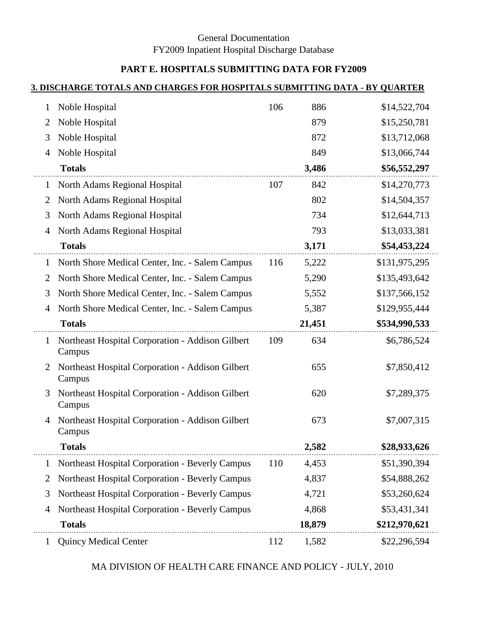# **PART E. HOSPITALS SUBMITTING DATA FOR FY2009**

#### **3. DISCHARGE TOTALS AND CHARGES FOR HOSPITALS SUBMITTING DATA - BY QUARTER**

| $\mathbf{I}$   | Noble Hospital                                             | 106 | 886    | \$14,522,704  |
|----------------|------------------------------------------------------------|-----|--------|---------------|
| 2              | Noble Hospital                                             |     | 879    | \$15,250,781  |
| 3              | Noble Hospital                                             |     | 872    | \$13,712,068  |
| 4              | Noble Hospital                                             |     | 849    | \$13,066,744  |
|                | <b>Totals</b>                                              |     | 3,486  | \$56,552,297  |
| 1              | North Adams Regional Hospital                              | 107 | 842    | \$14,270,773  |
| 2              | North Adams Regional Hospital                              |     | 802    | \$14,504,357  |
| 3              | North Adams Regional Hospital                              |     | 734    | \$12,644,713  |
| 4              | North Adams Regional Hospital                              |     | 793    | \$13,033,381  |
|                | <b>Totals</b>                                              |     | 3,171  | \$54,453,224  |
| 1              | North Shore Medical Center, Inc. - Salem Campus            | 116 | 5,222  | \$131,975,295 |
| 2              | North Shore Medical Center, Inc. - Salem Campus            |     | 5,290  | \$135,493,642 |
| 3              | North Shore Medical Center, Inc. - Salem Campus            |     | 5,552  | \$137,566,152 |
| 4              | North Shore Medical Center, Inc. - Salem Campus            |     | 5,387  | \$129,955,444 |
|                | <b>Totals</b>                                              |     | 21,451 | \$534,990,533 |
| $\mathbf 1$    | Northeast Hospital Corporation - Addison Gilbert<br>Campus | 109 | 634    | \$6,786,524   |
| 2              | Northeast Hospital Corporation - Addison Gilbert<br>Campus |     | 655    | \$7,850,412   |
| 3              | Northeast Hospital Corporation - Addison Gilbert<br>Campus |     | 620    | \$7,289,375   |
| 4              | Northeast Hospital Corporation - Addison Gilbert<br>Campus |     | 673    | \$7,007,315   |
|                | <b>Totals</b>                                              |     | 2,582  | \$28,933,626  |
| 1              | Northeast Hospital Corporation - Beverly Campus            | 110 | 4,453  | \$51,390,394  |
| $\overline{2}$ | <b>Northeast Hospital Corporation - Beverly Campus</b>     |     | 4,837  | \$54,888,262  |
| 3              | Northeast Hospital Corporation - Beverly Campus            |     | 4,721  | \$53,260,624  |
| 4              | Northeast Hospital Corporation - Beverly Campus            |     | 4,868  | \$53,431,341  |
|                | <b>Totals</b>                                              |     | 18,879 | \$212,970,621 |
|                | <b>Quincy Medical Center</b>                               | 112 | 1,582  | \$22,296,594  |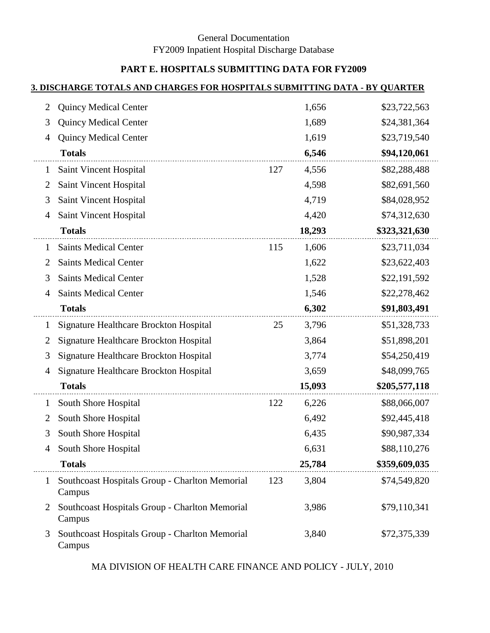# **PART E. HOSPITALS SUBMITTING DATA FOR FY2009**

#### **3. DISCHARGE TOTALS AND CHARGES FOR HOSPITALS SUBMITTING DATA - BY QUARTER**

| 2            | <b>Quincy Medical Center</b>                             |     | 1,656  | \$23,722,563  |
|--------------|----------------------------------------------------------|-----|--------|---------------|
| 3            | <b>Quincy Medical Center</b>                             |     | 1,689  | \$24,381,364  |
| 4            | <b>Quincy Medical Center</b>                             |     | 1,619  | \$23,719,540  |
|              | <b>Totals</b>                                            |     | 6,546  | \$94,120,061  |
| 1            | Saint Vincent Hospital                                   | 127 | 4,556  | \$82,288,488  |
| 2            | Saint Vincent Hospital                                   |     | 4,598  | \$82,691,560  |
| 3            | Saint Vincent Hospital                                   |     | 4,719  | \$84,028,952  |
| 4            | Saint Vincent Hospital                                   |     | 4,420  | \$74,312,630  |
|              | <b>Totals</b>                                            |     | 18,293 | \$323,321,630 |
| 1            | <b>Saints Medical Center</b>                             | 115 | 1,606  | \$23,711,034  |
| 2            | <b>Saints Medical Center</b>                             |     | 1,622  | \$23,622,403  |
| 3            | <b>Saints Medical Center</b>                             |     | 1,528  | \$22,191,592  |
| 4            | <b>Saints Medical Center</b>                             |     | 1,546  | \$22,278,462  |
|              | <b>Totals</b>                                            |     | 6,302  | \$91,803,491  |
| $\mathbf{I}$ | Signature Healthcare Brockton Hospital                   | 25  | 3,796  | \$51,328,733  |
| 2            | Signature Healthcare Brockton Hospital                   |     | 3,864  | \$51,898,201  |
| 3            | Signature Healthcare Brockton Hospital                   |     | 3,774  | \$54,250,419  |
| 4            | Signature Healthcare Brockton Hospital                   |     | 3,659  | \$48,099,765  |
|              | <b>Totals</b>                                            |     | 15,093 | \$205,577,118 |
| 1            | South Shore Hospital                                     | 122 | 6,226  | \$88,066,007  |
| 2            | South Shore Hospital                                     |     | 6,492  | \$92,445,418  |
| 3            | South Shore Hospital                                     |     | 6,435  | \$90,987,334  |
| 4            | South Shore Hospital                                     |     | 6,631  | \$88,110,276  |
|              | <b>Totals</b>                                            |     | 25,784 | \$359,609,035 |
| 1            | Southcoast Hospitals Group - Charlton Memorial<br>Campus | 123 | 3,804  | \$74,549,820  |
| 2            | Southcoast Hospitals Group - Charlton Memorial<br>Campus |     | 3,986  | \$79,110,341  |
| 3            | Southcoast Hospitals Group - Charlton Memorial<br>Campus |     | 3,840  | \$72,375,339  |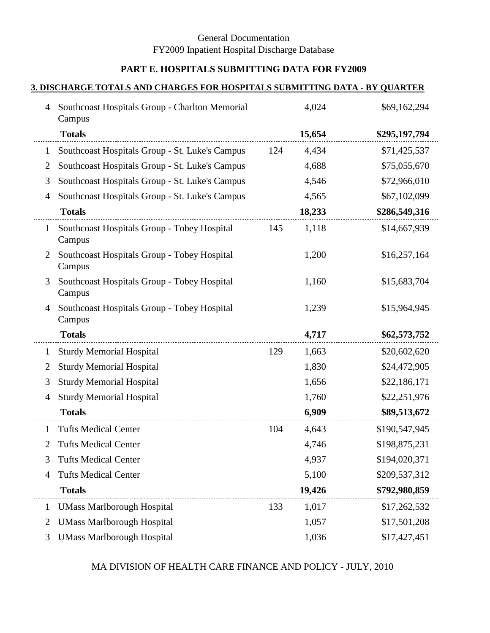# **PART E. HOSPITALS SUBMITTING DATA FOR FY2009**

#### **3. DISCHARGE TOTALS AND CHARGES FOR HOSPITALS SUBMITTING DATA - BY QUARTER**

| 4              | Southcoast Hospitals Group - Charlton Memorial<br>Campus |     | 4,024  | \$69,162,294  |
|----------------|----------------------------------------------------------|-----|--------|---------------|
|                | <b>Totals</b>                                            |     | 15,654 | \$295,197,794 |
| $\mathbf{1}$   | Southcoast Hospitals Group - St. Luke's Campus           | 124 | 4,434  | \$71,425,537  |
| 2              | Southcoast Hospitals Group - St. Luke's Campus           |     | 4,688  | \$75,055,670  |
| 3              | Southcoast Hospitals Group - St. Luke's Campus           |     | 4,546  | \$72,966,010  |
| 4              | Southcoast Hospitals Group - St. Luke's Campus           |     | 4,565  | \$67,102,099  |
|                | <b>Totals</b>                                            |     | 18,233 | \$286,549,316 |
| $\mathbf{1}$   | Southcoast Hospitals Group - Tobey Hospital<br>Campus    | 145 | 1,118  | \$14,667,939  |
| 2              | Southcoast Hospitals Group - Tobey Hospital<br>Campus    |     | 1,200  | \$16,257,164  |
| 3              | Southcoast Hospitals Group - Tobey Hospital<br>Campus    |     | 1,160  | \$15,683,704  |
| 4              | Southcoast Hospitals Group - Tobey Hospital<br>Campus    |     | 1,239  | \$15,964,945  |
|                |                                                          |     |        |               |
|                | <b>Totals</b>                                            |     | 4,717  | \$62,573,752  |
| $\mathbf{1}$   | <b>Sturdy Memorial Hospital</b>                          | 129 | 1,663  | \$20,602,620  |
| 2              | <b>Sturdy Memorial Hospital</b>                          |     | 1,830  | \$24,472,905  |
| 3              | <b>Sturdy Memorial Hospital</b>                          |     | 1,656  | \$22,186,171  |
| 4              | <b>Sturdy Memorial Hospital</b>                          |     | 1,760  | \$22,251,976  |
|                | <b>Totals</b>                                            |     | 6,909  | \$89,513,672  |
| $\mathbf{1}$   | <b>Tufts Medical Center</b>                              | 104 | 4,643  | \$190,547,945 |
| 2              | <b>Tufts Medical Center</b>                              |     | 4,746  | \$198,875,231 |
| 3              | <b>Tufts Medical Center</b>                              |     | 4,937  | \$194,020,371 |
| 4              | <b>Tufts Medical Center</b>                              |     | 5,100  | \$209,537,312 |
|                | <b>Totals</b>                                            |     | 19,426 | \$792,980,859 |
| $\mathbf{1}$   | <b>UMass Marlborough Hospital</b>                        | 133 | 1,017  | \$17,262,532  |
| $\overline{2}$ | <b>UMass Marlborough Hospital</b>                        |     | 1,057  | \$17,501,208  |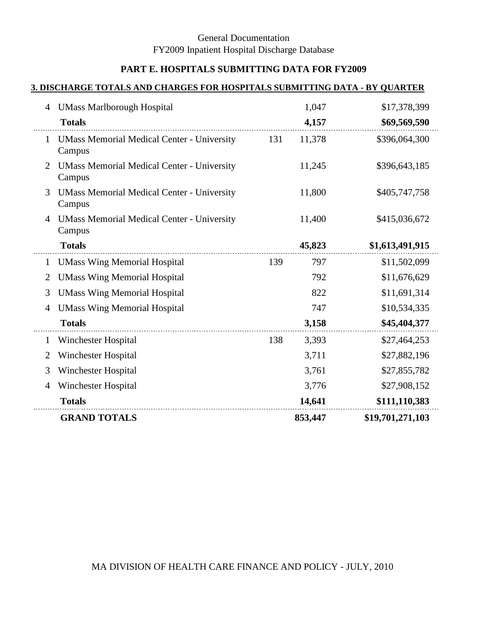# **PART E. HOSPITALS SUBMITTING DATA FOR FY2009**

#### **3. DISCHARGE TOTALS AND CHARGES FOR HOSPITALS SUBMITTING DATA - BY QUARTER**

| 4            | <b>UMass Marlborough Hospital</b>                           |     | 1,047   | \$17,378,399     |
|--------------|-------------------------------------------------------------|-----|---------|------------------|
|              | <b>Totals</b>                                               |     | 4,157   | \$69,569,590     |
| $\mathbf{1}$ | <b>UMass Memorial Medical Center - University</b><br>Campus | 131 | 11,378  | \$396,064,300    |
| 2            | <b>UMass Memorial Medical Center - University</b><br>Campus |     | 11,245  | \$396,643,185    |
| 3            | <b>UMass Memorial Medical Center - University</b><br>Campus |     | 11,800  | \$405,747,758    |
| 4            | <b>UMass Memorial Medical Center - University</b><br>Campus |     | 11,400  | \$415,036,672    |
|              | <b>Totals</b>                                               |     | 45,823  | \$1,613,491,915  |
| 1            | <b>UMass Wing Memorial Hospital</b>                         | 139 | 797     | \$11,502,099     |
| 2            | <b>UMass Wing Memorial Hospital</b>                         |     | 792     | \$11,676,629     |
| 3            | <b>UMass Wing Memorial Hospital</b>                         |     | 822     | \$11,691,314     |
| 4            | <b>UMass Wing Memorial Hospital</b>                         |     | 747     | \$10,534,335     |
|              | <b>Totals</b>                                               |     | 3,158   | \$45,404,377     |
| 1            | Winchester Hospital                                         | 138 | 3,393   | \$27,464,253     |
| 2            | Winchester Hospital                                         |     | 3,711   | \$27,882,196     |
| 3            | Winchester Hospital                                         |     | 3,761   | \$27,855,782     |
| 4            | Winchester Hospital                                         |     | 3,776   | \$27,908,152     |
|              | <b>Totals</b>                                               |     | 14,641  | \$111,110,383    |
|              | <b>GRAND TOTALS</b>                                         |     | 853,447 | \$19,701,271,103 |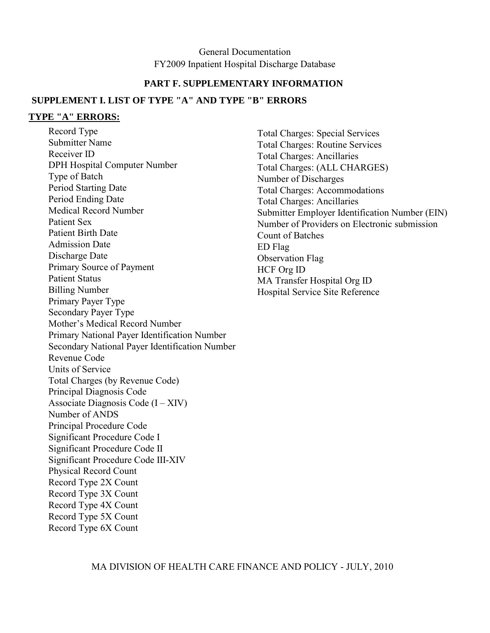#### **PART F. SUPPLEMENTARY INFORMATION**

#### **SUPPLEMENT I. LIST OF TYPE "A" AND TYPE "B" ERRORS**

#### **TYPE "A" ERRORS:**

Record Type Submitter Name Receiver ID DPH Hospital Computer Number Type of Batch Period Starting Date Period Ending Date Medical Record Number Patient Sex Patient Birth Date Admission Date Discharge Date Primary Source of Payment Patient Status Billing Number Primary Payer Type Secondary Payer Type Mother's Medical Record Number Primary National Payer Identification Number Secondary National Payer Identification Number Revenue Code Units of Service Total Charges (by Revenue Code) Principal Diagnosis Code Associate Diagnosis Code  $(I - XIV)$ Number of ANDS Principal Procedure Code Significant Procedure Code I Significant Procedure Code II Significant Procedure Code III-XIV Physical Record Count Record Type 2X Count Record Type 3X Count Record Type 4X Count Record Type 5X Count Record Type 6X Count

Total Charges: Special Services Total Charges: Routine Services Total Charges: Ancillaries Total Charges: (ALL CHARGES) Number of Discharges Total Charges: Accommodations Total Charges: Ancillaries Submitter Employer Identification Number (EIN) Number of Providers on Electronic submission Count of Batches ED Flag Observation Flag HCF Org ID MA Transfer Hospital Org ID Hospital Service Site Reference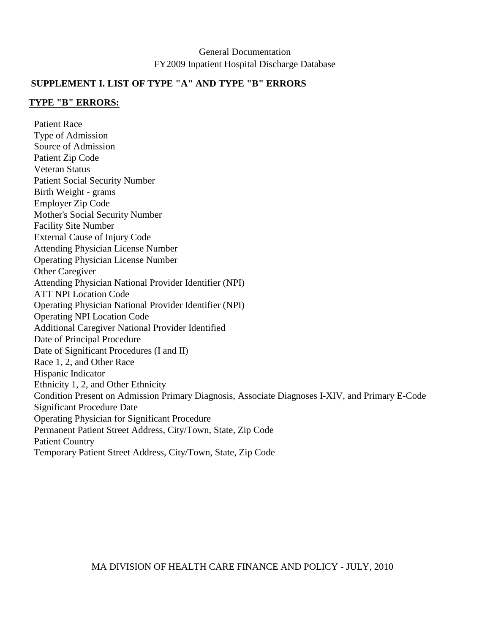### **SUPPLEMENT I. LIST OF TYPE "A" AND TYPE "B" ERRORS**

#### **TYPE "B" ERRORS:**

Patient Race Type of Admission Source of Admission Patient Zip Code Veteran Status Patient Social Security Number Birth Weight - grams Employer Zip Code Mother's Social Security Number Facility Site Number External Cause of Injury Code Attending Physician License Number Operating Physician License Number Other Caregiver Attending Physician National Provider Identifier (NPI) ATT NPI Location Code Operating Physician National Provider Identifier (NPI) Operating NPI Location Code Additional Caregiver National Provider Identified Date of Principal Procedure Date of Significant Procedures (I and II) Race 1, 2, and Other Race Hispanic Indicator Ethnicity 1, 2, and Other Ethnicity Condition Present on Admission Primary Diagnosis, Associate Diagnoses I-XIV, and Primary E-Code Significant Procedure Date Operating Physician for Significant Procedure Permanent Patient Street Address, City/Town, State, Zip Code Patient Country Temporary Patient Street Address, City/Town, State, Zip Code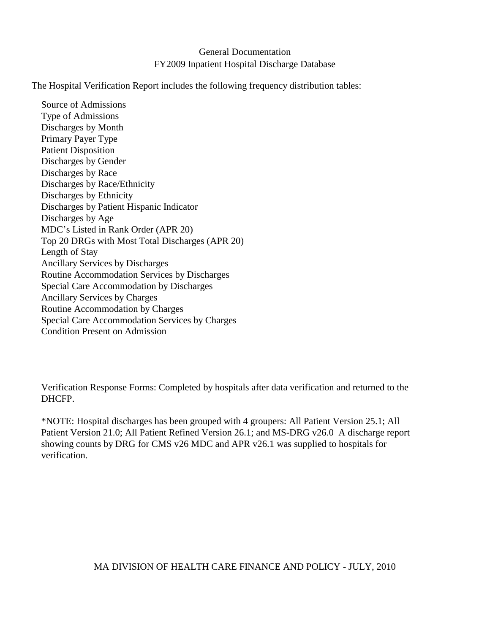The Hospital Verification Report includes the following frequency distribution tables:

Source of Admissions Type of Admissions Discharges by Month Primary Payer Type Patient Disposition Discharges by Gender Discharges by Race Discharges by Race/Ethnicity Discharges by Ethnicity Discharges by Patient Hispanic Indicator Discharges by Age MDC's Listed in Rank Order (APR 20) Top 20 DRGs with Most Total Discharges (APR 20) Length of Stay Ancillary Services by Discharges Routine Accommodation Services by Discharges Special Care Accommodation by Discharges Ancillary Services by Charges Routine Accommodation by Charges Special Care Accommodation Services by Charges Condition Present on Admission

Verification Response Forms: Completed by hospitals after data verification and returned to the DHCFP.

\*NOTE: Hospital discharges has been grouped with 4 groupers: All Patient Version 25.1; All Patient Version 21.0; All Patient Refined Version 26.1; and MS-DRG v26.0 A discharge report showing counts by DRG for CMS v26 MDC and APR v26.1 was supplied to hospitals for verification.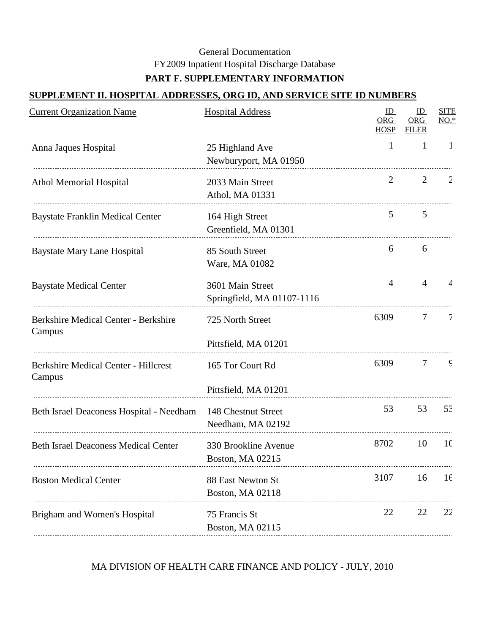# **PART F. SUPPLEMENTARY INFORMATION**

## **SUPPLEMENT II. HOSPITAL ADDRESSES, ORG ID, AND SERVICE SITE ID NUMBERS**

| <b>Current Organization Name</b>                      | <b>Hospital Address</b>                        | ID<br>ORG<br><b>HOSP</b> | ID<br><b>ORG</b><br><b>FILER</b> | <b>SITE</b><br>$NO.*$ |
|-------------------------------------------------------|------------------------------------------------|--------------------------|----------------------------------|-----------------------|
| Anna Jaques Hospital                                  | 25 Highland Ave<br>Newburyport, MA 01950       | $\mathbf{1}$             | $\mathbf{1}$                     | -1                    |
| <b>Athol Memorial Hospital</b>                        | 2033 Main Street<br>Athol, MA 01331            | 2                        | 2                                | 2                     |
| <b>Baystate Franklin Medical Center</b>               | 164 High Street<br>Greenfield, MA 01301        | 5                        | 5                                |                       |
| <b>Baystate Mary Lane Hospital</b>                    | 85 South Street<br>Ware, MA 01082              | 6                        | 6                                |                       |
| <b>Baystate Medical Center</b>                        | 3601 Main Street<br>Springfield, MA 01107-1116 | 4                        | $\overline{4}$                   | $\overline{4}$        |
| <b>Berkshire Medical Center - Berkshire</b><br>Campus | 725 North Street<br>Pittsfield, MA 01201       | 6309                     | $\tau$                           | 7                     |
| <b>Berkshire Medical Center - Hillcrest</b><br>Campus | 165 Tor Court Rd<br>Pittsfield, MA 01201       | 6309                     | $\tau$                           | $\mathsf{C}$          |
| Beth Israel Deaconess Hospital - Needham              | 148 Chestnut Street<br>Needham, MA 02192       | 53                       | 53                               | 53                    |
| <b>Beth Israel Deaconess Medical Center</b>           | 330 Brookline Avenue<br>Boston, MA 02215       | 8702                     | 10                               | 10                    |
| <b>Boston Medical Center</b>                          | 88 East Newton St<br>Boston, MA 02118          | 3107                     | 16                               | 16                    |
| Brigham and Women's Hospital                          | 75 Francis St<br>Boston, MA 02115              | 22                       | 22                               | 22                    |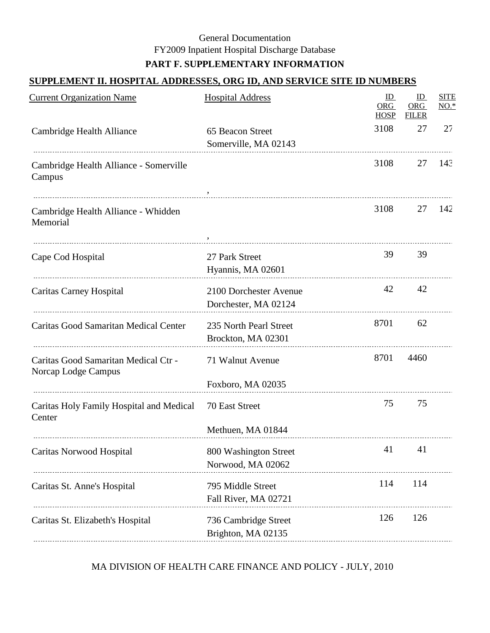# **SUPPLEMENT II. HOSPITAL ADDRESSES, ORG ID, AND SERVICE SITE ID NUMBERS**

| <b>Current Organization Name</b>                            | <b>Hospital Address</b>                        | ID<br>ORG<br><b>HOSP</b> | ID<br>ORG<br><b>FILER</b> | <b>SITE</b><br>$NO.*$ |
|-------------------------------------------------------------|------------------------------------------------|--------------------------|---------------------------|-----------------------|
| Cambridge Health Alliance                                   | 65 Beacon Street<br>Somerville, MA 02143       | 3108                     | 27                        | 27                    |
| Cambridge Health Alliance - Somerville<br>Campus            |                                                | 3108                     | 27                        | 143                   |
| Cambridge Health Alliance - Whidden<br>Memorial             |                                                | 3108                     | 27                        | 142                   |
| Cape Cod Hospital                                           | 27 Park Street<br>Hyannis, MA 02601            | 39                       | 39                        |                       |
| Caritas Carney Hospital                                     | 2100 Dorchester Avenue<br>Dorchester, MA 02124 | 42                       | 42                        |                       |
| Caritas Good Samaritan Medical Center                       | 235 North Pearl Street<br>Brockton, MA 02301   | 8701                     | 62                        |                       |
| Caritas Good Samaritan Medical Ctr -<br>Norcap Lodge Campus | 71 Walnut Avenue<br>Foxboro, MA 02035          | 8701                     | 4460                      |                       |
| Caritas Holy Family Hospital and Medical<br>Center          | 70 East Street<br>Methuen, MA 01844            | 75                       | 75                        |                       |
| Caritas Norwood Hospital                                    | 800 Washington Street<br>Norwood, MA 02062     | 41                       | 41                        |                       |
| Caritas St. Anne's Hospital                                 | 795 Middle Street<br>Fall River, MA 02721      | 114                      | 114                       |                       |
| Caritas St. Elizabeth's Hospital                            | 736 Cambridge Street<br>Brighton, MA 02135     | 126                      | 126                       |                       |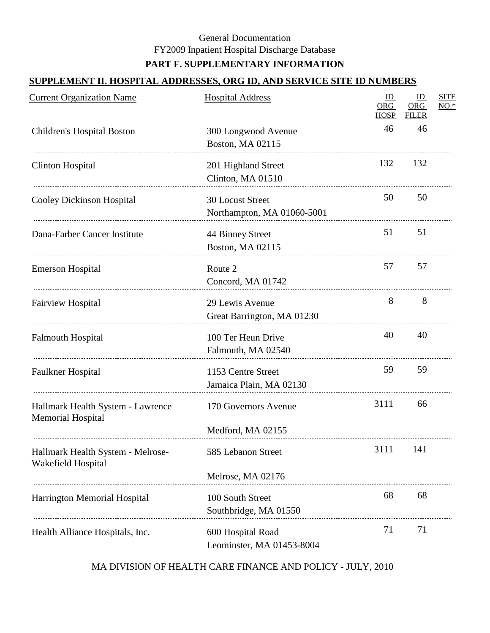# **SUPPLEMENT II. HOSPITAL ADDRESSES, ORG ID, AND SERVICE SITE ID NUMBERS**

| <b>Current Organization Name</b>                              | <b>Hospital Address</b>                                        | ID<br>ORG<br><b>HOSP</b> | ID<br><b>ORG</b><br><b>FILER</b> | <b>SITE</b><br>$NO.*$ |
|---------------------------------------------------------------|----------------------------------------------------------------|--------------------------|----------------------------------|-----------------------|
| Children's Hospital Boston                                    | 300 Longwood Avenue<br>Boston, MA 02115                        | 46                       | 46                               |                       |
| <b>Clinton Hospital</b>                                       | 201 Highland Street<br>Clinton, MA 01510                       | 132                      | 132                              |                       |
| <b>Cooley Dickinson Hospital</b>                              | 30 Locust Street<br>Northampton, MA 01060-5001                 | 50                       | 50                               |                       |
| Dana-Farber Cancer Institute                                  | 44 Binney Street<br>Boston, MA 02115                           | 51                       | 51                               |                       |
| <b>Emerson Hospital</b>                                       | Route 2<br>Concord, MA 01742                                   | 57                       | 57                               |                       |
| <b>Fairview Hospital</b>                                      | 29 Lewis Avenue<br>Great Barrington, MA 01230                  | 8                        | 8                                |                       |
| <b>Falmouth Hospital</b>                                      | 100 Ter Heun Drive<br>Falmouth, MA 02540                       | 40                       | 40                               |                       |
| Faulkner Hospital                                             | 1153 Centre Street<br>Jamaica Plain, MA 02130                  | 59                       | 59                               |                       |
| Hallmark Health System - Lawrence<br><b>Memorial Hospital</b> | 170 Governors Avenue                                           | 3111                     | 66                               |                       |
| Hallmark Health System - Melrose-<br>Wakefield Hospital       | Medford, MA 02155<br>585 Lebanon Street                        | 3111                     | 141                              |                       |
| Harrington Memorial Hospital                                  | Melrose, MA 02176<br>100 South Street<br>Southbridge, MA 01550 | 68                       | 68                               |                       |
| Health Alliance Hospitals, Inc.                               | 600 Hospital Road<br>Leominster, MA 01453-8004                 | 71                       | 71                               |                       |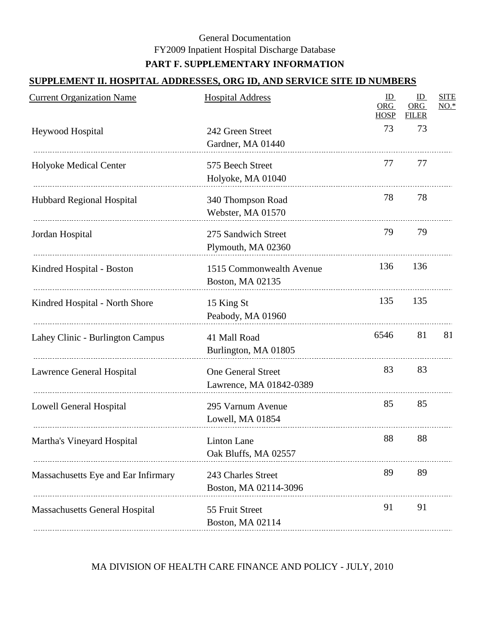# **SUPPLEMENT II. HOSPITAL ADDRESSES, ORG ID, AND SERVICE SITE ID NUMBERS**

| <b>Current Organization Name</b>      | <b>Hospital Address</b>                              | ID<br>ORG<br><b>HOSP</b> | ID<br><b>ORG</b><br><b>FILER</b> | <b>SITE</b><br>$NO.*$ |
|---------------------------------------|------------------------------------------------------|--------------------------|----------------------------------|-----------------------|
| <b>Heywood Hospital</b>               | 242 Green Street<br>Gardner, MA 01440                | 73                       | 73                               |                       |
| Holyoke Medical Center                | 575 Beech Street<br>Holyoke, MA 01040                | 77                       | 77                               |                       |
| <b>Hubbard Regional Hospital</b>      | 340 Thompson Road<br>Webster, MA 01570               | 78                       | 78                               |                       |
| Jordan Hospital                       | 275 Sandwich Street<br>Plymouth, MA 02360            | 79                       | 79                               |                       |
| Kindred Hospital - Boston             | 1515 Commonwealth Avenue<br>Boston, MA 02135         | 136                      | 136                              |                       |
| Kindred Hospital - North Shore        | 15 King St<br>Peabody, MA 01960                      | 135                      | 135                              |                       |
| Lahey Clinic - Burlington Campus      | 41 Mall Road<br>Burlington, MA 01805                 | 6546                     | 81                               | 81                    |
| Lawrence General Hospital             | <b>One General Street</b><br>Lawrence, MA 01842-0389 | 83                       | 83                               |                       |
| Lowell General Hospital               | 295 Varnum Avenue<br>Lowell, MA 01854                | 85                       | 85                               |                       |
| Martha's Vineyard Hospital            | <b>Linton Lane</b><br>Oak Bluffs, MA 02557           | 88                       | 88                               |                       |
| Massachusetts Eye and Ear Infirmary   | 243 Charles Street<br>Boston, MA 02114-3096          | 89                       | 89                               |                       |
| <b>Massachusetts General Hospital</b> | 55 Fruit Street<br>Boston, MA 02114                  | 91                       | 91                               |                       |
|                                       |                                                      |                          |                                  |                       |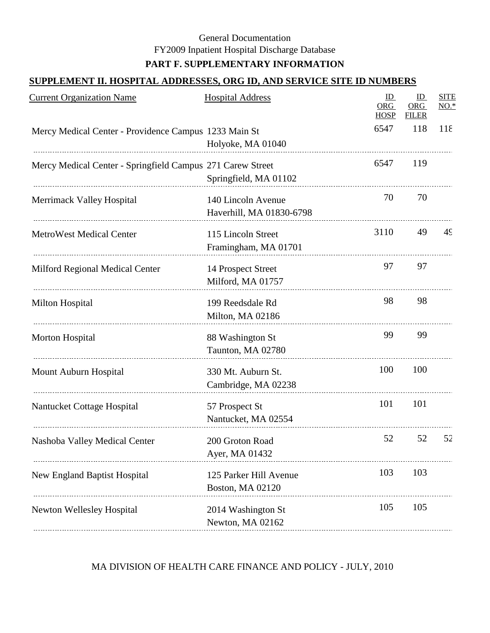# **SUPPLEMENT II. HOSPITAL ADDRESSES, ORG ID, AND SERVICE SITE ID NUMBERS**

| <b>Current Organization Name</b>                           | <b>Hospital Address</b>                        | ID<br>ORG<br><b>HOSP</b> | ID<br><b>ORG</b><br><b>FILER</b> | <b>SITE</b><br>$NO.*$ |
|------------------------------------------------------------|------------------------------------------------|--------------------------|----------------------------------|-----------------------|
| Mercy Medical Center - Providence Campus 1233 Main St      | Holyoke, MA 01040                              | 6547                     | 118                              | 118                   |
| Mercy Medical Center - Springfield Campus 271 Carew Street | Springfield, MA 01102                          | 6547                     | 119                              |                       |
| Merrimack Valley Hospital                                  | 140 Lincoln Avenue<br>Haverhill, MA 01830-6798 | 70                       | 70                               |                       |
| <b>MetroWest Medical Center</b>                            | 115 Lincoln Street<br>Framingham, MA 01701     | 3110                     | 49                               | 49                    |
| Milford Regional Medical Center                            | 14 Prospect Street<br>Milford, MA 01757        | 97                       | 97                               |                       |
| Milton Hospital                                            | 199 Reedsdale Rd<br>Milton, MA 02186           | 98                       | 98                               |                       |
| Morton Hospital                                            | 88 Washington St<br>Taunton, MA 02780          | 99                       | 99                               |                       |
| Mount Auburn Hospital                                      | 330 Mt. Auburn St.<br>Cambridge, MA 02238      | 100                      | 100                              |                       |
| Nantucket Cottage Hospital                                 | 57 Prospect St<br>Nantucket, MA 02554          | 101                      | 101                              |                       |
| Nashoba Valley Medical Center                              | 200 Groton Road<br>Ayer, MA 01432              | 52                       | 52                               | 52                    |
| <b>New England Baptist Hospital</b>                        | 125 Parker Hill Avenue<br>Boston, MA 02120     | 103                      | 103                              |                       |
| <b>Newton Wellesley Hospital</b>                           | 2014 Washington St<br>Newton, MA 02162         | 105                      | 105                              |                       |
|                                                            |                                                |                          |                                  |                       |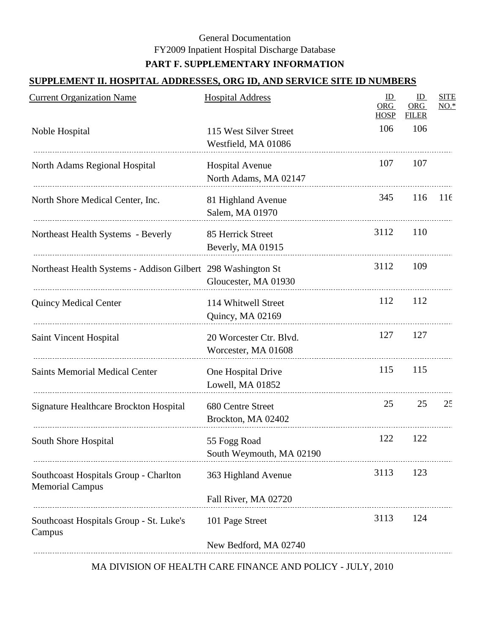#### **SUPPLEMENT II. HOSPITAL ADDRESSES, ORG ID, AND SERVICE SITE ID NUMBERS**

| <b>Current Organization Name</b>                                | <b>Hospital Address</b>                         | ID<br>ORG<br><b>HOSP</b> | ID<br><b>ORG</b><br><b>FILER</b> | <b>SITE</b><br>$NO.*$ |
|-----------------------------------------------------------------|-------------------------------------------------|--------------------------|----------------------------------|-----------------------|
| Noble Hospital                                                  | 115 West Silver Street<br>Westfield, MA 01086   | 106                      | 106                              |                       |
| North Adams Regional Hospital                                   | <b>Hospital Avenue</b><br>North Adams, MA 02147 | 107                      | 107                              |                       |
| North Shore Medical Center, Inc.                                | 81 Highland Avenue<br>Salem, MA 01970           | 345                      | 116                              | 116                   |
| Northeast Health Systems - Beverly                              | 85 Herrick Street<br>Beverly, MA 01915          | 3112                     | 110                              |                       |
| Northeast Health Systems - Addison Gilbert 298 Washington St    | Gloucester, MA 01930                            | 3112                     | 109                              |                       |
| <b>Quincy Medical Center</b>                                    | 114 Whitwell Street<br>Quincy, MA 02169         | 112                      | 112                              |                       |
| Saint Vincent Hospital                                          | 20 Worcester Ctr. Blvd.<br>Worcester, MA 01608  | 127                      | 127                              |                       |
| <b>Saints Memorial Medical Center</b>                           | One Hospital Drive<br>Lowell, MA 01852          | 115                      | 115                              |                       |
| Signature Healthcare Brockton Hospital                          | 680 Centre Street<br>Brockton, MA 02402         | 25                       | 25                               | 25                    |
| South Shore Hospital                                            | 55 Fogg Road<br>South Weymouth, MA 02190        | 122                      | 122                              |                       |
| Southcoast Hospitals Group - Charlton<br><b>Memorial Campus</b> | 363 Highland Avenue                             | 3113                     | 123                              |                       |
| Southcoast Hospitals Group - St. Luke's                         | Fall River, MA 02720<br>101 Page Street         | 3113                     | 124                              |                       |
| Campus                                                          | New Bedford, MA 02740                           |                          |                                  |                       |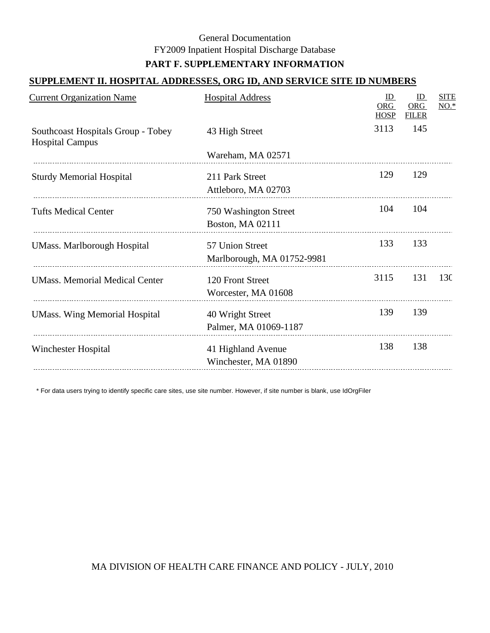#### **SUPPLEMENT II. HOSPITAL ADDRESSES, ORG ID, AND SERVICE SITE ID NUMBERS**

| <b>Current Organization Name</b>                             | <b>Hospital Address</b>                       | ID<br>ORG<br><b>HOSP</b> | ID<br><b>ORG</b><br><b>FILER</b> | <b>SITE</b><br>$NO.*$ |
|--------------------------------------------------------------|-----------------------------------------------|--------------------------|----------------------------------|-----------------------|
| Southcoast Hospitals Group - Tobey<br><b>Hospital Campus</b> | 43 High Street                                | 3113                     | 145                              |                       |
|                                                              | Wareham, MA 02571                             |                          |                                  |                       |
| <b>Sturdy Memorial Hospital</b>                              | 211 Park Street<br>Attleboro, MA 02703        | 129                      | 129                              |                       |
| <b>Tufts Medical Center</b>                                  | 750 Washington Street<br>Boston, MA 02111     | 104                      | 104                              |                       |
| <b>UMass. Marlborough Hospital</b>                           | 57 Union Street<br>Marlborough, MA 01752-9981 | 133                      | 133                              |                       |
| <b>UMass. Memorial Medical Center</b>                        | 120 Front Street<br>Worcester, MA 01608       | 3115                     | 131                              | 130                   |
| <b>UMass. Wing Memorial Hospital</b>                         | 40 Wright Street<br>Palmer, MA 01069-1187     | 139                      | 139                              |                       |
| Winchester Hospital                                          | 41 Highland Avenue<br>Winchester, MA 01890    | 138                      | 138                              |                       |
|                                                              |                                               |                          |                                  |                       |

\* For data users trying to identify specific care sites, use site number. However, if site number is blank, use IdOrgFiler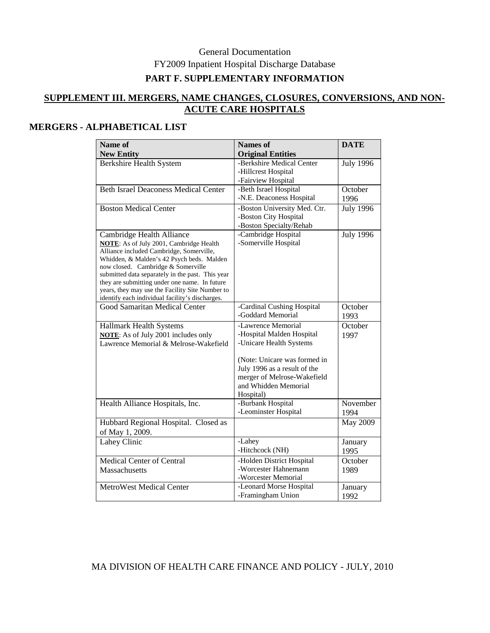# **PART F. SUPPLEMENTARY INFORMATION**

#### **SUPPLEMENT III. MERGERS, NAME CHANGES, CLOSURES, CONVERSIONS, AND NON-ACUTE CARE HOSPITALS**

#### **MERGERS - ALPHABETICAL LIST**

| Name of<br><b>New Entity</b>                                                                                                                                                                                                                                                                                                                                                                                          | <b>Names of</b><br><b>Original Entities</b>                                                                                                                                                                    | <b>DATE</b>            |
|-----------------------------------------------------------------------------------------------------------------------------------------------------------------------------------------------------------------------------------------------------------------------------------------------------------------------------------------------------------------------------------------------------------------------|----------------------------------------------------------------------------------------------------------------------------------------------------------------------------------------------------------------|------------------------|
| <b>Berkshire Health System</b>                                                                                                                                                                                                                                                                                                                                                                                        | -Berkshire Medical Center<br>-Hillcrest Hospital<br>-Fairview Hospital                                                                                                                                         | <b>July 1996</b>       |
| <b>Beth Israel Deaconess Medical Center</b>                                                                                                                                                                                                                                                                                                                                                                           | -Beth Israel Hospital<br>-N.E. Deaconess Hospital                                                                                                                                                              | October<br>1996        |
| <b>Boston Medical Center</b>                                                                                                                                                                                                                                                                                                                                                                                          | -Boston University Med. Ctr.<br>-Boston City Hospital<br>-Boston Specialty/Rehab                                                                                                                               | $\overline{July}$ 1996 |
| Cambridge Health Alliance<br><b>NOTE:</b> As of July 2001, Cambridge Health<br>Alliance included Cambridge, Somerville,<br>Whidden, & Malden's 42 Psych beds. Malden<br>now closed. Cambridge & Somerville<br>submitted data separately in the past. This year<br>they are submitting under one name. In future<br>years, they may use the Facility Site Number to<br>identify each individual facility's discharges. | -Cambridge Hospital<br>-Somerville Hospital                                                                                                                                                                    | <b>July 1996</b>       |
| Good Samaritan Medical Center                                                                                                                                                                                                                                                                                                                                                                                         | -Cardinal Cushing Hospital<br>-Goddard Memorial                                                                                                                                                                | October<br>1993        |
| <b>Hallmark Health Systems</b><br><b>NOTE:</b> As of July 2001 includes only<br>Lawrence Memorial & Melrose-Wakefield                                                                                                                                                                                                                                                                                                 | -Lawrence Memorial<br>-Hospital Malden Hospital<br>-Unicare Health Systems<br>(Note: Unicare was formed in<br>July 1996 as a result of the<br>merger of Melrose-Wakefield<br>and Whidden Memorial<br>Hospital) | October<br>1997        |
| Health Alliance Hospitals, Inc.                                                                                                                                                                                                                                                                                                                                                                                       | -Burbank Hospital<br>-Leominster Hospital                                                                                                                                                                      | November<br>1994       |
| Hubbard Regional Hospital. Closed as<br>of May 1, 2009.                                                                                                                                                                                                                                                                                                                                                               |                                                                                                                                                                                                                | <b>May 2009</b>        |
| <b>Lahey Clinic</b>                                                                                                                                                                                                                                                                                                                                                                                                   | -Lahey<br>-Hitchcock (NH)                                                                                                                                                                                      | January<br>1995        |
| Medical Center of Central<br><b>Massachusetts</b>                                                                                                                                                                                                                                                                                                                                                                     | -Holden District Hospital<br>-Worcester Hahnemann<br>-Worcester Memorial                                                                                                                                       | October<br>1989        |
| MetroWest Medical Center                                                                                                                                                                                                                                                                                                                                                                                              | -Leonard Morse Hospital<br>-Framingham Union                                                                                                                                                                   | January<br>1992        |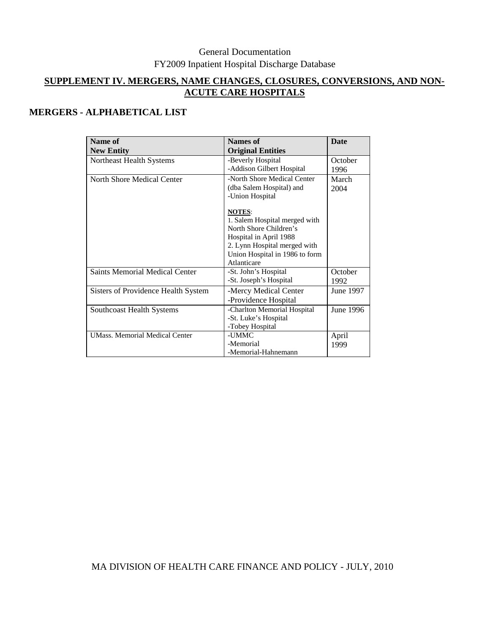# **SUPPLEMENT IV. MERGERS, NAME CHANGES, CLOSURES, CONVERSIONS, AND NON-ACUTE CARE HOSPITALS**

# **MERGERS - ALPHABETICAL LIST**

| Name of                               | Names of                       | <b>Date</b> |
|---------------------------------------|--------------------------------|-------------|
| <b>New Entity</b>                     | <b>Original Entities</b>       |             |
| Northeast Health Systems              | -Beverly Hospital              | October     |
|                                       | -Addison Gilbert Hospital      | 1996        |
| North Shore Medical Center            | -North Shore Medical Center    | March       |
|                                       | (dba Salem Hospital) and       | 2004        |
|                                       | -Union Hospital                |             |
|                                       | <b>NOTES:</b>                  |             |
|                                       | 1. Salem Hospital merged with  |             |
|                                       | North Shore Children's         |             |
|                                       | Hospital in April 1988         |             |
|                                       | 2. Lynn Hospital merged with   |             |
|                                       | Union Hospital in 1986 to form |             |
|                                       | Atlanticare                    |             |
| <b>Saints Memorial Medical Center</b> | -St. John's Hospital           | October     |
|                                       | -St. Joseph's Hospital         | 1992        |
| Sisters of Providence Health System   | -Mercy Medical Center          | June 1997   |
|                                       | -Providence Hospital           |             |
| <b>Southcoast Health Systems</b>      | -Charlton Memorial Hospital    | June 1996   |
|                                       | -St. Luke's Hospital           |             |
|                                       | -Tobey Hospital                |             |
| <b>UMass. Memorial Medical Center</b> | -UMMC                          | April       |
|                                       | -Memorial                      | 1999        |
|                                       | -Memorial-Hahnemann            |             |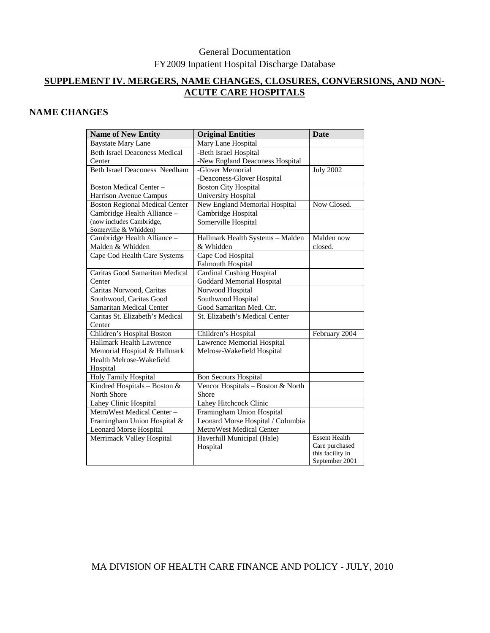# **SUPPLEMENT IV. MERGERS, NAME CHANGES, CLOSURES, CONVERSIONS, AND NON-ACUTE CARE HOSPITALS**

## **NAME CHANGES**

| <b>Name of New Entity</b>             | <b>Original Entities</b>          | Date                               |
|---------------------------------------|-----------------------------------|------------------------------------|
| <b>Baystate Mary Lane</b>             | Mary Lane Hospital                |                                    |
| <b>Beth Israel Deaconess Medical</b>  | -Beth Israel Hospital             |                                    |
| Center                                | -New England Deaconess Hospital   |                                    |
| <b>Beth Israel Deaconess Needham</b>  | -Glover Memorial                  | <b>July 2002</b>                   |
|                                       | -Deaconess-Glover Hospital        |                                    |
| <b>Boston Medical Center -</b>        | <b>Boston City Hospital</b>       |                                    |
| Harrison Avenue Campus                | University Hospital               |                                    |
| <b>Boston Regional Medical Center</b> | New England Memorial Hospital     | Now Closed.                        |
| Cambridge Health Alliance -           | Cambridge Hospital                |                                    |
| (now includes Cambridge,              | Somerville Hospital               |                                    |
| Somerville & Whidden)                 |                                   |                                    |
| Cambridge Health Alliance -           | Hallmark Health Systems - Malden  | Malden now                         |
| Malden & Whidden                      | & Whidden                         | closed.                            |
| Cape Cod Health Care Systems          | Cape Cod Hospital                 |                                    |
|                                       | <b>Falmouth Hospital</b>          |                                    |
| Caritas Good Samaritan Medical        | <b>Cardinal Cushing Hospital</b>  |                                    |
| Center                                | <b>Goddard Memorial Hospital</b>  |                                    |
| Caritas Norwood, Caritas              | Norwood Hospital                  |                                    |
| Southwood, Caritas Good               | Southwood Hospital                |                                    |
| Samaritan Medical Center              | Good Samaritan Med. Ctr.          |                                    |
| Caritas St. Elizabeth's Medical       | St. Elizabeth's Medical Center    |                                    |
| Center                                |                                   |                                    |
| Children's Hospital Boston            | Children's Hospital               | February 2004                      |
| Hallmark Health Lawrence              | Lawrence Memorial Hospital        |                                    |
| Memorial Hospital & Hallmark          | Melrose-Wakefield Hospital        |                                    |
| Health Melrose-Wakefield              |                                   |                                    |
| Hospital                              |                                   |                                    |
| Holy Family Hospital                  | <b>Bon Secours Hospital</b>       |                                    |
| Kindred Hospitals - Boston &          | Vencor Hospitals - Boston & North |                                    |
| North Shore                           | Shore                             |                                    |
| Lahey Clinic Hospital                 | Lahey Hitchcock Clinic            |                                    |
| MetroWest Medical Center -            | Framingham Union Hospital         |                                    |
| Framingham Union Hospital &           | Leonard Morse Hospital / Columbia |                                    |
| <b>Leonard Morse Hospital</b>         | <b>MetroWest Medical Center</b>   |                                    |
| Merrimack Valley Hospital             | Haverhill Municipal (Hale)        | <b>Essent Health</b>               |
|                                       | Hospital                          | Care purchased<br>this facility in |
|                                       |                                   | September 2001                     |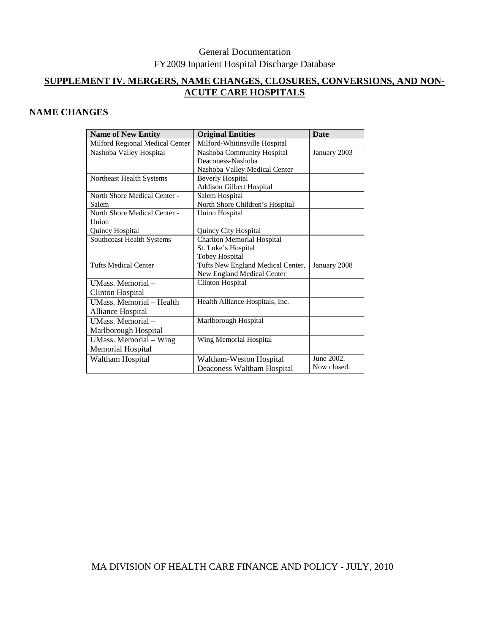# **SUPPLEMENT IV. MERGERS, NAME CHANGES, CLOSURES, CONVERSIONS, AND NON-ACUTE CARE HOSPITALS**

## **NAME CHANGES**

| <b>Name of New Entity</b>       | <b>Original Entities</b>          | <b>Date</b>  |
|---------------------------------|-----------------------------------|--------------|
| Milford Regional Medical Center | Milford-Whitinsville Hospital     |              |
| Nashoba Valley Hospital         | Nashoba Community Hospital        | January 2003 |
|                                 | Deaconess-Nashoba                 |              |
|                                 | Nashoba Valley Medical Center     |              |
| Northeast Health Systems        | <b>Beverly Hospital</b>           |              |
|                                 | Addison Gilbert Hospital          |              |
| North Shore Medical Center -    | Salem Hospital                    |              |
| Salem                           | North Shore Children's Hospital   |              |
| North Shore Medical Center -    | <b>Union Hospital</b>             |              |
| Union                           |                                   |              |
| Quincy Hospital                 | Quincy City Hospital              |              |
| Southcoast Health Systems       | <b>Charlton Memorial Hospital</b> |              |
|                                 | St. Luke's Hospital               |              |
|                                 | <b>Tobey Hospital</b>             |              |
| <b>Tufts Medical Center</b>     | Tufts New England Medical Center, | January 2008 |
|                                 | New England Medical Center        |              |
| UMass. Memorial -               | <b>Clinton Hospital</b>           |              |
| <b>Clinton Hospital</b>         |                                   |              |
| UMass. Memorial - Health        | Health Alliance Hospitals, Inc.   |              |
| Alliance Hospital               |                                   |              |
| UMass. Memorial-                | Marlborough Hospital              |              |
| Marlborough Hospital            |                                   |              |
| UMass. Memorial - Wing          | Wing Memorial Hospital            |              |
| Memorial Hospital               |                                   |              |
| Waltham Hospital                | Waltham-Weston Hospital           | June 2002.   |
|                                 | Deaconess Waltham Hospital        | Now closed.  |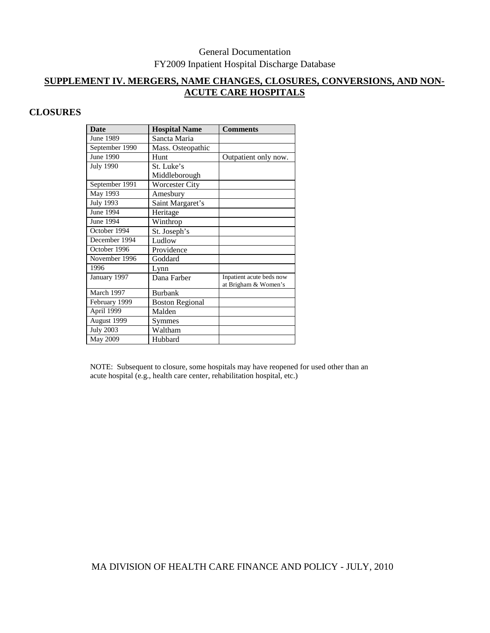## **SUPPLEMENT IV. MERGERS, NAME CHANGES, CLOSURES, CONVERSIONS, AND NON-ACUTE CARE HOSPITALS**

# **CLOSURES**

| <b>Date</b>      | <b>Hospital Name</b>   | <b>Comments</b>          |
|------------------|------------------------|--------------------------|
| June 1989        | Sancta Maria           |                          |
| September 1990   | Mass. Osteopathic      |                          |
| June 1990        | Hunt                   | Outpatient only now.     |
| <b>July 1990</b> | St. Luke's             |                          |
|                  | Middleborough          |                          |
| September 1991   | <b>Worcester City</b>  |                          |
| May 1993         | Amesbury               |                          |
| July 1993        | Saint Margaret's       |                          |
| June 1994        | Heritage               |                          |
| June 1994        | Winthrop               |                          |
| October 1994     | St. Joseph's           |                          |
| December 1994    | Ludlow                 |                          |
| October 1996     | Providence             |                          |
| November 1996    | Goddard                |                          |
| 1996             | Lynn                   |                          |
| January 1997     | Dana Farber            | Inpatient acute beds now |
|                  |                        | at Brigham & Women's     |
| March 1997       | <b>Burbank</b>         |                          |
| February 1999    | <b>Boston Regional</b> |                          |
| April 1999       | Malden                 |                          |
| August 1999      | Symmes                 |                          |
| <b>July 2003</b> | Waltham                |                          |
| May 2009         | Hubbard                |                          |

NOTE: Subsequent to closure, some hospitals may have reopened for used other than an acute hospital (e.g., health care center, rehabilitation hospital, etc.)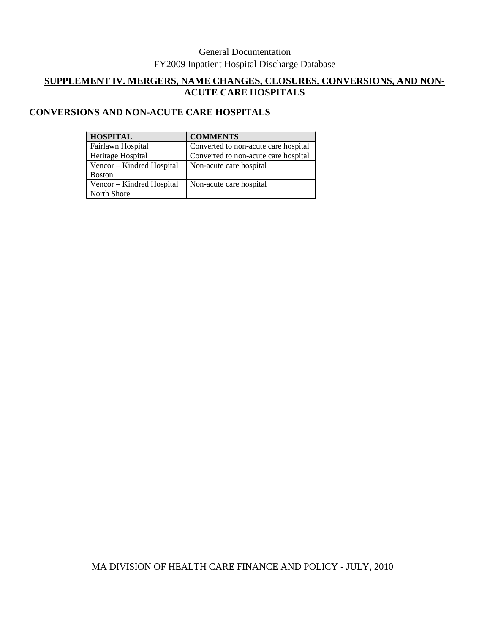# **SUPPLEMENT IV. MERGERS, NAME CHANGES, CLOSURES, CONVERSIONS, AND NON-ACUTE CARE HOSPITALS**

# **CONVERSIONS AND NON-ACUTE CARE HOSPITALS**

| <b>HOSPITAL</b>           | <b>COMMENTS</b>                      |
|---------------------------|--------------------------------------|
| Fairlawn Hospital         | Converted to non-acute care hospital |
| Heritage Hospital         | Converted to non-acute care hospital |
| Vencor - Kindred Hospital | Non-acute care hospital              |
| <b>Boston</b>             |                                      |
| Vencor - Kindred Hospital | Non-acute care hospital              |
| North Shore               |                                      |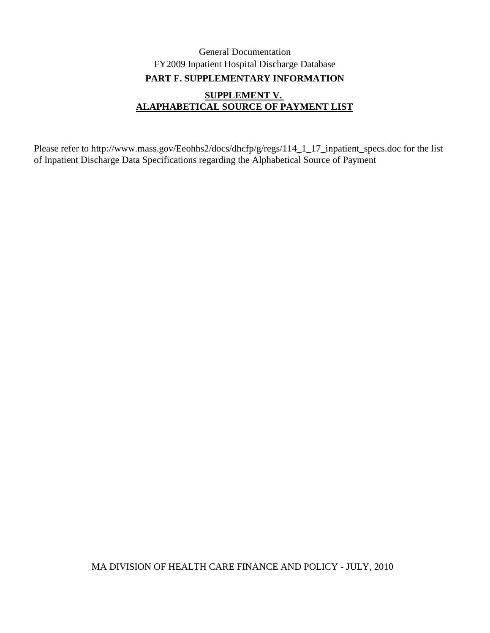# General Documentation FY2009 Inpatient Hospital Discharge Database **SUPPLEMENT V. ALAPHABETICAL SOURCE OF PAYMENT LIST PART F. SUPPLEMENTARY INFORMATION**

Please refer to http://www.mass.gov/Eeohhs2/docs/dhcfp/g/regs/114\_1\_17\_inpatient\_specs.doc for the list of Inpatient Discharge Data Specifications regarding the Alphabetical Source of Payment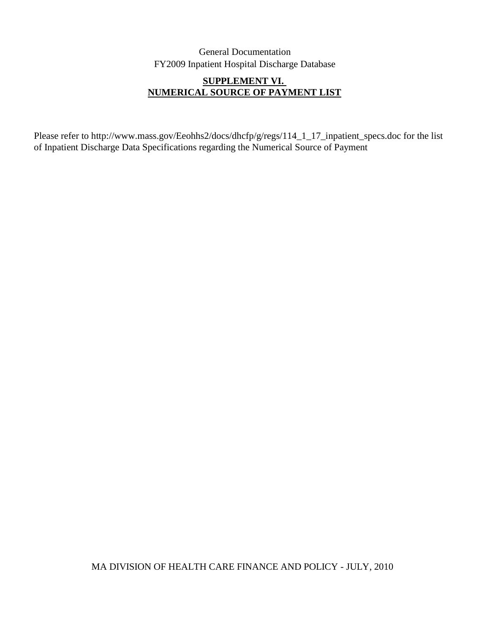# **SUPPLEMENT VI. NUMERICAL SOURCE OF PAYMENT LIST**

Please refer to http://www.mass.gov/Eeohhs2/docs/dhcfp/g/regs/114\_1\_17\_inpatient\_specs.doc for the list of Inpatient Discharge Data Specifications regarding the Numerical Source of Payment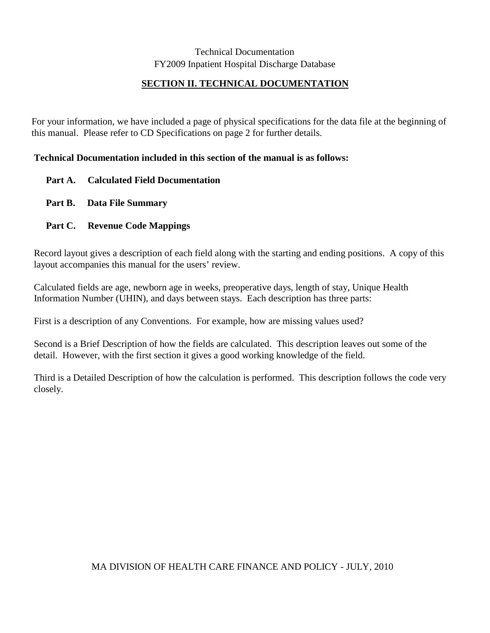# **SECTION II. TECHNICAL DOCUMENTATION**

For your information, we have included a page of physical specifications for the data file at the beginning of this manual. Please refer to CD Specifications on page 2 for further details.

## **Technical Documentation included in this section of the manual is as follows:**

- **Part A. Calculated Field Documentation**
- **Part B. Data File Summary**
- **Part C. Revenue Code Mappings**

Record layout gives a description of each field along with the starting and ending positions. A copy of this layout accompanies this manual for the users' review.

Calculated fields are age, newborn age in weeks, preoperative days, length of stay, Unique Health Information Number (UHIN), and days between stays. Each description has three parts:

First is a description of any Conventions. For example, how are missing values used?

Second is a Brief Description of how the fields are calculated. This description leaves out some of the detail. However, with the first section it gives a good working knowledge of the field.

Third is a Detailed Description of how the calculation is performed. This description follows the code very closely.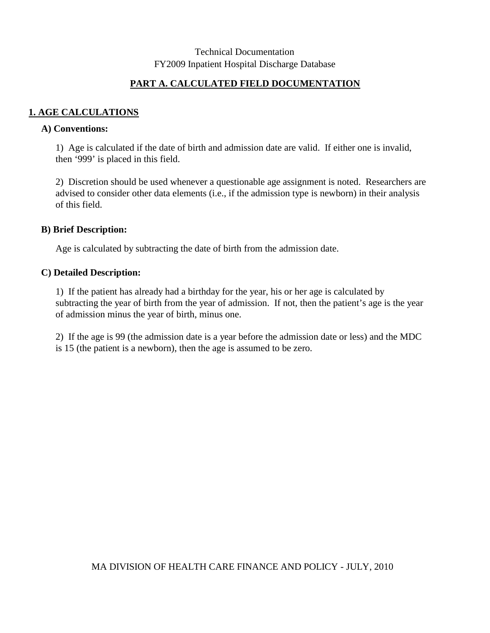## **PART A. CALCULATED FIELD DOCUMENTATION**

## **1. AGE CALCULATIONS**

#### **A) Conventions:**

1) Age is calculated if the date of birth and admission date are valid. If either one is invalid, then '999' is placed in this field.

2) Discretion should be used whenever a questionable age assignment is noted. Researchers are advised to consider other data elements (i.e., if the admission type is newborn) in their analysis of this field.

#### **B) Brief Description:**

Age is calculated by subtracting the date of birth from the admission date.

#### **C) Detailed Description:**

1) If the patient has already had a birthday for the year, his or her age is calculated by subtracting the year of birth from the year of admission. If not, then the patient's age is the year of admission minus the year of birth, minus one.

2) If the age is 99 (the admission date is a year before the admission date or less) and the MDC is 15 (the patient is a newborn), then the age is assumed to be zero.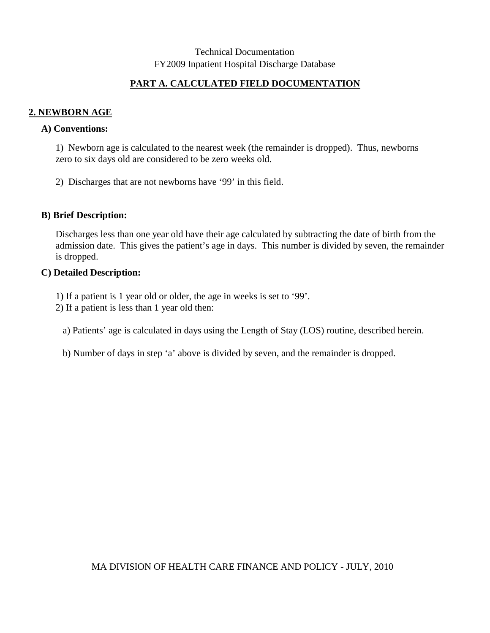## **PART A. CALCULATED FIELD DOCUMENTATION**

#### **2. NEWBORN AGE**

#### **A) Conventions:**

1) Newborn age is calculated to the nearest week (the remainder is dropped). Thus, newborns zero to six days old are considered to be zero weeks old.

2) Discharges that are not newborns have '99' in this field.

#### **B) Brief Description:**

Discharges less than one year old have their age calculated by subtracting the date of birth from the admission date. This gives the patient's age in days. This number is divided by seven, the remainder is dropped.

#### **C) Detailed Description:**

- 1) If a patient is 1 year old or older, the age in weeks is set to '99'.
- 2) If a patient is less than 1 year old then:
	- a) Patients' age is calculated in days using the Length of Stay (LOS) routine, described herein.
	- b) Number of days in step 'a' above is divided by seven, and the remainder is dropped.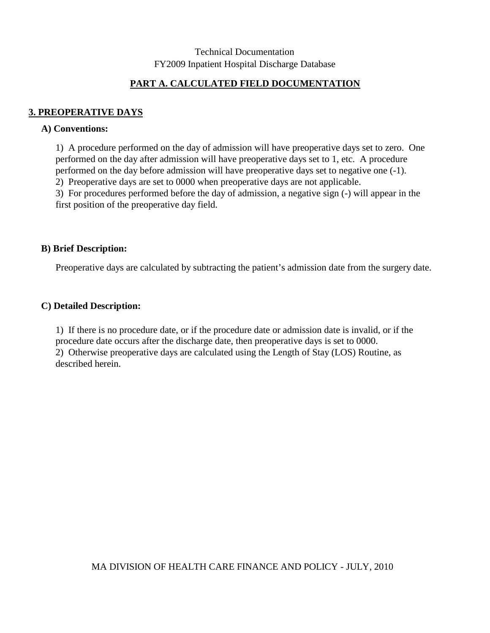## **PART A. CALCULATED FIELD DOCUMENTATION**

## **3. PREOPERATIVE DAYS**

#### **A) Conventions:**

1) A procedure performed on the day of admission will have preoperative days set to zero. One performed on the day after admission will have preoperative days set to 1, etc. A procedure performed on the day before admission will have preoperative days set to negative one (-1).

2) Preoperative days are set to 0000 when preoperative days are not applicable.

3) For procedures performed before the day of admission, a negative sign (-) will appear in the first position of the preoperative day field.

#### **B) Brief Description:**

Preoperative days are calculated by subtracting the patient's admission date from the surgery date.

#### **C) Detailed Description:**

1) If there is no procedure date, or if the procedure date or admission date is invalid, or if the procedure date occurs after the discharge date, then preoperative days is set to 0000. 2) Otherwise preoperative days are calculated using the Length of Stay (LOS) Routine, as described herein.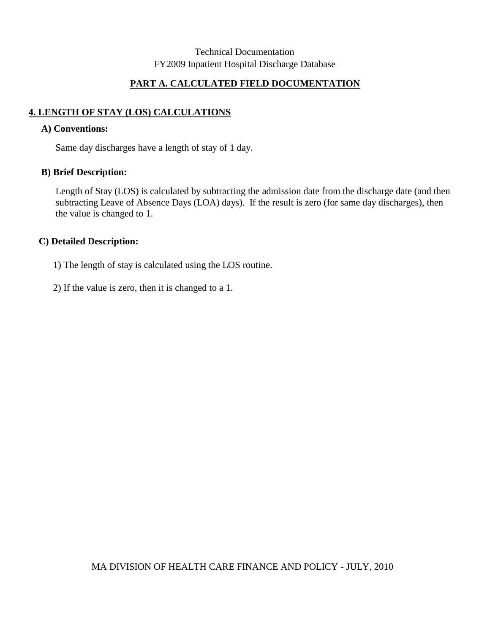## **PART A. CALCULATED FIELD DOCUMENTATION**

# **4. LENGTH OF STAY (LOS) CALCULATIONS**

#### **A) Conventions:**

Same day discharges have a length of stay of 1 day.

#### **B) Brief Description:**

Length of Stay (LOS) is calculated by subtracting the admission date from the discharge date (and then subtracting Leave of Absence Days (LOA) days). If the result is zero (for same day discharges), then the value is changed to 1.

#### **C) Detailed Description:**

1) The length of stay is calculated using the LOS routine.

2) If the value is zero, then it is changed to a 1.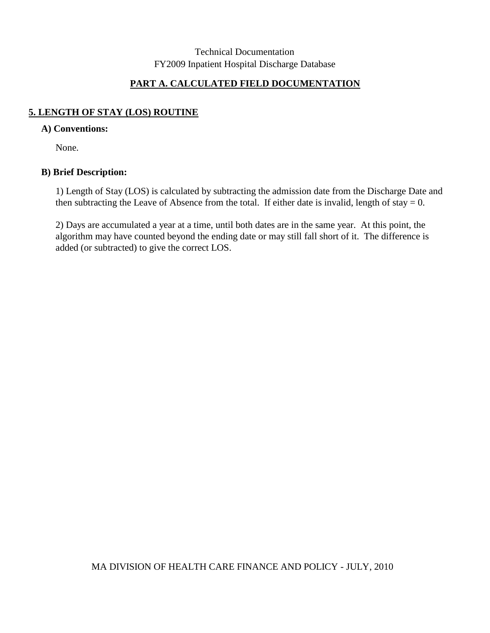## **PART A. CALCULATED FIELD DOCUMENTATION**

## **5. LENGTH OF STAY (LOS) ROUTINE**

### **A) Conventions:**

None.

## **B) Brief Description:**

1) Length of Stay (LOS) is calculated by subtracting the admission date from the Discharge Date and then subtracting the Leave of Absence from the total. If either date is invalid, length of stay  $= 0$ .

2) Days are accumulated a year at a time, until both dates are in the same year. At this point, the algorithm may have counted beyond the ending date or may still fall short of it. The difference is added (or subtracted) to give the correct LOS.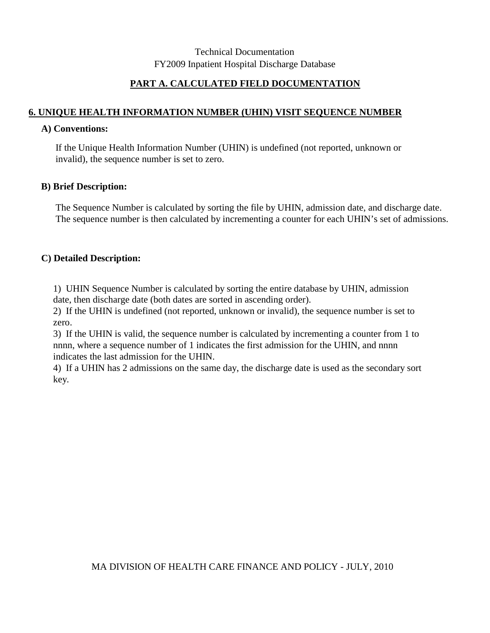## **PART A. CALCULATED FIELD DOCUMENTATION**

### **6. UNIQUE HEALTH INFORMATION NUMBER (UHIN) VISIT SEQUENCE NUMBER**

#### **A) Conventions:**

If the Unique Health Information Number (UHIN) is undefined (not reported, unknown or invalid), the sequence number is set to zero.

#### **B) Brief Description:**

The Sequence Number is calculated by sorting the file by UHIN, admission date, and discharge date. The sequence number is then calculated by incrementing a counter for each UHIN's set of admissions.

#### **C) Detailed Description:**

1) UHIN Sequence Number is calculated by sorting the entire database by UHIN, admission date, then discharge date (both dates are sorted in ascending order).

2) If the UHIN is undefined (not reported, unknown or invalid), the sequence number is set to zero.

3) If the UHIN is valid, the sequence number is calculated by incrementing a counter from 1 to nnnn, where a sequence number of 1 indicates the first admission for the UHIN, and nnnn indicates the last admission for the UHIN.

4) If a UHIN has 2 admissions on the same day, the discharge date is used as the secondary sort key.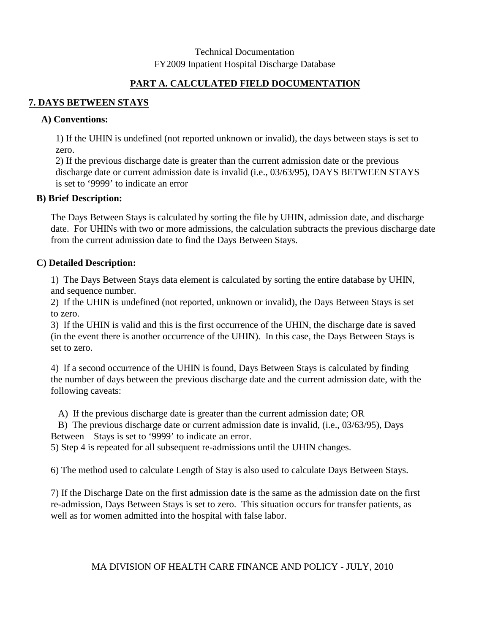## **PART A. CALCULATED FIELD DOCUMENTATION**

## **7. DAYS BETWEEN STAYS**

#### **A) Conventions:**

1) If the UHIN is undefined (not reported unknown or invalid), the days between stays is set to zero.

2) If the previous discharge date is greater than the current admission date or the previous discharge date or current admission date is invalid (i.e., 03/63/95), DAYS BETWEEN STAYS is set to '9999' to indicate an error

#### **B) Brief Description:**

The Days Between Stays is calculated by sorting the file by UHIN, admission date, and discharge date. For UHINs with two or more admissions, the calculation subtracts the previous discharge date from the current admission date to find the Days Between Stays.

## **C) Detailed Description:**

1) The Days Between Stays data element is calculated by sorting the entire database by UHIN, and sequence number.

2) If the UHIN is undefined (not reported, unknown or invalid), the Days Between Stays is set to zero.

3) If the UHIN is valid and this is the first occurrence of the UHIN, the discharge date is saved (in the event there is another occurrence of the UHIN). In this case, the Days Between Stays is set to zero.

4) If a second occurrence of the UHIN is found, Days Between Stays is calculated by finding the number of days between the previous discharge date and the current admission date, with the following caveats:

A) If the previous discharge date is greater than the current admission date; OR

 B) The previous discharge date or current admission date is invalid, (i.e., 03/63/95), Days Between Stays is set to '9999' to indicate an error.

5) Step 4 is repeated for all subsequent re-admissions until the UHIN changes.

6) The method used to calculate Length of Stay is also used to calculate Days Between Stays.

7) If the Discharge Date on the first admission date is the same as the admission date on the first re-admission, Days Between Stays is set to zero. This situation occurs for transfer patients, as well as for women admitted into the hospital with false labor.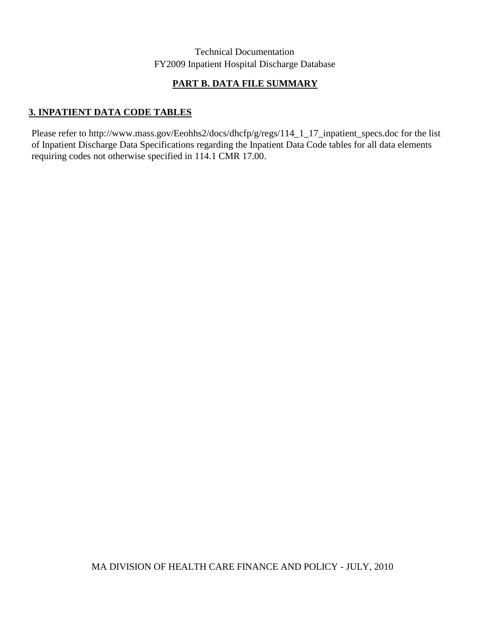# **PART B. DATA FILE SUMMARY**

## **3. INPATIENT DATA CODE TABLES**

Please refer to http://www.mass.gov/Eeohhs2/docs/dhcfp/g/regs/114\_1\_17\_inpatient\_specs.doc for the list of Inpatient Discharge Data Specifications regarding the Inpatient Data Code tables for all data elements requiring codes not otherwise specified in 114.1 CMR 17.00.